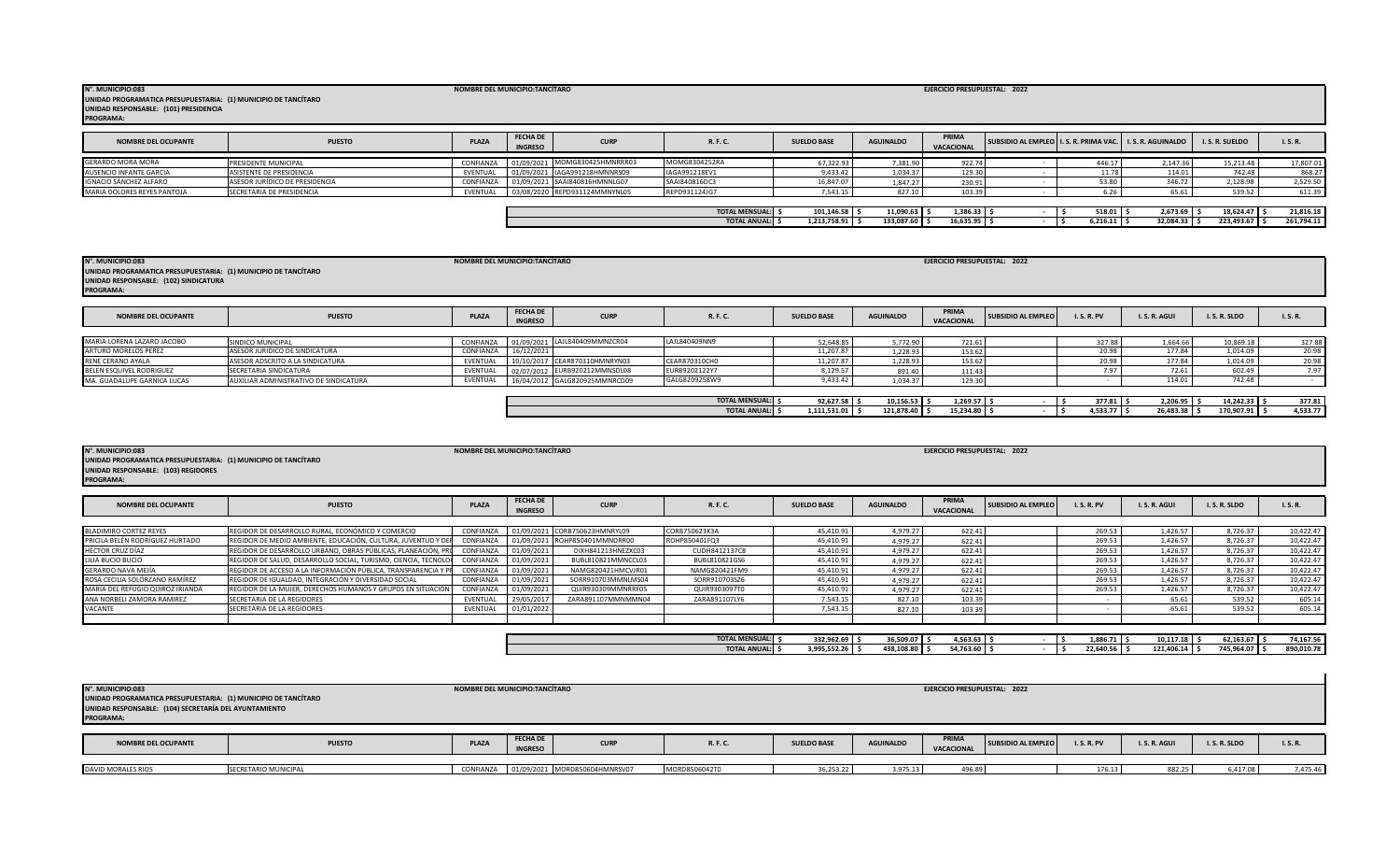| N°. MUNICIPIO:083<br>UNIDAD PROGRAMATICA PRESUPUESTARIA: (1) MUNICIPIO DE TANCÍTARO<br>UNIDAD RESPONSABLE: (101) PRESIDENCIA<br><b>PROGRAMA:</b> |                                | NOMBRE DEL MUNICIPIO:TANCÍTARO |                                   |                               |                       |                    |                  | EJERCICIO PRESUPUESTAL: 2022 |                                                               |          |           |                 |            |
|--------------------------------------------------------------------------------------------------------------------------------------------------|--------------------------------|--------------------------------|-----------------------------------|-------------------------------|-----------------------|--------------------|------------------|------------------------------|---------------------------------------------------------------|----------|-----------|-----------------|------------|
| <b>NOMBRE DEL OCUPANTE</b>                                                                                                                       | <b>PUESTO</b>                  | <b>PLAZA</b>                   | <b>FECHA DE</b><br><b>INGRESO</b> | <b>CURP</b>                   | R. F. C.              | <b>SUELDO BASE</b> | <b>AGUINALDO</b> | PRIMA<br><b>VACACIONAL</b>   | SUBSIDIO AL EMPLEO   I. S. R. PRIMA VAC.   I. S. R. AGUINALDO |          |           | I. S. R. SUELDO | I. S. R.   |
| <b>GERARDO MORA MORA</b>                                                                                                                         | <b>PRESIDENTE MUNICIPAL</b>    | CONFIANZA                      |                                   | 01/09/2021 MOMG830425HMNRRR03 | MOMG8304252RA         | 67,322.93          | 7,381.90         | 922.74                       |                                                               | 446.17   | 2,147.36  | 15,213.48       | 17,807.01  |
| AUSENCIO INFANTE GARCIA                                                                                                                          | ASISTENTE DE PRESIDENCIA       | EVENTUAL                       |                                   | 01/09/2021 IAGA991218HMNNRS09 | IAGA991218EV1         | 9,433.42           | 1,034.37         | 129.30                       |                                                               | 11.78    | 114.01    | 742.48          | 868.27     |
| IGNACIO SÁNCHEZ ALFARO                                                                                                                           | ASESOR JURÍDICO DE PRESIDENCIA | CONFIANZA                      |                                   | 01/09/2021 SAAI840816HMNNLG07 | SAAI840816DC3         | 16,847.07          | 1,847.27         | 230.91                       |                                                               | 53.80    | 346.72    | 2,128.98        | 2,529.50   |
| MARIA DOLORES REYES PANTOJA                                                                                                                      | SECRETARIA DE PRESIDENCIA      | EVENTUAL                       |                                   | 03/08/2020 REPD931124MMNYNL05 | REPD931124JG7         | 7,543.15           | 827.10           | 103.39                       |                                                               | 6.26     | 65.61     | 539.52          | 611.39     |
|                                                                                                                                                  |                                |                                |                                   |                               | <b>TOTAL MENSUAL:</b> | 101,146.58         | $11,090.63$ \$   | $1,386.33$ \$                |                                                               | 518.01   | 2,673.69  | $18,624.47$ \$  | 21,816.18  |
|                                                                                                                                                  |                                |                                |                                   |                               | <b>TOTAL ANUAL:</b>   | 1,213,758.91       | 133,087.60 \$    | 16,635.95 \$                 |                                                               | 6,216.11 | 32,084.33 | 223,493.67 \$   | 261,794.11 |

| N°. MUNICIPIO:083<br>UNIDAD PROGRAMATICA PRESUPUESTARIA: (1) MUNICIPIO DE TANCÍTARO<br>UNIDAD RESPONSABLE: (102) SINDICATURA<br><b>PROGRAMA:</b> |                                        | NOMBRE DEL MUNICIPIO:TANCÍTARO |                                   |                               |                      |                        |                      | EJERCICIO PRESUPUESTAL: 2022 |                           |                 |                    |                       |                 |
|--------------------------------------------------------------------------------------------------------------------------------------------------|----------------------------------------|--------------------------------|-----------------------------------|-------------------------------|----------------------|------------------------|----------------------|------------------------------|---------------------------|-----------------|--------------------|-----------------------|-----------------|
| <b>NOMBRE DEL OCUPANTE</b>                                                                                                                       | <b>PUESTO</b>                          | <b>PLAZA</b>                   | <b>FECHA DE</b><br><b>INGRESO</b> | <b>CURP</b>                   | R. F. C.             | <b>SUELDO BASE</b>     | <b>AGUINALDO</b>     | PRIMA<br>VACACIONAL          | <b>SUBSIDIO AL EMPLEO</b> | <b>I.S.R.PV</b> | I.S.R.AGUI         | I.S.R.SLDO            | I. S. R.        |
| MARIA LORENA LAZARO JACOBO                                                                                                                       | SINDICO MUNICIPAL                      | CONFIANZA                      | 01/09/2021                        | LAJL840409MMNZCR04            | LAJL840409NN9        |                        |                      |                              |                           | 327.88          |                    |                       |                 |
| ARTURO MORELOS PEREZ                                                                                                                             | ASESOR JURIDICO DE SINDICATURA         | CONFIANZA                      | 16/12/2021                        |                               |                      | 52,648.85<br>11,207.87 | 5,772.90<br>1,228.93 | 721.61<br>153.62             |                           | 20.98           | 1,664.66<br>177.84 | 10,869.18<br>1,014.09 | 327.88<br>20.98 |
| RENE CERANO AYALA                                                                                                                                | ASESOR ADSCRITO A LA SINDICATURA       | EVENTUAL                       |                                   | 10/10/2017 CEAR870310HMNRYN03 | CEAR870310CH0        | 11,207.87              | 1,228.93             | 153.62                       |                           | 20.98           | 177.84             | 1,014.09              | 20.98           |
| BELEN ESQUIVEL RODRIGUEZ                                                                                                                         | SECRETARIA SINDICATURA                 | EVENTUAL                       |                                   | 02/07/2012 EURB920212MMNSDL08 | EURB9202122Y7        | 8,129.57               | 891.40               | 111.43                       |                           | 7.97            | 72.61              | 602.49                | 7.97            |
| MA. GUADALUPE GARNICA LUCAS                                                                                                                      | AUXILIAR ADMINISTRATIVO DE SINDICATURA | EVENTUAL                       |                                   | 16/04/2012 GALG820925MMNRCD09 | GALG8209258W9        | 9,433.42               | 1,034.37             | 129.30                       |                           |                 | 114.01             | 742.48                |                 |
|                                                                                                                                                  |                                        |                                |                                   |                               |                      |                        |                      |                              |                           |                 |                    |                       |                 |
|                                                                                                                                                  |                                        |                                |                                   |                               | <b>TOTAL MENSUAL</b> | 92,627.58              | $10,156.53$ \$       | 1,269.57                     |                           | $377.81$ \$     | 2,206.95 \$        | 14,242.33             | 377.81          |
|                                                                                                                                                  |                                        |                                |                                   |                               | <b>TOTAL ANUAL:</b>  | 1,111,531.01           | 121,878.40 \$        | 15,234.80 \$                 |                           | 4,533.77 \$     | 26,483.38 \$       | 170,907.91 \$         | 4,533.77        |

| N°. MUNICIPIO:083<br>UNIDAD PROGRAMATICA PRESUPUESTARIA: (1) MUNICIPIO DE TANCÍTARO<br>UNIDAD RESPONSABLE: (103) REGIDORES<br>PROGRAMA: |               | NOMBRE DEL MUNICIPIO:TANCÍTARO |                                   |             |          |                    |                  | EJERCICIO PRESUPUESTAL: 2022 |                           |                 |               |            |        |
|-----------------------------------------------------------------------------------------------------------------------------------------|---------------|--------------------------------|-----------------------------------|-------------|----------|--------------------|------------------|------------------------------|---------------------------|-----------------|---------------|------------|--------|
| <b>NOMBRE DEL OCUPANTE</b>                                                                                                              | <b>PUESTO</b> | <b>PLAZA</b>                   | <b>FECHA DE</b><br><b>INGRESO</b> | <b>CURP</b> | R. F. C. | <b>SUELDO BASE</b> | <b>AGUINALDO</b> | PRIMA<br>VACACIONAL          | <b>SUBSIDIO AL EMPLEO</b> | <b>I.S.R.PV</b> | '. S. R. AGUI | I.S.R.SLDO | I.S.R. |

| BLADIMIRO CORTEZ REYES           | REGIDOR DE DESARROLLO RURAL. ECONÓMICO Y COMERCIO              | CONFIANZA       |            | 01/09/2021 CORB750623HMNRYL09 | CORB750623K3A | 45.410.91 | 4.979.27 | 622.41 | 269.53 | 1.426.57 | 8.726.37 | 10.422.47 |
|----------------------------------|----------------------------------------------------------------|-----------------|------------|-------------------------------|---------------|-----------|----------|--------|--------|----------|----------|-----------|
| PRICILA BELÉN RODRÍGUEZ HURTADO  | REGIDOR DE MEDIO AMBIENTE, EDUCACIÓN, CULTURA, JUVENTUD Y DE   | CONFIANZA       |            | 01/09/2021 ROHP850401MMNDRR00 | ROHP850401FQ3 | 45,410.91 | 4.979.27 | 622.41 | 269.53 | 1.426.57 | 8,726.37 | 10,422.47 |
| HÉCTOR CRUZ DÍAZ                 | REGIDOR DE DESARROLLO URBANO, OBRAS PÚBLICAS, PLANEACIÓN, PRO  | CONFIANZA       | 01/09/2021 | DIXH841213HNEZXC03            | CUDH8412137C8 | 45,410.91 | 4.979.27 | 622.41 | 269.53 | 1.426.57 | 8,726.37 | 10,422.47 |
| LILIA BUCIO BUCIO                | REGIDOR DE SALUD. DESARROLLO SOCIAL. TURISMO, CIENCIA, TECNOLO | CONFIANZA       | 01/09/202  | BUBL810821MMNCCL03            | BUBL810821GS6 | 45,410.91 | 4,979.27 | 622.41 | 269.53 | 1.426.57 | 8.726.37 | 10,422.47 |
| GERARDO NAVA MEJÍA               | REGIDOR DE ACCESO A LA INFORMACIÓN PÚBLICA, TRANSPARENCIA Y PR | CONFIANZA       | 01/09/2021 | NAMG820421HMCVJR01            | NAMG820421FM9 | 45,410.91 | 4.979.27 | 622.41 | 269.53 | 1,426.57 | 8,726.37 | 10,422.47 |
| ROSA CECILIA SOLÓRZANO RAMÍREZ   | REGIDOR DE IGUALDAD, INTEGRACIÓN Y DIVERSIDAD SOCIAL           | CONFIANZA       | 01/09/2021 | SORR910703MMNLMS04            | SORR910703SZ6 | 45,410.91 | 4.979.27 | 622.41 | 269.53 | 1.426.57 | 8,726.37 | 10,422.47 |
| MARÍA DEL REFUGIO QUIROZ IRIANDA | REGIDOR DE LA MUJER. DERECHOS HUMANOS Y GRUPOS EN SITUACIÓN    | CONFIANZA       | 01/09/2021 | QUIR930309MMNRRF05            | QUIR9303097T0 | 45.410.91 | 4,979.27 | 622.41 | 269.53 | 1.426.57 | 8.726.37 | 10,422.47 |
| ANA NORBELI ZAMORA RAMIREZ       | SECRETARIA DE LA REGIDORES                                     | <b>EVENTUAL</b> | 29/05/201  | ZARA891107MMNMMM04            | ZARA891107LY6 | 7,543.15  | 827.10   | 103.39 |        | 65.61    | 539.52   | 605.14    |
| <b>VACANTE</b>                   | SECRETARIA DE LA REGIDORES                                     | EVENTUAL        | 01/01/2022 |                               |               | 7.543.15  | 827.10   | 103.39 |        |          | 539.5.   | 605.14    |
|                                  |                                                                |                 |            |                               |               |           |          |        |        |          |          |           |

| <b>TOTAL MENSUAL:</b> | 332,962.69   | 36,509.07  | 1,563.63  |  | $1,886.71$ . | 10,117.18  | 62,163.67    | 74,167.56  |
|-----------------------|--------------|------------|-----------|--|--------------|------------|--------------|------------|
| <b>TOTAL ANUAL:</b>   | 3.995.552.26 | 438,108.80 | 54,763.60 |  | 22.640.56    | 121.406.14 | 745.964.07 S | 890,010.78 |
|                       |              |            |           |  |              |            |              |            |

| N°. MUNICIPIO:083<br>UNIDAD PROGRAMATICA PRESUPUESTARIA: (1) MUNICIPIO DE TANCÍTARO<br>UNIDAD RESPONSABLE: (104) SECRETARÍA DEL AYUNTAMIENTO<br><b>PROGRAMA:</b> |                      | NOMBRE DEL MUNICIPIO:TANCÍTARO |                                   |                               |                 |                    |                  | EJERCICIO PRESUPUESTAL: 2022 |                           |                 |                 |            |                 |
|------------------------------------------------------------------------------------------------------------------------------------------------------------------|----------------------|--------------------------------|-----------------------------------|-------------------------------|-----------------|--------------------|------------------|------------------------------|---------------------------|-----------------|-----------------|------------|-----------------|
| <b>NOMBRE DEL OCUPANTE</b>                                                                                                                                       | <b>PUESTO</b>        | PLAZA                          | <b>FECHA DE</b><br><b>INGRESO</b> | <b>CURP</b>                   | <b>R. F. C.</b> | <b>SUELDO BASE</b> | <b>AGUINALDO</b> | PRIMA<br><b>VACACIONAL</b>   | <b>SUBSIDIO AL EMPLEO</b> | <b>I.S.R.PV</b> | I.S.R.AGUI      | I.S.R.SLDO | <b>I. S. R.</b> |
| DAVID MORALES RIOS                                                                                                                                               | SECRETARIO MUNICIPAL | CONFIANZA                      |                                   | 01/09/2021 MORD850604HMNRSV07 | MORD8506042T0   | 36,253.22          | 3,975.13         | 496.89                       |                           | 176.13          | $\sim$<br>882.2 | 6.417.08   | 7,475.46        |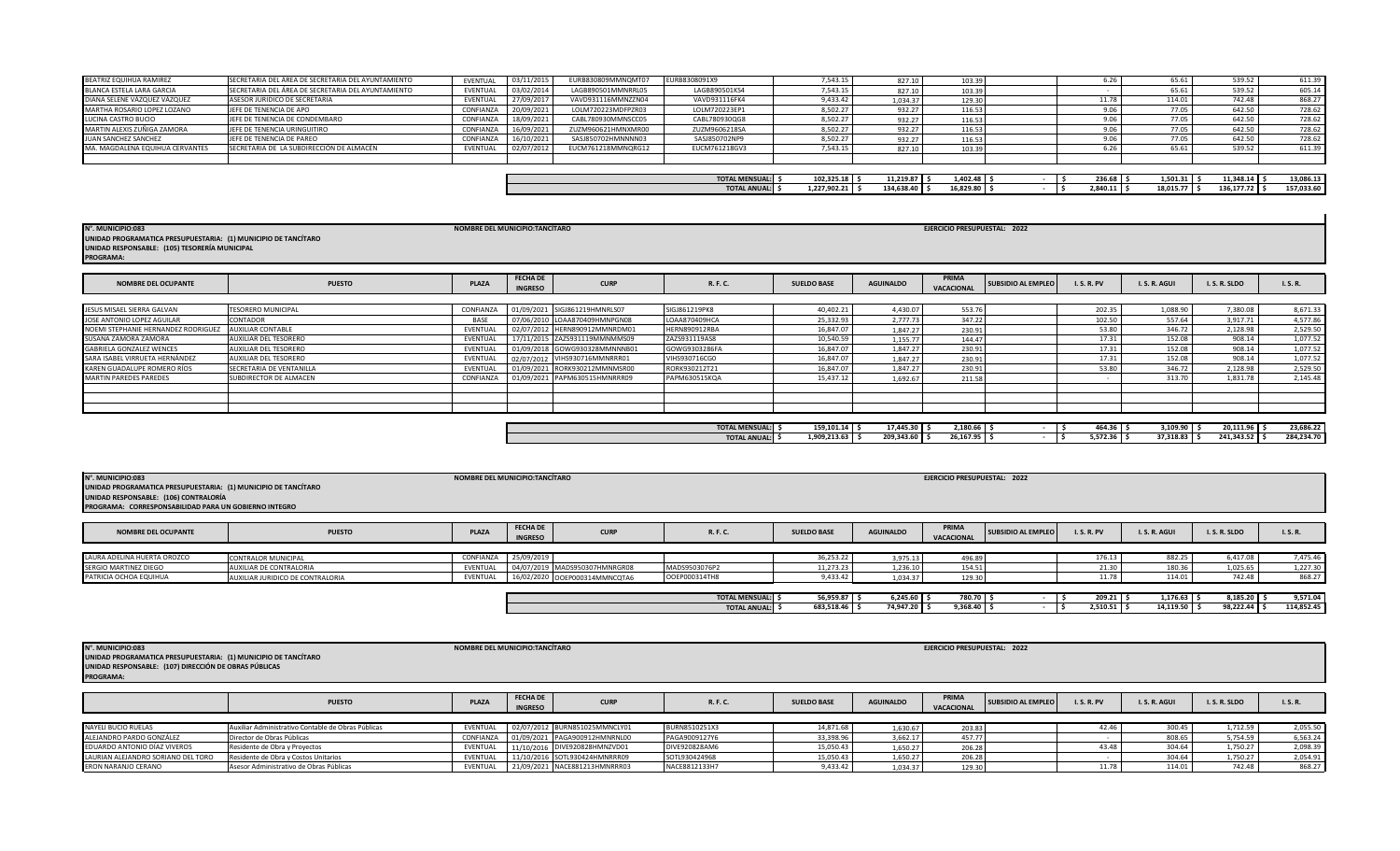| BEATRIZ EQUIHUA RAMIREZ         | SECRETARIA DEL ÁREA DE SECRETARIA DEL AYUNTAMIENTO | <b>FVFNTUAL</b> | 03/11/201. | EURB830809MMNQMT07 | EURB8308091X9 | 7,543.15 | 827.10   | 103.39 |  | 65.61  | 539.52 | 611.39 |
|---------------------------------|----------------------------------------------------|-----------------|------------|--------------------|---------------|----------|----------|--------|--|--------|--------|--------|
| BLANCA ESTELA LARA GARCIA       | SECRETARIA DEL ÁREA DE SECRETARIA DEL AYUNTAMIENTO | EVENTUAL        | 03/02/201  | LAGB890501MMNRRL05 | LAGB890501KS4 | 7.543.15 | 827.10   | 103.3  |  | 65.61  | 539.5  | 605.14 |
| DIANA SELENE VÁZQUEZ VÁZQUEZ    | ASESOR JURIDICO DE SECRETARIA                      | EVENTUAL        | 27/09/201  | VAVD931116MMNZZN04 | VAVD931116FK4 | 9.433.42 | 1,034.37 | 129.3  |  | 114.01 | 742.48 | 868.27 |
| MARTHA ROSARIO LOPEZ LOZANO     | JEFE DE TENENCIA DE APO                            | CONFIANZA       | 20/09/202  | LOLM720223MDFPZR03 | LOLM720223EP1 | 8,502.27 | 932.27   | 116.53 |  | 77.05  | 642.50 | 728.62 |
| LUCINA CASTRO BUCIO             | JEFE DE TENENCIA DE CONDEMBARO                     | CONFIANZA       | 18/09/202  | CABL780930MMNSCC05 | CABL780930QG8 | 8,502.27 | 932.27   | 116.53 |  | 77.05  | 642.5  | 728.62 |
| MARTIN ALEXIS ZUÑIGA ZAMORA     | LIFFE DE TENENCIA URINGUITIRO                      | CONFIANZA       | 16/09/202  | ZUZM960621HMNXMR00 | ZUZM9606218SA | 8.502.27 | 932.27   | 116.5  |  | 77.05  | 642.50 | 728.62 |
| JUAN SANCHEZ SANCHEZ            | JEFE DE TENENCIA DE PAREO                          | CONFIANZA       | 16/10/202  | SASJ850702HMNNNN03 | SASJ850702NP9 | 8.502.27 | 932.27   | 116.5  |  | 77.05  | 642.50 | 728.62 |
| MA, MAGDALENA EQUIHUA CERVANTES | SECRETARIA DE LA SUBDIRECCIÓN DE ALMACÉN           | EVENTUAL        | 02/07/201  | EUCM761218MMNQRG12 | EUCM761218GV3 | 7,543.15 | 827.10   | 103.3  |  | 65.61  | 539.5  | 611.39 |
|                                 |                                                    |                 |            |                    |               |          |          |        |  |        |        |        |

| 236.68<br>1,402.48<br>11,219.87<br>102,325.18<br>$\overline{\phantom{a}}$<br><b>TOTAL MENSUAL:</b><br>1.501.31<br>11.348.14<br>16.829.80<br>2.840.11<br>134.638.40<br>136.177.72<br>1.227.902.21<br><b>TOTAL ANUAL:</b><br>$\sim$ $\sim$ $\sim$ $\sim$<br>10.013.7 |  |  |  |  |  |                  |
|--------------------------------------------------------------------------------------------------------------------------------------------------------------------------------------------------------------------------------------------------------------------|--|--|--|--|--|------------------|
|                                                                                                                                                                                                                                                                    |  |  |  |  |  | <b>13,000.13</b> |
|                                                                                                                                                                                                                                                                    |  |  |  |  |  | 157.033.60       |

 $\blacksquare$ 

| N°. MUNICIPIO:083<br>UNIDAD PROGRAMATICA PRESUPUESTARIA: (1) MUNICIPIO DE TANCÍTARO<br>UNIDAD RESPONSABLE: (105) TESORERÍA MUNICIPAL<br><b>PROGRAMA:</b> |                           | NOMBRE DEL MUNICIPIO: TANCÍTARO |                                   |                               |                          |                    |                  | EJERCICIO PRESUPUESTAL: 2022 |                           |                 |               |               |            |
|----------------------------------------------------------------------------------------------------------------------------------------------------------|---------------------------|---------------------------------|-----------------------------------|-------------------------------|--------------------------|--------------------|------------------|------------------------------|---------------------------|-----------------|---------------|---------------|------------|
| <b>NOMBRE DEL OCUPANTE</b>                                                                                                                               | <b>PUESTO</b>             | PLAZA                           | <b>FECHA DE</b><br><b>INGRESO</b> | <b>CURP</b>                   | R. F. C.                 | <b>SUELDO BASE</b> | <b>AGUINALDO</b> | PRIMA<br>VACACIONAL          | <b>SUBSIDIO AL EMPLEO</b> | <b>I.S.R.PV</b> | I.S.R.AGUI    | I.S.R.SLDO    | I. S. R.   |
| JESUS MISAEL SIERRA GALVAN                                                                                                                               | <b>TESORERO MUNICIPAL</b> | CONFIANZA                       |                                   | 01/09/2021 SIGJ861219HMNRLS07 | SIGJ861219PK8            | 40,402.21          | 4,430.07         | 553.76                       |                           | 202.35          | 1,088.90      | 7,380.08      | 8,671.33   |
| JOSE ANTONIO LOPEZ AGUILAR                                                                                                                               | CONTADOR                  | BASE                            |                                   | 07/06/2010 LOAA870409HMNPGN08 | LOAA870409HCA            | 25,332.93          | 2,777,73         | 347.22                       |                           | 102.50          | 557.64        | 3,917.71      | 4,577.86   |
| NOEMI STEPHANIE HERNANDEZ RODRIGUEZ                                                                                                                      | <b>AUXILIAR CONTABLE</b>  | EVENTUAL                        |                                   | 02/07/2012 HERN890912MMNRDM01 | <b>HERN890912RBA</b>     | 16,847.07          | 1.847.27         | 230.91                       |                           | 53.80           | 346.72        | 2,128.98      | 2,529.50   |
| SUSANA ZAMORA ZAMORA                                                                                                                                     | AUXILIAR DEL TESORERO     | EVENTUAL                        |                                   | 17/11/2015 ZAZS931119MMNMMS09 | ZAZS931119AS8            | 10,540.59          | 1.155.77         | 144.47                       |                           | 17.31           | 152.08        | 908.14        | 1,077.52   |
| <b>GABRIELA GONZALEZ WENCES</b>                                                                                                                          | AUXILIAR DEL TESORERO     | EVENTUAL                        |                                   | 01/09/2018 GOWG930328MMNNNB01 | GOWG9303286FA            | 16,847.07          | 1.847.27         | 230.91                       |                           | 17.31           | 152.08        | 908.14        | 1,077.52   |
| SARA ISABEL VIRRUETA HERNÁNDEZ                                                                                                                           | AUXILIAR DEL TESORERO     | EVENTUAL                        |                                   | 02/07/2012 VIHS930716MMNRRR01 | VIHS930716CG0            | 16.847.07          | 1.847.27         | 230.91                       |                           | 17.31           | 152.08        | 908.14        | 1,077.52   |
| KAREN GUADALUPE ROMERO RÍOS                                                                                                                              | SECRETARIA DE VENTANILLA  | EVENTUAL                        |                                   | 01/09/2021 RORK930212MMNMSR00 | RORK930212T21            | 16,847.07          | 1.847.27         | 230.91                       |                           | 53.80           | 346.72        | 2,128.98      | 2,529.50   |
| <b>MARTIN PAREDES PAREDES</b>                                                                                                                            | SUBDIRECTOR DE ALMACEN    | CONFIANZA                       |                                   | 01/09/2021 PAPM630515HMNRRR09 | PAPM630515KQA            | 15,437.12          | 1.692.67         | 211.58                       |                           |                 | 313.70        | 1,831.78      | 2,145.48   |
|                                                                                                                                                          |                           |                                 |                                   |                               |                          |                    |                  |                              |                           |                 |               |               |            |
|                                                                                                                                                          |                           |                                 |                                   |                               |                          |                    |                  |                              |                           |                 |               |               |            |
|                                                                                                                                                          |                           |                                 |                                   |                               |                          |                    |                  |                              |                           |                 |               |               |            |
|                                                                                                                                                          |                           |                                 |                                   |                               | <b>TOTAL MENSUAL: \$</b> | 159,101.14 \$      | 17,445.30 \$     | 2,180.66 \$                  |                           | $464.36$ \$     | $3,109.90$ \$ | 20,111.96 \$  | 23,686.22  |
|                                                                                                                                                          |                           |                                 |                                   |                               | <b>TOTAL ANUAL:</b>      | 1,909,213.63 \$    | 209,343.60 \$    | 26,167.95                    |                           | $5,572.36$ \$   | 37,318.83 \$  | 241,343.52 \$ | 284,234.70 |

| N°. MUNICIPIO:083<br>UNIDAD PROGRAMATICA PRESUPUESTARIA: (1) MUNICIPIO DE TANCÍTARO<br>UNIDAD RESPONSABLE: (106) CONTRALORÍA<br>PROGRAMA: CORRESPONSABILIDAD PARA UN GOBIERNO INTEGRO |                                  | NOMBRE DEL MUNICIPIO:TANCÍTARO |                                   |                               |                       |                    |                  | EJERCICIO PRESUPUESTAL: 2022 |                           |                 |               |              |            |
|---------------------------------------------------------------------------------------------------------------------------------------------------------------------------------------|----------------------------------|--------------------------------|-----------------------------------|-------------------------------|-----------------------|--------------------|------------------|------------------------------|---------------------------|-----------------|---------------|--------------|------------|
| <b>NOMBRE DEL OCUPANTE</b>                                                                                                                                                            | <b>PUESTO</b>                    | <b>PLAZA</b>                   | <b>FECHA DE</b><br><b>INGRESO</b> | <b>CURP</b>                   | R. F. C.              | <b>SUELDO BASE</b> | <b>AGUINALDO</b> | PRIMA<br>VACACIONAL          | <b>SUBSIDIO AL EMPLEO</b> | <b>I.S.R.PV</b> | I.S.R.AGUI    | I.S.R.SLDO   | I. S. R.   |
|                                                                                                                                                                                       |                                  |                                |                                   |                               |                       |                    |                  |                              |                           |                 |               |              |            |
| LAURA ADELINA HUERTA OROZCO                                                                                                                                                           | CONTRALOR MUNICIPAL              | CONFIANZA                      | 25/09/2019                        |                               |                       | 36,253.22          | 3,975.13         | 496.89                       |                           | 176.13          | 882.25        | 6,417.08     | 7,475.46   |
| SERGIO MARTINEZ DIEGO                                                                                                                                                                 | AUXILIAR DE CONTRALORIA          | EVENTUAL                       |                                   | 04/07/2019 MADS950307HMNRGR08 | MADS9503076P2         | 11,273.23          | 1,236.10         | 154.51                       |                           | 21.30           | 180.36        | 1,025.65     | 1,227.30   |
| PATRICIA OCHOA EQUIHUA                                                                                                                                                                | AUXILIAR JURIDICO DE CONTRALORIA | EVENTUAL                       |                                   | 16/02/2020 OOEP000314MMNCQTA6 | OOEP000314TH8         | 9,433.42           | 1,034.37         | 129.30                       |                           | 11.78           | 114.01        | 742.48       | 868.27     |
|                                                                                                                                                                                       |                                  |                                |                                   |                               |                       |                    |                  |                              |                           |                 |               |              |            |
|                                                                                                                                                                                       |                                  |                                |                                   |                               | <b>TOTAL MENSUAL:</b> | 56,959.87 \$       | $6,245.60$ \$    | 780.70 \$                    |                           | $209.21$ \$     | $1,176.63$ \$ | 8,185.20 \$  | 9,571.04   |
|                                                                                                                                                                                       |                                  |                                |                                   |                               | <b>TOTAL ANUAL:</b>   | 683,518.46 \$      | 74,947.20        | $9,368.40$ \$                |                           | $2,510.51$ \$   | 14,119.50     | 98,222.44 \$ | 114,852.45 |

| N°. MUNICIPIO:083<br>UNIDAD PROGRAMATICA PRESUPUESTARIA: (1) MUNICIPIO DE TANCÍTARO<br>UNIDAD RESPONSABLE: (107) DIRECCIÓN DE OBRAS PÚBLICAS<br><b>PROGRAMA:</b> |                                                    | NOMBRE DEL MUNICIPIO:TANCÍTARO |                                   |                               |               |                    |                  | EJERCICIO PRESUPUESTAL: 2022 |                    |                 |            |            |          |
|------------------------------------------------------------------------------------------------------------------------------------------------------------------|----------------------------------------------------|--------------------------------|-----------------------------------|-------------------------------|---------------|--------------------|------------------|------------------------------|--------------------|-----------------|------------|------------|----------|
|                                                                                                                                                                  | <b>PUESTO</b>                                      | <b>PLAZA</b>                   | <b>FECHA DE</b><br><b>INGRESO</b> | <b>CURP</b>                   | R. F. C.      | <b>SUELDO BASE</b> | <b>AGUINALDO</b> | PRIMA<br><b>VACACIONAL</b>   | SUBSIDIO AL EMPLEO | <b>I.S.R.PV</b> | I.S.R.AGUI | I.S.R.SLDO | I.S.R.   |
|                                                                                                                                                                  |                                                    |                                |                                   |                               |               |                    |                  |                              |                    |                 |            |            |          |
| NAYELI BUCIO RUELAS                                                                                                                                              | Auxiliar Administrativo Contable de Obras Públicas | EVENTUAL                       |                                   | 02/07/2012 BURN851025MMNCLY01 | BURN8510251X3 | 14,871.68          | 1,630.67         | 203.83                       |                    | 42.4            | 300.45     | 1.712.59   | 2,055.50 |
| ALEJANDRO PARDO GONZÁLEZ                                                                                                                                         | Director de Obras Públicas                         | CONFIANZA                      |                                   | 01/09/2021 PAGA900912HMNRNL00 | PAGA9009127Y6 | 33,398.96          | 3,662.17         | 457.77                       |                    |                 | 808.65     | 5,754.59   | 6,563.24 |
| EDUARDO ANTONIO DÍAZ VIVEROS                                                                                                                                     | Residente de Obra y Proyectos                      | <b>EVENTUAL</b>                |                                   | 11/10/2016 DIVE920828HMNZVD01 | DIVE920828AM6 | 15,050.43          | 1,650.27         | 206.28                       |                    | 43.48           | 304.64     | 1,750.27   | 2,098.39 |
| LAURIAN ALEJANDRO SORIANO DEL TORO                                                                                                                               | Residente de Obra y Costos Unitarios               | EVENTUAL                       |                                   | 11/10/2016 SOTL930424HMNRRR09 | SOTL930424968 | 15,050.43          | 1,650.27         | 206.28                       |                    |                 | 304.64     | 1.750.27   | 2,054.91 |
| ERON NARANJO CERANO                                                                                                                                              | Asesor Administrativo de Obras Públicas            | EVENTUAL                       |                                   | 21/09/2021 NACE881213HMNRRR03 | NACE8812133H7 | 9,433.42           | 1.034.37         | 129.30                       |                    | 11.78           | 114.01     | 742.48     | 868.27   |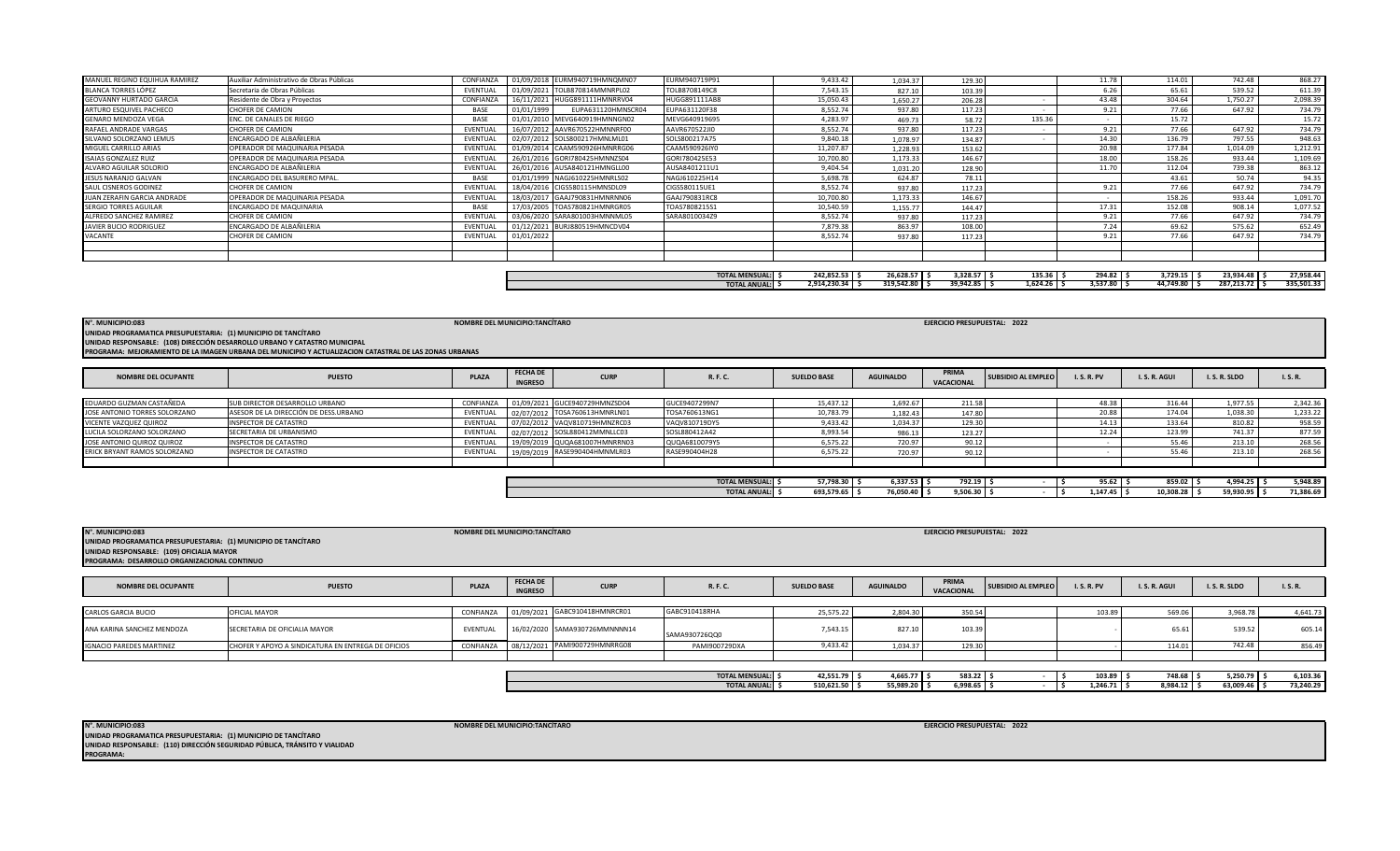**NOMBRE DEL MUNICIPIO:TANCÍTARO** 

| <b>NOMBRE DEL OCUPANTE</b>      | <b>PUESTO</b>                                      | <b>PLAZA</b> | <b>FECHA DE</b><br><b>INGRESO</b> | <b>CURP</b>                   | R. F. C.                                     | <b>SUELDO BASE</b>      | <b>AGUINALDO</b>         | PRIMA<br><b>VACACIONAL</b> | SUBSIDIO AL EMPLEO | <b>I.S.R.PV</b>       | I.S.R. AGUI        | I.S.R.SLDO            | I. S. R.              |
|---------------------------------|----------------------------------------------------|--------------|-----------------------------------|-------------------------------|----------------------------------------------|-------------------------|--------------------------|----------------------------|--------------------|-----------------------|--------------------|-----------------------|-----------------------|
| <b>CARLOS GARCIA BUCIO</b>      | OFICIAL MAYOR                                      | CONFIANZA    |                                   | 01/09/2021 GABC910418HMNRCR01 | GABC910418RHA                                | 25,575.22               | 2.804.30                 | 350.54                     |                    | 103.89                | 569.06             | 3,968.78              | 4.641.73              |
| ANA KARINA SANCHEZ MENDOZA      | SECRETARIA DE OFICIALIA MAYOR                      | EVENTUAL     |                                   | 16/02/2020 SAMA930726MMNNNN14 | SAMA930726QQ0                                | 7,543.15                | 827.1                    | 103.39                     |                    |                       | 65.61              | 539.52                | 605.14                |
| <b>IGNACIO PAREDES MARTINEZ</b> | CHOFER Y APOYO A SINDICATURA EN ENTREGA DE OFICIOS | CONFIANZA    |                                   | 08/12/2021 PAMI900729HMNRRG08 | PAMI900729DXA                                | 9,433.42                | 1,034.37                 | 129.30                     |                    |                       | 114.01             | 742.48                | 856.49                |
|                                 |                                                    |              |                                   |                               |                                              |                         |                          |                            |                    |                       |                    |                       |                       |
|                                 |                                                    |              |                                   |                               | <b>TOTAL MENSUAL:</b><br><b>TOTAL ANUAL:</b> | 42,551.79<br>510,621.50 | 4,665.77 \$<br>55,989.20 | 583.22<br>$6,998.65$ $ $   |                    | 103.89<br>1,246.71 \$ | 748.68<br>8,984.12 | 5,250.79<br>63,009.46 | 6,103.36<br>73,240.29 |

**NOMBRE DEL MUNICIPIO:TANCÍTARO N°. MUNICIPIO:083 EJERCICIO PRESUPUESTAL: 2022**

**INGRESO**

| <b>NOMBRE DEL OCUPANTE</b>    | <b>PUESTO</b>                         | <b>PLAZA</b> | <b>FECHA DE</b><br><b>INGRESO</b> | <b>CURP</b>                   | R. F. C.              | <b>SUELDO BASE</b> | <b>AGUINALDO</b> | PRIMA<br>VACACIONAL | SUBSIDIO AL EMPLEO | I. S. R. PV | I.S.R.AGUI | I.S.R.SLDO | I.S.R.    |
|-------------------------------|---------------------------------------|--------------|-----------------------------------|-------------------------------|-----------------------|--------------------|------------------|---------------------|--------------------|-------------|------------|------------|-----------|
|                               |                                       |              |                                   |                               |                       |                    |                  |                     |                    |             |            |            |           |
| EDUARDO GUZMAN CASTAÑEDA      | SUB DIRECTOR DESARROLLO URBANO        | CONFIANZA    |                                   | 01/09/2021 GUCE940729HMNZSD04 | GUCE9407299N7         | 15.437.12          | 1.692.67         | 211.58              |                    | 48.38       | 316.44     | 1.977.55   | 2,342.36  |
| JOSE ANTONIO TORRES SOLORZANO | ASESOR DE LA DIRECCIÓN DE DESS.URBANO | EVENTUAL     |                                   | 02/07/2012 TOSA760613HMNRLN01 | TOSA760613NG1         | 10,783.79          | 1.182.43         | 147.80              |                    | 20.88       | 174.04     | 1,038.30   | 1,233.22  |
| VICENTE VAZQUEZ QUIROZ        | INSPECTOR DE CATASTRO                 | EVENTUAL     |                                   | 07/02/2012 VAQV810719HMNZRC03 | VAQV810719DY5         | 9.433.42           | 1,034.37         | 129.30              |                    | 14.13       | 133.64     | 810.82     | 958.59    |
| LUCILA SOLORZANO SOLORZANO    | SECRETARIA DE URBANISMO               | EVENTUAL     |                                   | 02/07/2012 SOSL880412MMNLLC03 | SOSL880412A42         | 8,993.54           | 986.13           | 123.27              |                    | 12.24       | 123.99     | 741.37     | 877.59    |
| JOSE ANTONIO QUIROZ QUIROZ    | <b>INSPECTOR DE CATASTRO</b>          | EVENTUAL     |                                   | 19/09/2019 QUQA681007HMNRRN03 | QUQA6810079Y5         | 6,575.22           | 720.97           | 90.12               |                    |             | 55.46      | 213.10     | 268.56    |
| ERICK BRYANT RAMOS SOLORZANO  | <b>INSPECTOR DE CATASTRO</b>          | EVENTUAL     |                                   | 19/09/2019 RASE990404HMNMLR03 | RASE990404H28         | 6.575.22           | 720.97           | 90.12               |                    |             | 55.46      | 213.10     | 268.56    |
|                               |                                       |              |                                   |                               |                       |                    |                  |                     |                    |             |            |            |           |
|                               |                                       |              |                                   |                               |                       |                    |                  |                     |                    |             |            |            |           |
|                               |                                       |              |                                   |                               | <b>TOTAL MENSUAL:</b> | 57,798.30          | $6,337.53$ \$    | 792.19              |                    | 95.62       | 859.02     | 4,994.25   | 5,948.89  |
|                               |                                       |              |                                   |                               | <b>TOTAL ANUAL:</b>   | 693,579.65         | 76,050.40 \$     | 9,506.30            |                    | 1,147.45    | 10,308.28  | 59,930.95  | 71,386.69 |

**PROGRAMA: MEJORAMIENTO DE LA IMAGEN URBANA DEL MUNICIPIO Y ACTUALIZACION CATASTRAL DE LAS ZONAS URBANAS UNIDAD RESPONSABLE: (108) DIRECCIÓN DESARROLLO URBANO Y CATASTRO MUNICIPAL**

**UNIDAD PROGRAMATICA PRESUPUESTARIA: (1) MUNICIPIO DE TANCÍTARO**

|                                                                |                                | <b>TOTAL MENSUAL:</b> | 242,852.53   | 26,628.57  | 3,328.57                     | $135.36$ \$   | 294.82   | 3,729.15  |            | 27,958.44  |
|----------------------------------------------------------------|--------------------------------|-----------------------|--------------|------------|------------------------------|---------------|----------|-----------|------------|------------|
|                                                                |                                | <b>TOTAL ANUAL:</b>   | 2,914,230.34 | 319,542.80 | $39,942.85$ \$               | $1,624.26$ \$ | 3.537.80 | 44.749.80 | 287.213.72 | 335,501.33 |
|                                                                |                                |                       |              |            |                              |               |          |           |            |            |
|                                                                |                                |                       |              |            |                              |               |          |           |            |            |
|                                                                |                                |                       |              |            |                              |               |          |           |            |            |
| N°. MUNICIPIO:083                                              | NOMBRE DEL MUNICIPIO:TANCÍTARO |                       |              |            | EJERCICIO PRESUPUESTAL: 2022 |               |          |           |            |            |
| UNIDAD PROGRAMATICA PRESUPUESTARIA: (1) MUNICIPIO DE TANCÍTARO |                                |                       |              |            |                              |               |          |           |            |            |
|                                                                |                                |                       |              |            |                              |               |          |           |            |            |

| GENARO MENDOZA VEGA<br>RAFAEL ANDRADE VARGAS | <b>ENC. DE CANALES DE RIEGO</b><br><b>CHOFER DE CAMION</b> | BASE<br>EVENTUAL |            | 01/01/2010 MEVG640919HMNNGN02<br>16/07/2012 AAVR670522HMNNRF00 | MEVG640919695<br>AAVR670522JI0 | 4,283.97<br>8,552.74 | 469.73<br>937.80 | 58.72<br>117.23 | 135.36 | 9.21  | 15.72<br>77.66 | 647.92   | 15.72<br>734.79 |
|----------------------------------------------|------------------------------------------------------------|------------------|------------|----------------------------------------------------------------|--------------------------------|----------------------|------------------|-----------------|--------|-------|----------------|----------|-----------------|
| SILVANO SOLORZANO LEMUS                      | ENCARGADO DE ALBAÑILERIA                                   | EVENTUAL         |            | 02/07/2012 SOLS800217HMNLML01                                  | SOLS800217A75                  | 9.840.18             | 1,078.97         | 134.87          |        | 14.30 | 136.79         | 797.55   | 948.63          |
| MIGUEL CARRILLO ARIAS                        | OPERADOR DE MAQUINARIA PESADA                              | EVENTUAL         |            | 01/09/2014 CAAM590926HMNRRG06                                  | CAAM590926IY0                  | 11,207.87            | 1,228.93         | 153.62          |        | 20.98 | 177.84         | 1,014.09 | 1,212.91        |
| <b>ISAIAS GONZALEZ RUIZ</b>                  | OPERADOR DE MAQUINARIA PESADA                              | EVENTUAL         |            | 26/01/2016 GORI780425HMNNZS04                                  | GORI780425E53                  | 10,700.80            | 1,173.33         | 146.67          |        | 18.00 | 158.26         | 933.44   | 1,109.69        |
| ALVARO AGUILAR SOLORIO                       | ENCARGADO DE ALBAÑILERIA                                   | EVENTUAL         |            | 26/01/2016 AUSA840121HMNGLL00                                  | AUSA8401211U1                  | 9.404.54             | 1,031.20         | 128.90          |        | 11.70 | 112.04         | 739.38   | 863.12          |
| JESUS NARANJO GALVAN                         | ENCARGADO DEL BASURERO MPAL.                               | <b>BASE</b>      |            | 01/01/1999 NAGJ610225HMNRLS02                                  | NAGJ610225H14                  | 5.698.78             | 624.87           | 78.11           |        |       | 43.61          | 50.74    | 94.35           |
| SAUL CISNEROS GODINEZ                        | CHOFER DE CAMION                                           | EVENTUAL         |            | 18/04/2016 CIGS580115HMNSDL09                                  | CIGS580115UE1                  | 8.552.74             | 937.80           | 117.23          |        | 9.21  | 77.66          | 647.92   | 734.79          |
| JUAN ZERAFIN GARCIA ANDRADE                  | OPERADOR DE MAQUINARIA PESADA                              | EVENTUAL         |            | 18/03/2017 GAAJ790831HMNRNN06                                  | GAAJ790831RC8                  | 10.700.80            | 1,173.33         | 146.67          |        |       | 158.26         | 933.44   | 1,091.70        |
| SERGIO TORRES AGUILAR                        | <b>ENCARGADO DE MAQUINARIA</b>                             | BASE             |            | 17/03/2005 TOAS780821HMNRGR05                                  | TOAS7808215S1                  | 10,540.59            | 1,155.77         | 144.47          |        | 17.31 | 152.08         | 908.14   | 1,077.52        |
| ALFREDO SANCHEZ RAMIREZ                      | <b>CHOFER DE CAMION</b>                                    | EVENTUAL         |            | 03/06/2020 SARA801003HMNNML05                                  | SARA8010034Z9                  | 8.552.74             | 937.80           | 117.23          |        | 9.21  | 77.66          | 647.92   | 734.79          |
| JAVIER BUCIO RODRIGUEZ                       | ENCARGADO DE ALBAÑILERIA                                   | EVENTUAL         |            | 01/12/2021 BURJ880519HMNCDV04                                  |                                | 7,879.38             | 863.97           | 108.00          |        | 7.24  | 69.62          | 575.62   | 652.49          |
| VACANTE                                      | CHOFER DE CAMION                                           | EVENTUAL         | 01/01/2022 |                                                                |                                | 8,552.74             | 937.80           | 117.23          |        | 9.21  | 77.66          | 647.92   | 734.79          |
|                                              |                                                            |                  |            |                                                                |                                |                      |                  |                 |        |       |                |          |                 |
|                                              |                                                            |                  |            |                                                                |                                |                      |                  |                 |        |       |                |          |                 |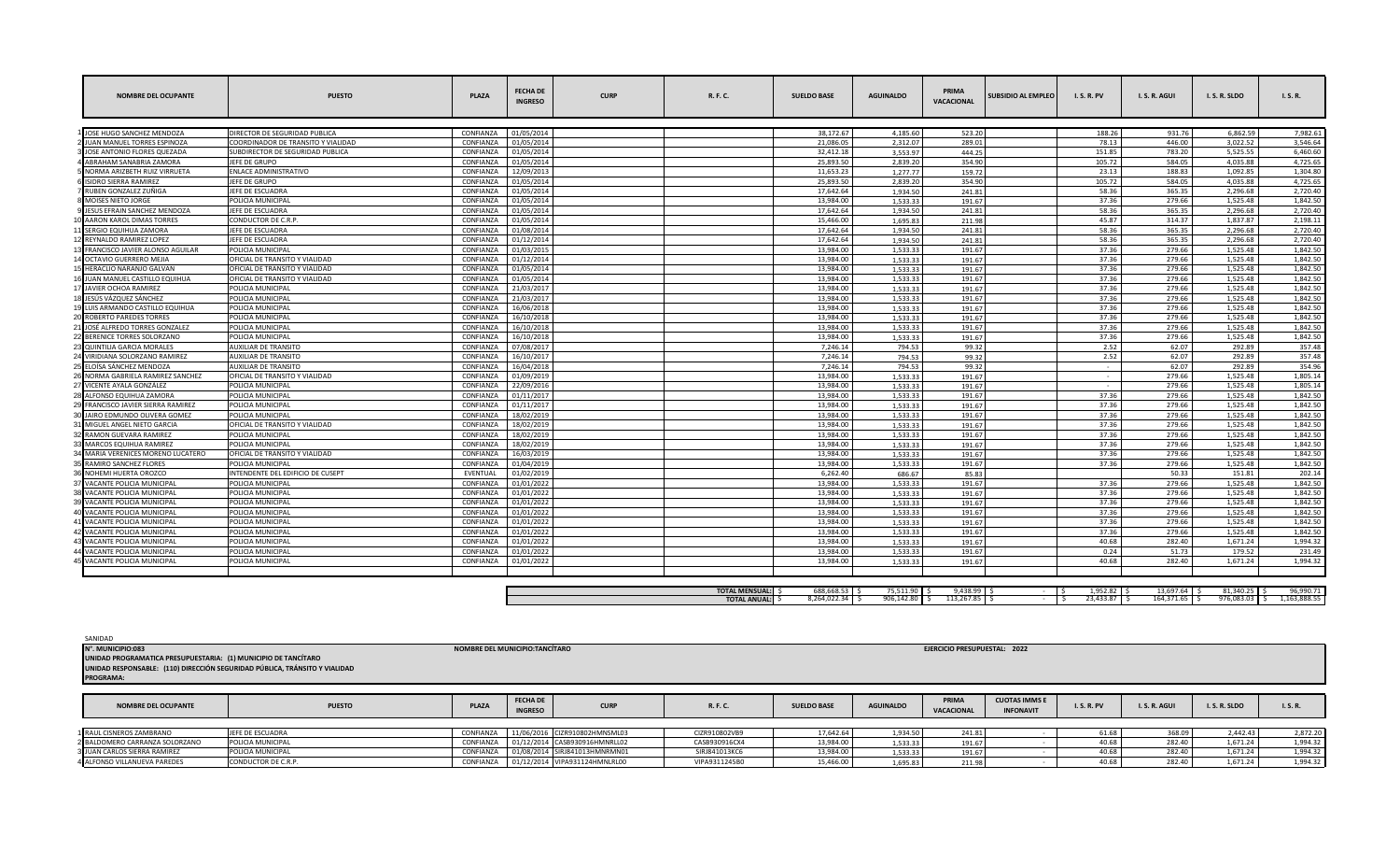| 01/05/2014<br>38.172.67<br>931.76<br>6.862.59<br>JOSE HUGO SANCHEZ MENDOZA<br>DIRECTOR DE SEGURIDAD PUBLICA<br>CONFIANZA<br>4.185.60<br>523.20<br>188.26<br>7.982.61<br><b>UAN MANUEL TORRES ESPINOZA</b><br><b>CONFIANZA</b><br>01/05/2014<br>21.086.05<br>78.13<br>446.00<br>3,022.52<br>COORDINADOR DE TRANSITO Y VIALIDAD<br>2,312.07<br>289.01<br>CONFIANZ/<br>01/05/2014<br>32,412.18<br>151.85<br>783.20<br>5,525.55<br>JOSE ANTONIO FLORES QUEZADA<br>SUBDIRECTOR DE SEGURIDAD PUBLICA<br>3.553.97<br>444.25<br>01/05/2014<br>25.893.50<br>105.72<br>584.05<br>4.035.88<br>ABRAHAM SANABRIA ZAMORA<br>JEFE DE GRUPO<br><b>CONFIANZA</b><br>2.839.20<br>354.90<br><b>CONFIANZA</b><br>12/09/2013<br>11,653.23<br>188.83<br>NORMA ARIZBETH RUIZ VIRRUETA<br>ENLACE ADMINISTRATIVO<br>23.13<br>1.092.85<br>1.277.77<br>159.72<br><b>ISIDRO SIERRA RAMIREZ</b><br>JEFE DE GRUPO<br>CONFIANZ/<br>01/05/2014<br>25.893.50<br>105.72<br>584.05<br>4.035.88<br>2,839.20<br>354.90<br>RUBEN GONZALEZ ZUÑIGA<br>CONFIANZ/<br>01/05/2014<br>17,642.64<br>58.36<br>365.35<br>2,296.68<br>JEFE DE ESCUADRA<br>1.934.50<br>241.81<br>POLICIA MUNICIPAL<br><b>CONFIANZA</b><br>01/05/2014<br>13.984.00<br>1.533.33<br>37.36<br>279.66<br>1.525.48<br>MOISES NIETO JORGE<br>191.67<br><b>CONFIANZA</b><br>01/05/2014<br>17.642.64<br>58.36<br>365.35<br>JESUS EFRAIN SANCHEZ MENDOZA<br>JEFE DE ESCUADRA<br>1.934.50<br>241.81<br>2.296.68<br>AARON KAROL DIMAS TORRES<br>CONDUCTOR DE C.R.P.<br>CONFIANZA<br>01/05/2014<br>15.466.00<br>45.87<br>314.37<br>1.837.87<br>1,695.83<br>211.98<br>01/08/2014<br>17.642.64<br>58.36<br>JEFE DE ESCUADRA<br><b>CONFIANZ</b><br>365.35<br>2,296.68<br>SERGIO EQUIHUA ZAMORA<br>1.934.50<br>241.81<br>01/12/2014<br>17.642.64<br>58.36<br>REYNALDO RAMIREZ LOPEZ<br>JEFE DE ESCUADRA<br><b>CONFIANZA</b><br>1.934.50<br>241.81<br>365.35<br>2.296.68<br><b>CONFIANZA</b><br>01/03/2015<br>13.984.00<br>37.36<br>279.66<br>1.525.48<br>FRANCISCO JAVIER ALONSO AGUILAR<br>POLICIA MUNICIPAL<br>1.533.33<br>191.67<br>OCTAVIO GUERRERO MEJIA<br>OFICIAL DE TRANSITO Y VIALIDAD<br>CONFIANZ/<br>01/12/2014<br>13.984.00<br>1,533.33<br>37.36<br>279.66<br>1.525.48<br>191.67<br>HERACLIO NARANJO GALVAN<br>OFICIAL DE TRANSITO Y VIALIDAD<br>CONFIANZ/<br>01/05/2014<br>13,984.00<br>1.533.33<br>191.67<br>37.36<br>279.66<br>1,525.48<br>13.984.00<br>37.36<br>279.66<br>1.525.48<br>6 JUAN MANUEL CASTILLO EQUIHUA<br>OFICIAL DE TRANSITO Y VIALIDAD<br><b>CONFIANZA</b><br>01/05/2014<br>1.533.33<br>191.67<br>CONFIANZA<br>21/03/2017<br>13.984.00<br>37.36<br>279.66<br>1.525.48<br><b>JAVIER OCHOA RAMIREZ</b><br>POLICIA MUNICIPAL<br>1.533.33<br>191.67<br>POLICIA MUNICIPAL<br>21/03/2017<br>13.984.00<br>1.533.33<br>37.36<br>279.66<br>1.525.48<br>8 JESÚS VÁZQUEZ SÁNCHEZ<br>CONFIANZ/<br>191.67<br>9 LUIS ARMANDO CASTILLO EQUIHUA<br>POLICIA MUNICIPAL<br>CONFIANZ/<br>16/06/2018<br>13,984.00<br>1.533.33<br>191.67<br>37.36<br>279.66<br>1,525.48<br>16/10/2018<br>13.984.00<br>20 ROBERTO PAREDES TORRES<br>POLICIA MUNICIPAL<br>CONFIANZA<br>1.533.33<br>191.67<br>37.36<br>279.66<br>1.525.48<br>37.36<br>JOSÉ ALFREDO TORRES GONZALEZ<br>POLICIA MUNICIPAL<br>CONFIANZA<br>16/10/2018<br>13.984.00<br>1.533.33<br>191.67<br>279.66<br>1,525.48<br>POLICIA MUNICIPAL<br>CONFIANZ/<br>16/10/2018<br>13.984.00<br>37.36<br>279.66<br>1.525.48<br>BERENICE TORRES SOLORZANO<br>1,533.33<br>191.67<br>23 QUINTILIA GARCIA MORALES<br><b>AUXILIAR DE TRANSITO</b><br><b>CONFIANZA</b><br>07/08/2017<br>7,246.14<br>99.32<br>2.52<br>62.07<br>292.89<br>794.53<br>7.246.14<br>62.07<br>4 VIRIDIANA SOLORZANO RAMIREZ<br>CONFIANZA<br>16/10/2017<br>2.52<br>292.89<br><b>AUXILIAR DE TRANSITO</b><br>794.53<br>99.32<br>7.246.14<br>ELOÍSA SÁNCHEZ MENDOZA<br><b>AUXILIAR DE TRANSITO</b><br>CONFIANZA<br>16/04/2018<br>794.53<br>62.07<br>292.89<br>99.32<br>$\sim$<br>01/09/2019<br>13.984.00<br>279.66<br>1.525.48<br>NORMA GABRIELA RAMIREZ SANCHEZ<br>OFICIAL DE TRANSITO Y VIALIDAD<br>CONFIANZ/<br>1.533.33<br>191.67<br><b>CONFIANZA</b><br>22/09/2016<br>13,984.00<br>279.66<br>1,525.48<br>7 VICENTE AYALA GONZÁLEZ<br>POLICIA MUNICIPAL<br>1,533.33<br>191.67<br>POLICIA MUNICIPAL<br><b>CONFIANZA</b><br>01/11/2017<br>13.984.00<br>37.36<br>279.66<br>1.525.48<br>8 ALFONSO EQUIHUA ZAMORA<br>1.533.33<br>191.67<br>FRANCISCO JAVIER SIERRA RAMIREZ<br>POLICIA MUNICIPAL<br>CONFIANZA<br>01/11/2017<br>13.984.00<br>1.533.33<br>191.67<br>37.36<br>279.66<br>1.525.48<br>18/02/2019<br>13,984.00<br>JAIRO EDMUNDO OLIVERA GOMEZ<br>POLICIA MUNICIPAL<br>CONFIANZ/<br>1.533.33<br>191.67<br>37.36<br>279.66<br>1,525.48<br>1,842.50<br>18/02/2019<br>13,984.00<br>37.36<br>279.66<br>1,525.48<br>1,842.50<br>MIGUEL ANGEL NIETO GARCIA<br>OFICIAL DE TRANSITO Y VIALIDAD<br><b>CONFIANZA</b><br>1.533.33<br>191.67<br>CONFIANZA<br>18/02/2019<br>13.984.00<br>37.36<br>279.66<br>1.525.48<br><b>RAMON GUEVARA RAMIREZ</b><br>POLICIA MUNICIPAL<br>1.533.33<br>191.67<br><b>MARCOS EQUIHUA RAMIREZ</b><br>POLICIA MUNICIPAL<br>CONFIANZ/<br>18/02/2019<br>13.984.00<br>1.533.33<br>191.67<br>37.36<br>279.66<br>1.525.48<br>1.842.50<br>16/03/2019<br>13.984.00<br>OFICIAL DE TRANSITO Y VIALIDAD<br><b>CONFIANZA</b><br>37.36<br>279.66<br>1.525.48<br>1,842.50<br>MARIA VERENICES MORENO LUCATERO<br>1,533.33<br>191.67<br>RAMIRO SANCHEZ FLORES<br>CONFIANZ/<br>01/04/2019<br>13.984.00<br>37.36<br>279.66<br>1,525.48<br>1,842.50<br>POLICIA MUNICIPAL<br>1.533.33<br>191.67<br>NOHEMI HUERTA OROZCO<br>EVENTUAL<br>01/02/2019<br>6.262.40<br>50.33<br>INTENDENTE DEL EDIFICIO DE CUSEPT<br>686.67<br>85.83<br>151.81<br>202.14<br>VACANTE POLICIA MUNICIPAL<br>POLICIA MUNICIPAL<br>CONFIANZ/<br>01/01/2022<br>13.984.00<br>1,533.33<br>191.67<br>37.36<br>279.66<br>1.525.48<br>1.842.50<br>CONFIANZ/<br>13.984.00<br>VACANTE POLICIA MUNICIPAL<br>POLICIA MUNICIPAL<br>01/01/2022<br>37.36<br>279.66<br>1.525.48<br>1,842.50<br>1,533.33<br>191.67<br><b>CONFIANZA</b><br>01/01/2022<br>13.984.00<br>37.36<br>279.66<br>1,525.48<br>1.842.50<br>VACANTE POLICIA MUNICIPAL<br>POLICIA MUNICIPAL<br>1,533.33<br>191.67<br>CONFIANZ/<br>01/01/2022<br>13.984.00<br>37.36<br>1.842.50<br>VACANTE POLICIA MUNICIPAL<br>POLICIA MUNICIPAL<br>1.533.33<br>191.67<br>279.66<br>1.525.48<br>13.984.00<br>VACANTE POLICIA MUNICIPAL<br>POLICIA MUNICIPAL<br>CONFIANZA<br>01/01/2022<br>1.533.33<br>37.36<br>279.66<br>1.525.48<br>1.842.50<br>191.67<br>VACANTE POLICIA MUNICIPAL<br>POLICIA MUNICIPAL<br><b>CONFIANZA</b><br>01/01/2022<br>13,984.00<br>191.67<br>37.36<br>279.66<br>1,525.48<br>1,842.50<br>1,533.33<br>01/01/2022<br>13.984.00<br>40.68<br>282.40<br>1,994.32<br>VACANTE POLICIA MUNICIPAL<br>POLICIA MUNICIPAL<br>CONFIANZ/<br>1.533.33<br>191.67<br>1,671.24<br>VACANTE POLICIA MUNICIPAL<br>CONFIANZ/<br>01/01/2022<br>13.984.00<br>51.73<br>179.52<br>POLICIA MUNICIPAL<br>1.533.33<br>191.67<br>0.24<br>231.49<br>POLICIA MUNICIPAL<br>01/01/2022<br>13.984.00<br>40.68<br>282.40<br>1.671.24<br>1.994.32<br>VACANTE POLICIA MUNICIPAL<br>CONFIANZA<br>1,533.33<br>191.67<br>688.668.53<br>75,511.90 \$<br>$9,438.99$ \$<br>1.952.82<br>$13.697.64$ S<br>81.340.25<br><b>TOTAL MENSUAL:</b> S<br>8,264,022.34<br>906,142.80 \$<br>23,433.87<br>164,371.65 \$<br>$113,267.85$ $\sqrt{5}$<br>976,083.03<br><b>TOTAL ANUAL: \$</b><br>IS. | <b>NOMBRE DEL OCUPANTE</b> | <b>PUESTO</b> | <b>PLAZA</b> | <b>FECHA DE</b><br><b>INGRESO</b> | <b>CURP</b> | R. F. C. | <b>SUELDO BASE</b> | <b>AGUINALDO</b> | PRIMA<br><b>VACACIONAL</b> | <b>SUBSIDIO AL EMPLEO</b> | <b>I.S.R.PV</b> | I.S.R.AGUI | I.S.R.SLDO | I. S. R.     |
|-----------------------------------------------------------------------------------------------------------------------------------------------------------------------------------------------------------------------------------------------------------------------------------------------------------------------------------------------------------------------------------------------------------------------------------------------------------------------------------------------------------------------------------------------------------------------------------------------------------------------------------------------------------------------------------------------------------------------------------------------------------------------------------------------------------------------------------------------------------------------------------------------------------------------------------------------------------------------------------------------------------------------------------------------------------------------------------------------------------------------------------------------------------------------------------------------------------------------------------------------------------------------------------------------------------------------------------------------------------------------------------------------------------------------------------------------------------------------------------------------------------------------------------------------------------------------------------------------------------------------------------------------------------------------------------------------------------------------------------------------------------------------------------------------------------------------------------------------------------------------------------------------------------------------------------------------------------------------------------------------------------------------------------------------------------------------------------------------------------------------------------------------------------------------------------------------------------------------------------------------------------------------------------------------------------------------------------------------------------------------------------------------------------------------------------------------------------------------------------------------------------------------------------------------------------------------------------------------------------------------------------------------------------------------------------------------------------------------------------------------------------------------------------------------------------------------------------------------------------------------------------------------------------------------------------------------------------------------------------------------------------------------------------------------------------------------------------------------------------------------------------------------------------------------------------------------------------------------------------------------------------------------------------------------------------------------------------------------------------------------------------------------------------------------------------------------------------------------------------------------------------------------------------------------------------------------------------------------------------------------------------------------------------------------------------------------------------------------------------------------------------------------------------------------------------------------------------------------------------------------------------------------------------------------------------------------------------------------------------------------------------------------------------------------------------------------------------------------------------------------------------------------------------------------------------------------------------------------------------------------------------------------------------------------------------------------------------------------------------------------------------------------------------------------------------------------------------------------------------------------------------------------------------------------------------------------------------------------------------------------------------------------------------------------------------------------------------------------------------------------------------------------------------------------------------------------------------------------------------------------------------------------------------------------------------------------------------------------------------------------------------------------------------------------------------------------------------------------------------------------------------------------------------------------------------------------------------------------------------------------------------------------------------------------------------------------------------------------------------------------------------------------------------------------------------------------------------------------------------------------------------------------------------------------------------------------------------------------------------------------------------------------------------------------------------------------------------------------------------------------------------------------------------------------------------------------------------------------------------------------------------------------------------------------------------------------------------------------------------------------------------------------------------------------------------------------------------------------------------------------------------------------------------------------------------------------------------------------------------------------------------------------------------------------------------------------------------------------------------------------------------------------------------------------------------------------------------------------------------------------------------------------------------------------------------------------------------------------------------------------------------------------------------------------------------------------------------------------------------------------------------------------------------------------------------------------------------------------------------------------------------------------------------------------------------------------------------------------------------------------------------------------------------------------------------------------------------------------------------------------------------------------------------------------------------------------------------------------------------------------------------------------------------------------------------------------------------------------------------------------------------------------------------------|----------------------------|---------------|--------------|-----------------------------------|-------------|----------|--------------------|------------------|----------------------------|---------------------------|-----------------|------------|------------|--------------|
|                                                                                                                                                                                                                                                                                                                                                                                                                                                                                                                                                                                                                                                                                                                                                                                                                                                                                                                                                                                                                                                                                                                                                                                                                                                                                                                                                                                                                                                                                                                                                                                                                                                                                                                                                                                                                                                                                                                                                                                                                                                                                                                                                                                                                                                                                                                                                                                                                                                                                                                                                                                                                                                                                                                                                                                                                                                                                                                                                                                                                                                                                                                                                                                                                                                                                                                                                                                                                                                                                                                                                                                                                                                                                                                                                                                                                                                                                                                                                                                                                                                                                                                                                                                                                                                                                                                                                                                                                                                                                                                                                                                                                                                                                                                                                                                                                                                                                                                                                                                                                                                                                                                                                                                                                                                                                                                                                                                                                                                                                                                                                                                                                                                                                                                                                                                                                                                                                                                                                                                                                                                                                                                                                                                                                                                                                                                                                                                                                                                                                                                                                                                                                                                                                                                                                                                                                                                                                                                                                                                                                                                                                                                                                                                                                                                                                                                                                                                                                 |                            |               |              |                                   |             |          |                    |                  |                            |                           |                 |            |            |              |
|                                                                                                                                                                                                                                                                                                                                                                                                                                                                                                                                                                                                                                                                                                                                                                                                                                                                                                                                                                                                                                                                                                                                                                                                                                                                                                                                                                                                                                                                                                                                                                                                                                                                                                                                                                                                                                                                                                                                                                                                                                                                                                                                                                                                                                                                                                                                                                                                                                                                                                                                                                                                                                                                                                                                                                                                                                                                                                                                                                                                                                                                                                                                                                                                                                                                                                                                                                                                                                                                                                                                                                                                                                                                                                                                                                                                                                                                                                                                                                                                                                                                                                                                                                                                                                                                                                                                                                                                                                                                                                                                                                                                                                                                                                                                                                                                                                                                                                                                                                                                                                                                                                                                                                                                                                                                                                                                                                                                                                                                                                                                                                                                                                                                                                                                                                                                                                                                                                                                                                                                                                                                                                                                                                                                                                                                                                                                                                                                                                                                                                                                                                                                                                                                                                                                                                                                                                                                                                                                                                                                                                                                                                                                                                                                                                                                                                                                                                                                                 |                            |               |              |                                   |             |          |                    |                  |                            |                           |                 |            |            | 3.546.64     |
|                                                                                                                                                                                                                                                                                                                                                                                                                                                                                                                                                                                                                                                                                                                                                                                                                                                                                                                                                                                                                                                                                                                                                                                                                                                                                                                                                                                                                                                                                                                                                                                                                                                                                                                                                                                                                                                                                                                                                                                                                                                                                                                                                                                                                                                                                                                                                                                                                                                                                                                                                                                                                                                                                                                                                                                                                                                                                                                                                                                                                                                                                                                                                                                                                                                                                                                                                                                                                                                                                                                                                                                                                                                                                                                                                                                                                                                                                                                                                                                                                                                                                                                                                                                                                                                                                                                                                                                                                                                                                                                                                                                                                                                                                                                                                                                                                                                                                                                                                                                                                                                                                                                                                                                                                                                                                                                                                                                                                                                                                                                                                                                                                                                                                                                                                                                                                                                                                                                                                                                                                                                                                                                                                                                                                                                                                                                                                                                                                                                                                                                                                                                                                                                                                                                                                                                                                                                                                                                                                                                                                                                                                                                                                                                                                                                                                                                                                                                                                 |                            |               |              |                                   |             |          |                    |                  |                            |                           |                 |            |            | 6,460.60     |
|                                                                                                                                                                                                                                                                                                                                                                                                                                                                                                                                                                                                                                                                                                                                                                                                                                                                                                                                                                                                                                                                                                                                                                                                                                                                                                                                                                                                                                                                                                                                                                                                                                                                                                                                                                                                                                                                                                                                                                                                                                                                                                                                                                                                                                                                                                                                                                                                                                                                                                                                                                                                                                                                                                                                                                                                                                                                                                                                                                                                                                                                                                                                                                                                                                                                                                                                                                                                                                                                                                                                                                                                                                                                                                                                                                                                                                                                                                                                                                                                                                                                                                                                                                                                                                                                                                                                                                                                                                                                                                                                                                                                                                                                                                                                                                                                                                                                                                                                                                                                                                                                                                                                                                                                                                                                                                                                                                                                                                                                                                                                                                                                                                                                                                                                                                                                                                                                                                                                                                                                                                                                                                                                                                                                                                                                                                                                                                                                                                                                                                                                                                                                                                                                                                                                                                                                                                                                                                                                                                                                                                                                                                                                                                                                                                                                                                                                                                                                                 |                            |               |              |                                   |             |          |                    |                  |                            |                           |                 |            |            | 4.725.65     |
|                                                                                                                                                                                                                                                                                                                                                                                                                                                                                                                                                                                                                                                                                                                                                                                                                                                                                                                                                                                                                                                                                                                                                                                                                                                                                                                                                                                                                                                                                                                                                                                                                                                                                                                                                                                                                                                                                                                                                                                                                                                                                                                                                                                                                                                                                                                                                                                                                                                                                                                                                                                                                                                                                                                                                                                                                                                                                                                                                                                                                                                                                                                                                                                                                                                                                                                                                                                                                                                                                                                                                                                                                                                                                                                                                                                                                                                                                                                                                                                                                                                                                                                                                                                                                                                                                                                                                                                                                                                                                                                                                                                                                                                                                                                                                                                                                                                                                                                                                                                                                                                                                                                                                                                                                                                                                                                                                                                                                                                                                                                                                                                                                                                                                                                                                                                                                                                                                                                                                                                                                                                                                                                                                                                                                                                                                                                                                                                                                                                                                                                                                                                                                                                                                                                                                                                                                                                                                                                                                                                                                                                                                                                                                                                                                                                                                                                                                                                                                 |                            |               |              |                                   |             |          |                    |                  |                            |                           |                 |            |            | 1.304.80     |
|                                                                                                                                                                                                                                                                                                                                                                                                                                                                                                                                                                                                                                                                                                                                                                                                                                                                                                                                                                                                                                                                                                                                                                                                                                                                                                                                                                                                                                                                                                                                                                                                                                                                                                                                                                                                                                                                                                                                                                                                                                                                                                                                                                                                                                                                                                                                                                                                                                                                                                                                                                                                                                                                                                                                                                                                                                                                                                                                                                                                                                                                                                                                                                                                                                                                                                                                                                                                                                                                                                                                                                                                                                                                                                                                                                                                                                                                                                                                                                                                                                                                                                                                                                                                                                                                                                                                                                                                                                                                                                                                                                                                                                                                                                                                                                                                                                                                                                                                                                                                                                                                                                                                                                                                                                                                                                                                                                                                                                                                                                                                                                                                                                                                                                                                                                                                                                                                                                                                                                                                                                                                                                                                                                                                                                                                                                                                                                                                                                                                                                                                                                                                                                                                                                                                                                                                                                                                                                                                                                                                                                                                                                                                                                                                                                                                                                                                                                                                                 |                            |               |              |                                   |             |          |                    |                  |                            |                           |                 |            |            | 4.725.65     |
|                                                                                                                                                                                                                                                                                                                                                                                                                                                                                                                                                                                                                                                                                                                                                                                                                                                                                                                                                                                                                                                                                                                                                                                                                                                                                                                                                                                                                                                                                                                                                                                                                                                                                                                                                                                                                                                                                                                                                                                                                                                                                                                                                                                                                                                                                                                                                                                                                                                                                                                                                                                                                                                                                                                                                                                                                                                                                                                                                                                                                                                                                                                                                                                                                                                                                                                                                                                                                                                                                                                                                                                                                                                                                                                                                                                                                                                                                                                                                                                                                                                                                                                                                                                                                                                                                                                                                                                                                                                                                                                                                                                                                                                                                                                                                                                                                                                                                                                                                                                                                                                                                                                                                                                                                                                                                                                                                                                                                                                                                                                                                                                                                                                                                                                                                                                                                                                                                                                                                                                                                                                                                                                                                                                                                                                                                                                                                                                                                                                                                                                                                                                                                                                                                                                                                                                                                                                                                                                                                                                                                                                                                                                                                                                                                                                                                                                                                                                                                 |                            |               |              |                                   |             |          |                    |                  |                            |                           |                 |            |            | 2,720.40     |
|                                                                                                                                                                                                                                                                                                                                                                                                                                                                                                                                                                                                                                                                                                                                                                                                                                                                                                                                                                                                                                                                                                                                                                                                                                                                                                                                                                                                                                                                                                                                                                                                                                                                                                                                                                                                                                                                                                                                                                                                                                                                                                                                                                                                                                                                                                                                                                                                                                                                                                                                                                                                                                                                                                                                                                                                                                                                                                                                                                                                                                                                                                                                                                                                                                                                                                                                                                                                                                                                                                                                                                                                                                                                                                                                                                                                                                                                                                                                                                                                                                                                                                                                                                                                                                                                                                                                                                                                                                                                                                                                                                                                                                                                                                                                                                                                                                                                                                                                                                                                                                                                                                                                                                                                                                                                                                                                                                                                                                                                                                                                                                                                                                                                                                                                                                                                                                                                                                                                                                                                                                                                                                                                                                                                                                                                                                                                                                                                                                                                                                                                                                                                                                                                                                                                                                                                                                                                                                                                                                                                                                                                                                                                                                                                                                                                                                                                                                                                                 |                            |               |              |                                   |             |          |                    |                  |                            |                           |                 |            |            | 1.842.50     |
|                                                                                                                                                                                                                                                                                                                                                                                                                                                                                                                                                                                                                                                                                                                                                                                                                                                                                                                                                                                                                                                                                                                                                                                                                                                                                                                                                                                                                                                                                                                                                                                                                                                                                                                                                                                                                                                                                                                                                                                                                                                                                                                                                                                                                                                                                                                                                                                                                                                                                                                                                                                                                                                                                                                                                                                                                                                                                                                                                                                                                                                                                                                                                                                                                                                                                                                                                                                                                                                                                                                                                                                                                                                                                                                                                                                                                                                                                                                                                                                                                                                                                                                                                                                                                                                                                                                                                                                                                                                                                                                                                                                                                                                                                                                                                                                                                                                                                                                                                                                                                                                                                                                                                                                                                                                                                                                                                                                                                                                                                                                                                                                                                                                                                                                                                                                                                                                                                                                                                                                                                                                                                                                                                                                                                                                                                                                                                                                                                                                                                                                                                                                                                                                                                                                                                                                                                                                                                                                                                                                                                                                                                                                                                                                                                                                                                                                                                                                                                 |                            |               |              |                                   |             |          |                    |                  |                            |                           |                 |            |            | 2,720.40     |
|                                                                                                                                                                                                                                                                                                                                                                                                                                                                                                                                                                                                                                                                                                                                                                                                                                                                                                                                                                                                                                                                                                                                                                                                                                                                                                                                                                                                                                                                                                                                                                                                                                                                                                                                                                                                                                                                                                                                                                                                                                                                                                                                                                                                                                                                                                                                                                                                                                                                                                                                                                                                                                                                                                                                                                                                                                                                                                                                                                                                                                                                                                                                                                                                                                                                                                                                                                                                                                                                                                                                                                                                                                                                                                                                                                                                                                                                                                                                                                                                                                                                                                                                                                                                                                                                                                                                                                                                                                                                                                                                                                                                                                                                                                                                                                                                                                                                                                                                                                                                                                                                                                                                                                                                                                                                                                                                                                                                                                                                                                                                                                                                                                                                                                                                                                                                                                                                                                                                                                                                                                                                                                                                                                                                                                                                                                                                                                                                                                                                                                                                                                                                                                                                                                                                                                                                                                                                                                                                                                                                                                                                                                                                                                                                                                                                                                                                                                                                                 |                            |               |              |                                   |             |          |                    |                  |                            |                           |                 |            |            | 2.198.11     |
|                                                                                                                                                                                                                                                                                                                                                                                                                                                                                                                                                                                                                                                                                                                                                                                                                                                                                                                                                                                                                                                                                                                                                                                                                                                                                                                                                                                                                                                                                                                                                                                                                                                                                                                                                                                                                                                                                                                                                                                                                                                                                                                                                                                                                                                                                                                                                                                                                                                                                                                                                                                                                                                                                                                                                                                                                                                                                                                                                                                                                                                                                                                                                                                                                                                                                                                                                                                                                                                                                                                                                                                                                                                                                                                                                                                                                                                                                                                                                                                                                                                                                                                                                                                                                                                                                                                                                                                                                                                                                                                                                                                                                                                                                                                                                                                                                                                                                                                                                                                                                                                                                                                                                                                                                                                                                                                                                                                                                                                                                                                                                                                                                                                                                                                                                                                                                                                                                                                                                                                                                                                                                                                                                                                                                                                                                                                                                                                                                                                                                                                                                                                                                                                                                                                                                                                                                                                                                                                                                                                                                                                                                                                                                                                                                                                                                                                                                                                                                 |                            |               |              |                                   |             |          |                    |                  |                            |                           |                 |            |            | 2,720.40     |
|                                                                                                                                                                                                                                                                                                                                                                                                                                                                                                                                                                                                                                                                                                                                                                                                                                                                                                                                                                                                                                                                                                                                                                                                                                                                                                                                                                                                                                                                                                                                                                                                                                                                                                                                                                                                                                                                                                                                                                                                                                                                                                                                                                                                                                                                                                                                                                                                                                                                                                                                                                                                                                                                                                                                                                                                                                                                                                                                                                                                                                                                                                                                                                                                                                                                                                                                                                                                                                                                                                                                                                                                                                                                                                                                                                                                                                                                                                                                                                                                                                                                                                                                                                                                                                                                                                                                                                                                                                                                                                                                                                                                                                                                                                                                                                                                                                                                                                                                                                                                                                                                                                                                                                                                                                                                                                                                                                                                                                                                                                                                                                                                                                                                                                                                                                                                                                                                                                                                                                                                                                                                                                                                                                                                                                                                                                                                                                                                                                                                                                                                                                                                                                                                                                                                                                                                                                                                                                                                                                                                                                                                                                                                                                                                                                                                                                                                                                                                                 |                            |               |              |                                   |             |          |                    |                  |                            |                           |                 |            |            | 2.720.40     |
|                                                                                                                                                                                                                                                                                                                                                                                                                                                                                                                                                                                                                                                                                                                                                                                                                                                                                                                                                                                                                                                                                                                                                                                                                                                                                                                                                                                                                                                                                                                                                                                                                                                                                                                                                                                                                                                                                                                                                                                                                                                                                                                                                                                                                                                                                                                                                                                                                                                                                                                                                                                                                                                                                                                                                                                                                                                                                                                                                                                                                                                                                                                                                                                                                                                                                                                                                                                                                                                                                                                                                                                                                                                                                                                                                                                                                                                                                                                                                                                                                                                                                                                                                                                                                                                                                                                                                                                                                                                                                                                                                                                                                                                                                                                                                                                                                                                                                                                                                                                                                                                                                                                                                                                                                                                                                                                                                                                                                                                                                                                                                                                                                                                                                                                                                                                                                                                                                                                                                                                                                                                                                                                                                                                                                                                                                                                                                                                                                                                                                                                                                                                                                                                                                                                                                                                                                                                                                                                                                                                                                                                                                                                                                                                                                                                                                                                                                                                                                 |                            |               |              |                                   |             |          |                    |                  |                            |                           |                 |            |            | 1.842.50     |
|                                                                                                                                                                                                                                                                                                                                                                                                                                                                                                                                                                                                                                                                                                                                                                                                                                                                                                                                                                                                                                                                                                                                                                                                                                                                                                                                                                                                                                                                                                                                                                                                                                                                                                                                                                                                                                                                                                                                                                                                                                                                                                                                                                                                                                                                                                                                                                                                                                                                                                                                                                                                                                                                                                                                                                                                                                                                                                                                                                                                                                                                                                                                                                                                                                                                                                                                                                                                                                                                                                                                                                                                                                                                                                                                                                                                                                                                                                                                                                                                                                                                                                                                                                                                                                                                                                                                                                                                                                                                                                                                                                                                                                                                                                                                                                                                                                                                                                                                                                                                                                                                                                                                                                                                                                                                                                                                                                                                                                                                                                                                                                                                                                                                                                                                                                                                                                                                                                                                                                                                                                                                                                                                                                                                                                                                                                                                                                                                                                                                                                                                                                                                                                                                                                                                                                                                                                                                                                                                                                                                                                                                                                                                                                                                                                                                                                                                                                                                                 |                            |               |              |                                   |             |          |                    |                  |                            |                           |                 |            |            | 1,842.50     |
|                                                                                                                                                                                                                                                                                                                                                                                                                                                                                                                                                                                                                                                                                                                                                                                                                                                                                                                                                                                                                                                                                                                                                                                                                                                                                                                                                                                                                                                                                                                                                                                                                                                                                                                                                                                                                                                                                                                                                                                                                                                                                                                                                                                                                                                                                                                                                                                                                                                                                                                                                                                                                                                                                                                                                                                                                                                                                                                                                                                                                                                                                                                                                                                                                                                                                                                                                                                                                                                                                                                                                                                                                                                                                                                                                                                                                                                                                                                                                                                                                                                                                                                                                                                                                                                                                                                                                                                                                                                                                                                                                                                                                                                                                                                                                                                                                                                                                                                                                                                                                                                                                                                                                                                                                                                                                                                                                                                                                                                                                                                                                                                                                                                                                                                                                                                                                                                                                                                                                                                                                                                                                                                                                                                                                                                                                                                                                                                                                                                                                                                                                                                                                                                                                                                                                                                                                                                                                                                                                                                                                                                                                                                                                                                                                                                                                                                                                                                                                 |                            |               |              |                                   |             |          |                    |                  |                            |                           |                 |            |            | 1,842.50     |
|                                                                                                                                                                                                                                                                                                                                                                                                                                                                                                                                                                                                                                                                                                                                                                                                                                                                                                                                                                                                                                                                                                                                                                                                                                                                                                                                                                                                                                                                                                                                                                                                                                                                                                                                                                                                                                                                                                                                                                                                                                                                                                                                                                                                                                                                                                                                                                                                                                                                                                                                                                                                                                                                                                                                                                                                                                                                                                                                                                                                                                                                                                                                                                                                                                                                                                                                                                                                                                                                                                                                                                                                                                                                                                                                                                                                                                                                                                                                                                                                                                                                                                                                                                                                                                                                                                                                                                                                                                                                                                                                                                                                                                                                                                                                                                                                                                                                                                                                                                                                                                                                                                                                                                                                                                                                                                                                                                                                                                                                                                                                                                                                                                                                                                                                                                                                                                                                                                                                                                                                                                                                                                                                                                                                                                                                                                                                                                                                                                                                                                                                                                                                                                                                                                                                                                                                                                                                                                                                                                                                                                                                                                                                                                                                                                                                                                                                                                                                                 |                            |               |              |                                   |             |          |                    |                  |                            |                           |                 |            |            | 1.842.50     |
|                                                                                                                                                                                                                                                                                                                                                                                                                                                                                                                                                                                                                                                                                                                                                                                                                                                                                                                                                                                                                                                                                                                                                                                                                                                                                                                                                                                                                                                                                                                                                                                                                                                                                                                                                                                                                                                                                                                                                                                                                                                                                                                                                                                                                                                                                                                                                                                                                                                                                                                                                                                                                                                                                                                                                                                                                                                                                                                                                                                                                                                                                                                                                                                                                                                                                                                                                                                                                                                                                                                                                                                                                                                                                                                                                                                                                                                                                                                                                                                                                                                                                                                                                                                                                                                                                                                                                                                                                                                                                                                                                                                                                                                                                                                                                                                                                                                                                                                                                                                                                                                                                                                                                                                                                                                                                                                                                                                                                                                                                                                                                                                                                                                                                                                                                                                                                                                                                                                                                                                                                                                                                                                                                                                                                                                                                                                                                                                                                                                                                                                                                                                                                                                                                                                                                                                                                                                                                                                                                                                                                                                                                                                                                                                                                                                                                                                                                                                                                 |                            |               |              |                                   |             |          |                    |                  |                            |                           |                 |            |            | 1.842.50     |
|                                                                                                                                                                                                                                                                                                                                                                                                                                                                                                                                                                                                                                                                                                                                                                                                                                                                                                                                                                                                                                                                                                                                                                                                                                                                                                                                                                                                                                                                                                                                                                                                                                                                                                                                                                                                                                                                                                                                                                                                                                                                                                                                                                                                                                                                                                                                                                                                                                                                                                                                                                                                                                                                                                                                                                                                                                                                                                                                                                                                                                                                                                                                                                                                                                                                                                                                                                                                                                                                                                                                                                                                                                                                                                                                                                                                                                                                                                                                                                                                                                                                                                                                                                                                                                                                                                                                                                                                                                                                                                                                                                                                                                                                                                                                                                                                                                                                                                                                                                                                                                                                                                                                                                                                                                                                                                                                                                                                                                                                                                                                                                                                                                                                                                                                                                                                                                                                                                                                                                                                                                                                                                                                                                                                                                                                                                                                                                                                                                                                                                                                                                                                                                                                                                                                                                                                                                                                                                                                                                                                                                                                                                                                                                                                                                                                                                                                                                                                                 |                            |               |              |                                   |             |          |                    |                  |                            |                           |                 |            |            | 1.842.50     |
|                                                                                                                                                                                                                                                                                                                                                                                                                                                                                                                                                                                                                                                                                                                                                                                                                                                                                                                                                                                                                                                                                                                                                                                                                                                                                                                                                                                                                                                                                                                                                                                                                                                                                                                                                                                                                                                                                                                                                                                                                                                                                                                                                                                                                                                                                                                                                                                                                                                                                                                                                                                                                                                                                                                                                                                                                                                                                                                                                                                                                                                                                                                                                                                                                                                                                                                                                                                                                                                                                                                                                                                                                                                                                                                                                                                                                                                                                                                                                                                                                                                                                                                                                                                                                                                                                                                                                                                                                                                                                                                                                                                                                                                                                                                                                                                                                                                                                                                                                                                                                                                                                                                                                                                                                                                                                                                                                                                                                                                                                                                                                                                                                                                                                                                                                                                                                                                                                                                                                                                                                                                                                                                                                                                                                                                                                                                                                                                                                                                                                                                                                                                                                                                                                                                                                                                                                                                                                                                                                                                                                                                                                                                                                                                                                                                                                                                                                                                                                 |                            |               |              |                                   |             |          |                    |                  |                            |                           |                 |            |            | 1,842.50     |
|                                                                                                                                                                                                                                                                                                                                                                                                                                                                                                                                                                                                                                                                                                                                                                                                                                                                                                                                                                                                                                                                                                                                                                                                                                                                                                                                                                                                                                                                                                                                                                                                                                                                                                                                                                                                                                                                                                                                                                                                                                                                                                                                                                                                                                                                                                                                                                                                                                                                                                                                                                                                                                                                                                                                                                                                                                                                                                                                                                                                                                                                                                                                                                                                                                                                                                                                                                                                                                                                                                                                                                                                                                                                                                                                                                                                                                                                                                                                                                                                                                                                                                                                                                                                                                                                                                                                                                                                                                                                                                                                                                                                                                                                                                                                                                                                                                                                                                                                                                                                                                                                                                                                                                                                                                                                                                                                                                                                                                                                                                                                                                                                                                                                                                                                                                                                                                                                                                                                                                                                                                                                                                                                                                                                                                                                                                                                                                                                                                                                                                                                                                                                                                                                                                                                                                                                                                                                                                                                                                                                                                                                                                                                                                                                                                                                                                                                                                                                                 |                            |               |              |                                   |             |          |                    |                  |                            |                           |                 |            |            | 1.842.50     |
|                                                                                                                                                                                                                                                                                                                                                                                                                                                                                                                                                                                                                                                                                                                                                                                                                                                                                                                                                                                                                                                                                                                                                                                                                                                                                                                                                                                                                                                                                                                                                                                                                                                                                                                                                                                                                                                                                                                                                                                                                                                                                                                                                                                                                                                                                                                                                                                                                                                                                                                                                                                                                                                                                                                                                                                                                                                                                                                                                                                                                                                                                                                                                                                                                                                                                                                                                                                                                                                                                                                                                                                                                                                                                                                                                                                                                                                                                                                                                                                                                                                                                                                                                                                                                                                                                                                                                                                                                                                                                                                                                                                                                                                                                                                                                                                                                                                                                                                                                                                                                                                                                                                                                                                                                                                                                                                                                                                                                                                                                                                                                                                                                                                                                                                                                                                                                                                                                                                                                                                                                                                                                                                                                                                                                                                                                                                                                                                                                                                                                                                                                                                                                                                                                                                                                                                                                                                                                                                                                                                                                                                                                                                                                                                                                                                                                                                                                                                                                 |                            |               |              |                                   |             |          |                    |                  |                            |                           |                 |            |            | 1,842.50     |
|                                                                                                                                                                                                                                                                                                                                                                                                                                                                                                                                                                                                                                                                                                                                                                                                                                                                                                                                                                                                                                                                                                                                                                                                                                                                                                                                                                                                                                                                                                                                                                                                                                                                                                                                                                                                                                                                                                                                                                                                                                                                                                                                                                                                                                                                                                                                                                                                                                                                                                                                                                                                                                                                                                                                                                                                                                                                                                                                                                                                                                                                                                                                                                                                                                                                                                                                                                                                                                                                                                                                                                                                                                                                                                                                                                                                                                                                                                                                                                                                                                                                                                                                                                                                                                                                                                                                                                                                                                                                                                                                                                                                                                                                                                                                                                                                                                                                                                                                                                                                                                                                                                                                                                                                                                                                                                                                                                                                                                                                                                                                                                                                                                                                                                                                                                                                                                                                                                                                                                                                                                                                                                                                                                                                                                                                                                                                                                                                                                                                                                                                                                                                                                                                                                                                                                                                                                                                                                                                                                                                                                                                                                                                                                                                                                                                                                                                                                                                                 |                            |               |              |                                   |             |          |                    |                  |                            |                           |                 |            |            | 1.842.50     |
|                                                                                                                                                                                                                                                                                                                                                                                                                                                                                                                                                                                                                                                                                                                                                                                                                                                                                                                                                                                                                                                                                                                                                                                                                                                                                                                                                                                                                                                                                                                                                                                                                                                                                                                                                                                                                                                                                                                                                                                                                                                                                                                                                                                                                                                                                                                                                                                                                                                                                                                                                                                                                                                                                                                                                                                                                                                                                                                                                                                                                                                                                                                                                                                                                                                                                                                                                                                                                                                                                                                                                                                                                                                                                                                                                                                                                                                                                                                                                                                                                                                                                                                                                                                                                                                                                                                                                                                                                                                                                                                                                                                                                                                                                                                                                                                                                                                                                                                                                                                                                                                                                                                                                                                                                                                                                                                                                                                                                                                                                                                                                                                                                                                                                                                                                                                                                                                                                                                                                                                                                                                                                                                                                                                                                                                                                                                                                                                                                                                                                                                                                                                                                                                                                                                                                                                                                                                                                                                                                                                                                                                                                                                                                                                                                                                                                                                                                                                                                 |                            |               |              |                                   |             |          |                    |                  |                            |                           |                 |            |            | 357.48       |
|                                                                                                                                                                                                                                                                                                                                                                                                                                                                                                                                                                                                                                                                                                                                                                                                                                                                                                                                                                                                                                                                                                                                                                                                                                                                                                                                                                                                                                                                                                                                                                                                                                                                                                                                                                                                                                                                                                                                                                                                                                                                                                                                                                                                                                                                                                                                                                                                                                                                                                                                                                                                                                                                                                                                                                                                                                                                                                                                                                                                                                                                                                                                                                                                                                                                                                                                                                                                                                                                                                                                                                                                                                                                                                                                                                                                                                                                                                                                                                                                                                                                                                                                                                                                                                                                                                                                                                                                                                                                                                                                                                                                                                                                                                                                                                                                                                                                                                                                                                                                                                                                                                                                                                                                                                                                                                                                                                                                                                                                                                                                                                                                                                                                                                                                                                                                                                                                                                                                                                                                                                                                                                                                                                                                                                                                                                                                                                                                                                                                                                                                                                                                                                                                                                                                                                                                                                                                                                                                                                                                                                                                                                                                                                                                                                                                                                                                                                                                                 |                            |               |              |                                   |             |          |                    |                  |                            |                           |                 |            |            | 357.48       |
|                                                                                                                                                                                                                                                                                                                                                                                                                                                                                                                                                                                                                                                                                                                                                                                                                                                                                                                                                                                                                                                                                                                                                                                                                                                                                                                                                                                                                                                                                                                                                                                                                                                                                                                                                                                                                                                                                                                                                                                                                                                                                                                                                                                                                                                                                                                                                                                                                                                                                                                                                                                                                                                                                                                                                                                                                                                                                                                                                                                                                                                                                                                                                                                                                                                                                                                                                                                                                                                                                                                                                                                                                                                                                                                                                                                                                                                                                                                                                                                                                                                                                                                                                                                                                                                                                                                                                                                                                                                                                                                                                                                                                                                                                                                                                                                                                                                                                                                                                                                                                                                                                                                                                                                                                                                                                                                                                                                                                                                                                                                                                                                                                                                                                                                                                                                                                                                                                                                                                                                                                                                                                                                                                                                                                                                                                                                                                                                                                                                                                                                                                                                                                                                                                                                                                                                                                                                                                                                                                                                                                                                                                                                                                                                                                                                                                                                                                                                                                 |                            |               |              |                                   |             |          |                    |                  |                            |                           |                 |            |            | 354.96       |
|                                                                                                                                                                                                                                                                                                                                                                                                                                                                                                                                                                                                                                                                                                                                                                                                                                                                                                                                                                                                                                                                                                                                                                                                                                                                                                                                                                                                                                                                                                                                                                                                                                                                                                                                                                                                                                                                                                                                                                                                                                                                                                                                                                                                                                                                                                                                                                                                                                                                                                                                                                                                                                                                                                                                                                                                                                                                                                                                                                                                                                                                                                                                                                                                                                                                                                                                                                                                                                                                                                                                                                                                                                                                                                                                                                                                                                                                                                                                                                                                                                                                                                                                                                                                                                                                                                                                                                                                                                                                                                                                                                                                                                                                                                                                                                                                                                                                                                                                                                                                                                                                                                                                                                                                                                                                                                                                                                                                                                                                                                                                                                                                                                                                                                                                                                                                                                                                                                                                                                                                                                                                                                                                                                                                                                                                                                                                                                                                                                                                                                                                                                                                                                                                                                                                                                                                                                                                                                                                                                                                                                                                                                                                                                                                                                                                                                                                                                                                                 |                            |               |              |                                   |             |          |                    |                  |                            |                           |                 |            |            | 1.805.14     |
|                                                                                                                                                                                                                                                                                                                                                                                                                                                                                                                                                                                                                                                                                                                                                                                                                                                                                                                                                                                                                                                                                                                                                                                                                                                                                                                                                                                                                                                                                                                                                                                                                                                                                                                                                                                                                                                                                                                                                                                                                                                                                                                                                                                                                                                                                                                                                                                                                                                                                                                                                                                                                                                                                                                                                                                                                                                                                                                                                                                                                                                                                                                                                                                                                                                                                                                                                                                                                                                                                                                                                                                                                                                                                                                                                                                                                                                                                                                                                                                                                                                                                                                                                                                                                                                                                                                                                                                                                                                                                                                                                                                                                                                                                                                                                                                                                                                                                                                                                                                                                                                                                                                                                                                                                                                                                                                                                                                                                                                                                                                                                                                                                                                                                                                                                                                                                                                                                                                                                                                                                                                                                                                                                                                                                                                                                                                                                                                                                                                                                                                                                                                                                                                                                                                                                                                                                                                                                                                                                                                                                                                                                                                                                                                                                                                                                                                                                                                                                 |                            |               |              |                                   |             |          |                    |                  |                            |                           |                 |            |            | 1,805.14     |
|                                                                                                                                                                                                                                                                                                                                                                                                                                                                                                                                                                                                                                                                                                                                                                                                                                                                                                                                                                                                                                                                                                                                                                                                                                                                                                                                                                                                                                                                                                                                                                                                                                                                                                                                                                                                                                                                                                                                                                                                                                                                                                                                                                                                                                                                                                                                                                                                                                                                                                                                                                                                                                                                                                                                                                                                                                                                                                                                                                                                                                                                                                                                                                                                                                                                                                                                                                                                                                                                                                                                                                                                                                                                                                                                                                                                                                                                                                                                                                                                                                                                                                                                                                                                                                                                                                                                                                                                                                                                                                                                                                                                                                                                                                                                                                                                                                                                                                                                                                                                                                                                                                                                                                                                                                                                                                                                                                                                                                                                                                                                                                                                                                                                                                                                                                                                                                                                                                                                                                                                                                                                                                                                                                                                                                                                                                                                                                                                                                                                                                                                                                                                                                                                                                                                                                                                                                                                                                                                                                                                                                                                                                                                                                                                                                                                                                                                                                                                                 |                            |               |              |                                   |             |          |                    |                  |                            |                           |                 |            |            | 1.842.50     |
|                                                                                                                                                                                                                                                                                                                                                                                                                                                                                                                                                                                                                                                                                                                                                                                                                                                                                                                                                                                                                                                                                                                                                                                                                                                                                                                                                                                                                                                                                                                                                                                                                                                                                                                                                                                                                                                                                                                                                                                                                                                                                                                                                                                                                                                                                                                                                                                                                                                                                                                                                                                                                                                                                                                                                                                                                                                                                                                                                                                                                                                                                                                                                                                                                                                                                                                                                                                                                                                                                                                                                                                                                                                                                                                                                                                                                                                                                                                                                                                                                                                                                                                                                                                                                                                                                                                                                                                                                                                                                                                                                                                                                                                                                                                                                                                                                                                                                                                                                                                                                                                                                                                                                                                                                                                                                                                                                                                                                                                                                                                                                                                                                                                                                                                                                                                                                                                                                                                                                                                                                                                                                                                                                                                                                                                                                                                                                                                                                                                                                                                                                                                                                                                                                                                                                                                                                                                                                                                                                                                                                                                                                                                                                                                                                                                                                                                                                                                                                 |                            |               |              |                                   |             |          |                    |                  |                            |                           |                 |            |            | 1.842.50     |
|                                                                                                                                                                                                                                                                                                                                                                                                                                                                                                                                                                                                                                                                                                                                                                                                                                                                                                                                                                                                                                                                                                                                                                                                                                                                                                                                                                                                                                                                                                                                                                                                                                                                                                                                                                                                                                                                                                                                                                                                                                                                                                                                                                                                                                                                                                                                                                                                                                                                                                                                                                                                                                                                                                                                                                                                                                                                                                                                                                                                                                                                                                                                                                                                                                                                                                                                                                                                                                                                                                                                                                                                                                                                                                                                                                                                                                                                                                                                                                                                                                                                                                                                                                                                                                                                                                                                                                                                                                                                                                                                                                                                                                                                                                                                                                                                                                                                                                                                                                                                                                                                                                                                                                                                                                                                                                                                                                                                                                                                                                                                                                                                                                                                                                                                                                                                                                                                                                                                                                                                                                                                                                                                                                                                                                                                                                                                                                                                                                                                                                                                                                                                                                                                                                                                                                                                                                                                                                                                                                                                                                                                                                                                                                                                                                                                                                                                                                                                                 |                            |               |              |                                   |             |          |                    |                  |                            |                           |                 |            |            |              |
|                                                                                                                                                                                                                                                                                                                                                                                                                                                                                                                                                                                                                                                                                                                                                                                                                                                                                                                                                                                                                                                                                                                                                                                                                                                                                                                                                                                                                                                                                                                                                                                                                                                                                                                                                                                                                                                                                                                                                                                                                                                                                                                                                                                                                                                                                                                                                                                                                                                                                                                                                                                                                                                                                                                                                                                                                                                                                                                                                                                                                                                                                                                                                                                                                                                                                                                                                                                                                                                                                                                                                                                                                                                                                                                                                                                                                                                                                                                                                                                                                                                                                                                                                                                                                                                                                                                                                                                                                                                                                                                                                                                                                                                                                                                                                                                                                                                                                                                                                                                                                                                                                                                                                                                                                                                                                                                                                                                                                                                                                                                                                                                                                                                                                                                                                                                                                                                                                                                                                                                                                                                                                                                                                                                                                                                                                                                                                                                                                                                                                                                                                                                                                                                                                                                                                                                                                                                                                                                                                                                                                                                                                                                                                                                                                                                                                                                                                                                                                 |                            |               |              |                                   |             |          |                    |                  |                            |                           |                 |            |            |              |
|                                                                                                                                                                                                                                                                                                                                                                                                                                                                                                                                                                                                                                                                                                                                                                                                                                                                                                                                                                                                                                                                                                                                                                                                                                                                                                                                                                                                                                                                                                                                                                                                                                                                                                                                                                                                                                                                                                                                                                                                                                                                                                                                                                                                                                                                                                                                                                                                                                                                                                                                                                                                                                                                                                                                                                                                                                                                                                                                                                                                                                                                                                                                                                                                                                                                                                                                                                                                                                                                                                                                                                                                                                                                                                                                                                                                                                                                                                                                                                                                                                                                                                                                                                                                                                                                                                                                                                                                                                                                                                                                                                                                                                                                                                                                                                                                                                                                                                                                                                                                                                                                                                                                                                                                                                                                                                                                                                                                                                                                                                                                                                                                                                                                                                                                                                                                                                                                                                                                                                                                                                                                                                                                                                                                                                                                                                                                                                                                                                                                                                                                                                                                                                                                                                                                                                                                                                                                                                                                                                                                                                                                                                                                                                                                                                                                                                                                                                                                                 |                            |               |              |                                   |             |          |                    |                  |                            |                           |                 |            |            | 1.842.50     |
|                                                                                                                                                                                                                                                                                                                                                                                                                                                                                                                                                                                                                                                                                                                                                                                                                                                                                                                                                                                                                                                                                                                                                                                                                                                                                                                                                                                                                                                                                                                                                                                                                                                                                                                                                                                                                                                                                                                                                                                                                                                                                                                                                                                                                                                                                                                                                                                                                                                                                                                                                                                                                                                                                                                                                                                                                                                                                                                                                                                                                                                                                                                                                                                                                                                                                                                                                                                                                                                                                                                                                                                                                                                                                                                                                                                                                                                                                                                                                                                                                                                                                                                                                                                                                                                                                                                                                                                                                                                                                                                                                                                                                                                                                                                                                                                                                                                                                                                                                                                                                                                                                                                                                                                                                                                                                                                                                                                                                                                                                                                                                                                                                                                                                                                                                                                                                                                                                                                                                                                                                                                                                                                                                                                                                                                                                                                                                                                                                                                                                                                                                                                                                                                                                                                                                                                                                                                                                                                                                                                                                                                                                                                                                                                                                                                                                                                                                                                                                 |                            |               |              |                                   |             |          |                    |                  |                            |                           |                 |            |            |              |
|                                                                                                                                                                                                                                                                                                                                                                                                                                                                                                                                                                                                                                                                                                                                                                                                                                                                                                                                                                                                                                                                                                                                                                                                                                                                                                                                                                                                                                                                                                                                                                                                                                                                                                                                                                                                                                                                                                                                                                                                                                                                                                                                                                                                                                                                                                                                                                                                                                                                                                                                                                                                                                                                                                                                                                                                                                                                                                                                                                                                                                                                                                                                                                                                                                                                                                                                                                                                                                                                                                                                                                                                                                                                                                                                                                                                                                                                                                                                                                                                                                                                                                                                                                                                                                                                                                                                                                                                                                                                                                                                                                                                                                                                                                                                                                                                                                                                                                                                                                                                                                                                                                                                                                                                                                                                                                                                                                                                                                                                                                                                                                                                                                                                                                                                                                                                                                                                                                                                                                                                                                                                                                                                                                                                                                                                                                                                                                                                                                                                                                                                                                                                                                                                                                                                                                                                                                                                                                                                                                                                                                                                                                                                                                                                                                                                                                                                                                                                                 |                            |               |              |                                   |             |          |                    |                  |                            |                           |                 |            |            |              |
|                                                                                                                                                                                                                                                                                                                                                                                                                                                                                                                                                                                                                                                                                                                                                                                                                                                                                                                                                                                                                                                                                                                                                                                                                                                                                                                                                                                                                                                                                                                                                                                                                                                                                                                                                                                                                                                                                                                                                                                                                                                                                                                                                                                                                                                                                                                                                                                                                                                                                                                                                                                                                                                                                                                                                                                                                                                                                                                                                                                                                                                                                                                                                                                                                                                                                                                                                                                                                                                                                                                                                                                                                                                                                                                                                                                                                                                                                                                                                                                                                                                                                                                                                                                                                                                                                                                                                                                                                                                                                                                                                                                                                                                                                                                                                                                                                                                                                                                                                                                                                                                                                                                                                                                                                                                                                                                                                                                                                                                                                                                                                                                                                                                                                                                                                                                                                                                                                                                                                                                                                                                                                                                                                                                                                                                                                                                                                                                                                                                                                                                                                                                                                                                                                                                                                                                                                                                                                                                                                                                                                                                                                                                                                                                                                                                                                                                                                                                                                 |                            |               |              |                                   |             |          |                    |                  |                            |                           |                 |            |            |              |
|                                                                                                                                                                                                                                                                                                                                                                                                                                                                                                                                                                                                                                                                                                                                                                                                                                                                                                                                                                                                                                                                                                                                                                                                                                                                                                                                                                                                                                                                                                                                                                                                                                                                                                                                                                                                                                                                                                                                                                                                                                                                                                                                                                                                                                                                                                                                                                                                                                                                                                                                                                                                                                                                                                                                                                                                                                                                                                                                                                                                                                                                                                                                                                                                                                                                                                                                                                                                                                                                                                                                                                                                                                                                                                                                                                                                                                                                                                                                                                                                                                                                                                                                                                                                                                                                                                                                                                                                                                                                                                                                                                                                                                                                                                                                                                                                                                                                                                                                                                                                                                                                                                                                                                                                                                                                                                                                                                                                                                                                                                                                                                                                                                                                                                                                                                                                                                                                                                                                                                                                                                                                                                                                                                                                                                                                                                                                                                                                                                                                                                                                                                                                                                                                                                                                                                                                                                                                                                                                                                                                                                                                                                                                                                                                                                                                                                                                                                                                                 |                            |               |              |                                   |             |          |                    |                  |                            |                           |                 |            |            |              |
|                                                                                                                                                                                                                                                                                                                                                                                                                                                                                                                                                                                                                                                                                                                                                                                                                                                                                                                                                                                                                                                                                                                                                                                                                                                                                                                                                                                                                                                                                                                                                                                                                                                                                                                                                                                                                                                                                                                                                                                                                                                                                                                                                                                                                                                                                                                                                                                                                                                                                                                                                                                                                                                                                                                                                                                                                                                                                                                                                                                                                                                                                                                                                                                                                                                                                                                                                                                                                                                                                                                                                                                                                                                                                                                                                                                                                                                                                                                                                                                                                                                                                                                                                                                                                                                                                                                                                                                                                                                                                                                                                                                                                                                                                                                                                                                                                                                                                                                                                                                                                                                                                                                                                                                                                                                                                                                                                                                                                                                                                                                                                                                                                                                                                                                                                                                                                                                                                                                                                                                                                                                                                                                                                                                                                                                                                                                                                                                                                                                                                                                                                                                                                                                                                                                                                                                                                                                                                                                                                                                                                                                                                                                                                                                                                                                                                                                                                                                                                 |                            |               |              |                                   |             |          |                    |                  |                            |                           |                 |            |            |              |
|                                                                                                                                                                                                                                                                                                                                                                                                                                                                                                                                                                                                                                                                                                                                                                                                                                                                                                                                                                                                                                                                                                                                                                                                                                                                                                                                                                                                                                                                                                                                                                                                                                                                                                                                                                                                                                                                                                                                                                                                                                                                                                                                                                                                                                                                                                                                                                                                                                                                                                                                                                                                                                                                                                                                                                                                                                                                                                                                                                                                                                                                                                                                                                                                                                                                                                                                                                                                                                                                                                                                                                                                                                                                                                                                                                                                                                                                                                                                                                                                                                                                                                                                                                                                                                                                                                                                                                                                                                                                                                                                                                                                                                                                                                                                                                                                                                                                                                                                                                                                                                                                                                                                                                                                                                                                                                                                                                                                                                                                                                                                                                                                                                                                                                                                                                                                                                                                                                                                                                                                                                                                                                                                                                                                                                                                                                                                                                                                                                                                                                                                                                                                                                                                                                                                                                                                                                                                                                                                                                                                                                                                                                                                                                                                                                                                                                                                                                                                                 |                            |               |              |                                   |             |          |                    |                  |                            |                           |                 |            |            |              |
|                                                                                                                                                                                                                                                                                                                                                                                                                                                                                                                                                                                                                                                                                                                                                                                                                                                                                                                                                                                                                                                                                                                                                                                                                                                                                                                                                                                                                                                                                                                                                                                                                                                                                                                                                                                                                                                                                                                                                                                                                                                                                                                                                                                                                                                                                                                                                                                                                                                                                                                                                                                                                                                                                                                                                                                                                                                                                                                                                                                                                                                                                                                                                                                                                                                                                                                                                                                                                                                                                                                                                                                                                                                                                                                                                                                                                                                                                                                                                                                                                                                                                                                                                                                                                                                                                                                                                                                                                                                                                                                                                                                                                                                                                                                                                                                                                                                                                                                                                                                                                                                                                                                                                                                                                                                                                                                                                                                                                                                                                                                                                                                                                                                                                                                                                                                                                                                                                                                                                                                                                                                                                                                                                                                                                                                                                                                                                                                                                                                                                                                                                                                                                                                                                                                                                                                                                                                                                                                                                                                                                                                                                                                                                                                                                                                                                                                                                                                                                 |                            |               |              |                                   |             |          |                    |                  |                            |                           |                 |            |            |              |
|                                                                                                                                                                                                                                                                                                                                                                                                                                                                                                                                                                                                                                                                                                                                                                                                                                                                                                                                                                                                                                                                                                                                                                                                                                                                                                                                                                                                                                                                                                                                                                                                                                                                                                                                                                                                                                                                                                                                                                                                                                                                                                                                                                                                                                                                                                                                                                                                                                                                                                                                                                                                                                                                                                                                                                                                                                                                                                                                                                                                                                                                                                                                                                                                                                                                                                                                                                                                                                                                                                                                                                                                                                                                                                                                                                                                                                                                                                                                                                                                                                                                                                                                                                                                                                                                                                                                                                                                                                                                                                                                                                                                                                                                                                                                                                                                                                                                                                                                                                                                                                                                                                                                                                                                                                                                                                                                                                                                                                                                                                                                                                                                                                                                                                                                                                                                                                                                                                                                                                                                                                                                                                                                                                                                                                                                                                                                                                                                                                                                                                                                                                                                                                                                                                                                                                                                                                                                                                                                                                                                                                                                                                                                                                                                                                                                                                                                                                                                                 |                            |               |              |                                   |             |          |                    |                  |                            |                           |                 |            |            |              |
|                                                                                                                                                                                                                                                                                                                                                                                                                                                                                                                                                                                                                                                                                                                                                                                                                                                                                                                                                                                                                                                                                                                                                                                                                                                                                                                                                                                                                                                                                                                                                                                                                                                                                                                                                                                                                                                                                                                                                                                                                                                                                                                                                                                                                                                                                                                                                                                                                                                                                                                                                                                                                                                                                                                                                                                                                                                                                                                                                                                                                                                                                                                                                                                                                                                                                                                                                                                                                                                                                                                                                                                                                                                                                                                                                                                                                                                                                                                                                                                                                                                                                                                                                                                                                                                                                                                                                                                                                                                                                                                                                                                                                                                                                                                                                                                                                                                                                                                                                                                                                                                                                                                                                                                                                                                                                                                                                                                                                                                                                                                                                                                                                                                                                                                                                                                                                                                                                                                                                                                                                                                                                                                                                                                                                                                                                                                                                                                                                                                                                                                                                                                                                                                                                                                                                                                                                                                                                                                                                                                                                                                                                                                                                                                                                                                                                                                                                                                                                 |                            |               |              |                                   |             |          |                    |                  |                            |                           |                 |            |            |              |
|                                                                                                                                                                                                                                                                                                                                                                                                                                                                                                                                                                                                                                                                                                                                                                                                                                                                                                                                                                                                                                                                                                                                                                                                                                                                                                                                                                                                                                                                                                                                                                                                                                                                                                                                                                                                                                                                                                                                                                                                                                                                                                                                                                                                                                                                                                                                                                                                                                                                                                                                                                                                                                                                                                                                                                                                                                                                                                                                                                                                                                                                                                                                                                                                                                                                                                                                                                                                                                                                                                                                                                                                                                                                                                                                                                                                                                                                                                                                                                                                                                                                                                                                                                                                                                                                                                                                                                                                                                                                                                                                                                                                                                                                                                                                                                                                                                                                                                                                                                                                                                                                                                                                                                                                                                                                                                                                                                                                                                                                                                                                                                                                                                                                                                                                                                                                                                                                                                                                                                                                                                                                                                                                                                                                                                                                                                                                                                                                                                                                                                                                                                                                                                                                                                                                                                                                                                                                                                                                                                                                                                                                                                                                                                                                                                                                                                                                                                                                                 |                            |               |              |                                   |             |          |                    |                  |                            |                           |                 |            |            |              |
|                                                                                                                                                                                                                                                                                                                                                                                                                                                                                                                                                                                                                                                                                                                                                                                                                                                                                                                                                                                                                                                                                                                                                                                                                                                                                                                                                                                                                                                                                                                                                                                                                                                                                                                                                                                                                                                                                                                                                                                                                                                                                                                                                                                                                                                                                                                                                                                                                                                                                                                                                                                                                                                                                                                                                                                                                                                                                                                                                                                                                                                                                                                                                                                                                                                                                                                                                                                                                                                                                                                                                                                                                                                                                                                                                                                                                                                                                                                                                                                                                                                                                                                                                                                                                                                                                                                                                                                                                                                                                                                                                                                                                                                                                                                                                                                                                                                                                                                                                                                                                                                                                                                                                                                                                                                                                                                                                                                                                                                                                                                                                                                                                                                                                                                                                                                                                                                                                                                                                                                                                                                                                                                                                                                                                                                                                                                                                                                                                                                                                                                                                                                                                                                                                                                                                                                                                                                                                                                                                                                                                                                                                                                                                                                                                                                                                                                                                                                                                 |                            |               |              |                                   |             |          |                    |                  |                            |                           |                 |            |            |              |
|                                                                                                                                                                                                                                                                                                                                                                                                                                                                                                                                                                                                                                                                                                                                                                                                                                                                                                                                                                                                                                                                                                                                                                                                                                                                                                                                                                                                                                                                                                                                                                                                                                                                                                                                                                                                                                                                                                                                                                                                                                                                                                                                                                                                                                                                                                                                                                                                                                                                                                                                                                                                                                                                                                                                                                                                                                                                                                                                                                                                                                                                                                                                                                                                                                                                                                                                                                                                                                                                                                                                                                                                                                                                                                                                                                                                                                                                                                                                                                                                                                                                                                                                                                                                                                                                                                                                                                                                                                                                                                                                                                                                                                                                                                                                                                                                                                                                                                                                                                                                                                                                                                                                                                                                                                                                                                                                                                                                                                                                                                                                                                                                                                                                                                                                                                                                                                                                                                                                                                                                                                                                                                                                                                                                                                                                                                                                                                                                                                                                                                                                                                                                                                                                                                                                                                                                                                                                                                                                                                                                                                                                                                                                                                                                                                                                                                                                                                                                                 |                            |               |              |                                   |             |          |                    |                  |                            |                           |                 |            |            |              |
|                                                                                                                                                                                                                                                                                                                                                                                                                                                                                                                                                                                                                                                                                                                                                                                                                                                                                                                                                                                                                                                                                                                                                                                                                                                                                                                                                                                                                                                                                                                                                                                                                                                                                                                                                                                                                                                                                                                                                                                                                                                                                                                                                                                                                                                                                                                                                                                                                                                                                                                                                                                                                                                                                                                                                                                                                                                                                                                                                                                                                                                                                                                                                                                                                                                                                                                                                                                                                                                                                                                                                                                                                                                                                                                                                                                                                                                                                                                                                                                                                                                                                                                                                                                                                                                                                                                                                                                                                                                                                                                                                                                                                                                                                                                                                                                                                                                                                                                                                                                                                                                                                                                                                                                                                                                                                                                                                                                                                                                                                                                                                                                                                                                                                                                                                                                                                                                                                                                                                                                                                                                                                                                                                                                                                                                                                                                                                                                                                                                                                                                                                                                                                                                                                                                                                                                                                                                                                                                                                                                                                                                                                                                                                                                                                                                                                                                                                                                                                 |                            |               |              |                                   |             |          |                    |                  |                            |                           |                 |            |            |              |
|                                                                                                                                                                                                                                                                                                                                                                                                                                                                                                                                                                                                                                                                                                                                                                                                                                                                                                                                                                                                                                                                                                                                                                                                                                                                                                                                                                                                                                                                                                                                                                                                                                                                                                                                                                                                                                                                                                                                                                                                                                                                                                                                                                                                                                                                                                                                                                                                                                                                                                                                                                                                                                                                                                                                                                                                                                                                                                                                                                                                                                                                                                                                                                                                                                                                                                                                                                                                                                                                                                                                                                                                                                                                                                                                                                                                                                                                                                                                                                                                                                                                                                                                                                                                                                                                                                                                                                                                                                                                                                                                                                                                                                                                                                                                                                                                                                                                                                                                                                                                                                                                                                                                                                                                                                                                                                                                                                                                                                                                                                                                                                                                                                                                                                                                                                                                                                                                                                                                                                                                                                                                                                                                                                                                                                                                                                                                                                                                                                                                                                                                                                                                                                                                                                                                                                                                                                                                                                                                                                                                                                                                                                                                                                                                                                                                                                                                                                                                                 |                            |               |              |                                   |             |          |                    |                  |                            |                           |                 |            |            | 96.990.71    |
|                                                                                                                                                                                                                                                                                                                                                                                                                                                                                                                                                                                                                                                                                                                                                                                                                                                                                                                                                                                                                                                                                                                                                                                                                                                                                                                                                                                                                                                                                                                                                                                                                                                                                                                                                                                                                                                                                                                                                                                                                                                                                                                                                                                                                                                                                                                                                                                                                                                                                                                                                                                                                                                                                                                                                                                                                                                                                                                                                                                                                                                                                                                                                                                                                                                                                                                                                                                                                                                                                                                                                                                                                                                                                                                                                                                                                                                                                                                                                                                                                                                                                                                                                                                                                                                                                                                                                                                                                                                                                                                                                                                                                                                                                                                                                                                                                                                                                                                                                                                                                                                                                                                                                                                                                                                                                                                                                                                                                                                                                                                                                                                                                                                                                                                                                                                                                                                                                                                                                                                                                                                                                                                                                                                                                                                                                                                                                                                                                                                                                                                                                                                                                                                                                                                                                                                                                                                                                                                                                                                                                                                                                                                                                                                                                                                                                                                                                                                                                 |                            |               |              |                                   |             |          |                    |                  |                            |                           |                 |            |            | 1,163,888.55 |

| N°. MUNICIPIO:083<br>UNIDAD PROGRAMATICA PRESUPUESTARIA: (1) MUNICIPIO DE TANCÍTARO<br><b>PROGRAMA:</b> | UNIDAD RESPONSABLE: (110) DIRECCIÓN SEGURIDAD PÚBLICA, TRÁNSITO Y VIALIDAD | NOMBRE DEL MUNICIPIO:TANCÍTARO |                                                                                                                                                                                                                                 |                                             |               | EJERCICIO PRESUPUESTAL: 2022 |          |        |  |       |        |          |          |
|---------------------------------------------------------------------------------------------------------|----------------------------------------------------------------------------|--------------------------------|---------------------------------------------------------------------------------------------------------------------------------------------------------------------------------------------------------------------------------|---------------------------------------------|---------------|------------------------------|----------|--------|--|-------|--------|----------|----------|
| <b>NOMBRE DEL OCUPANTE</b>                                                                              | <b>PUESTO</b>                                                              | <b>PLAZA</b>                   | <b>FECHA DE</b><br>PRIMA<br><b>CUOTAS IMMS E</b><br><b>I.S.R.PV</b><br>I.S.R.AGUI<br><b>CURP</b><br><b>AGUINALDO</b><br>I.S.R.SLDO<br><b>SUELDO BASE</b><br>R. F. C.<br><b>INGRESO</b><br><b>INFONAVIT</b><br><b>VACACIONAL</b> |                                             |               |                              |          |        |  |       |        | I.S.R.   |          |
| <b>1 RAUL CISNEROS ZAMBRANO</b>                                                                         | JEFE DE ESCUADRA                                                           | CONFIANZA                      |                                                                                                                                                                                                                                 | 11/06/2016 CIZR910802HMNSML03               | CIZR910802VB9 | 17,642.64                    | 1,934.50 | 241.81 |  | 61.68 | 368.09 | 2,442.43 | 2,872.20 |
| 2 BALDOMERO CARRANZA SOLORZANO                                                                          | POLICIA MUNICIPAL                                                          | CONFIANZA                      |                                                                                                                                                                                                                                 | 01/12/2014 CASB930916HMNRLL02               | CASB930916CX4 | 13,984.00                    | 1,533.33 | 191.67 |  | 40.6  | 282.40 | 1,671.24 | 1,994.32 |
| 3 JUAN CARLOS SIERRA RAMIREZ                                                                            | POLICIA MUNICIPAL                                                          | CONFIANZA                      |                                                                                                                                                                                                                                 | 01/08/2014 SIRJ841013HMNRMN01               | SIRJ841013KC6 | 13,984.00                    | 1,533.33 | 191.67 |  | 40.68 | 282.40 | 1,671.24 | 1,994.32 |
| 4 ALFONSO VILLANUEVA PAREDES                                                                            | CONDUCTOR DE C.R.P.                                                        |                                |                                                                                                                                                                                                                                 | CONFIANZA   01/12/2014   VIPA931124HMNLRL00 | VIPA9311245B0 | 15,466.00                    | 1,695.83 | 211.98 |  | 40.6  | 282.40 | 1,671.24 | 1,994.32 |

SANIDAD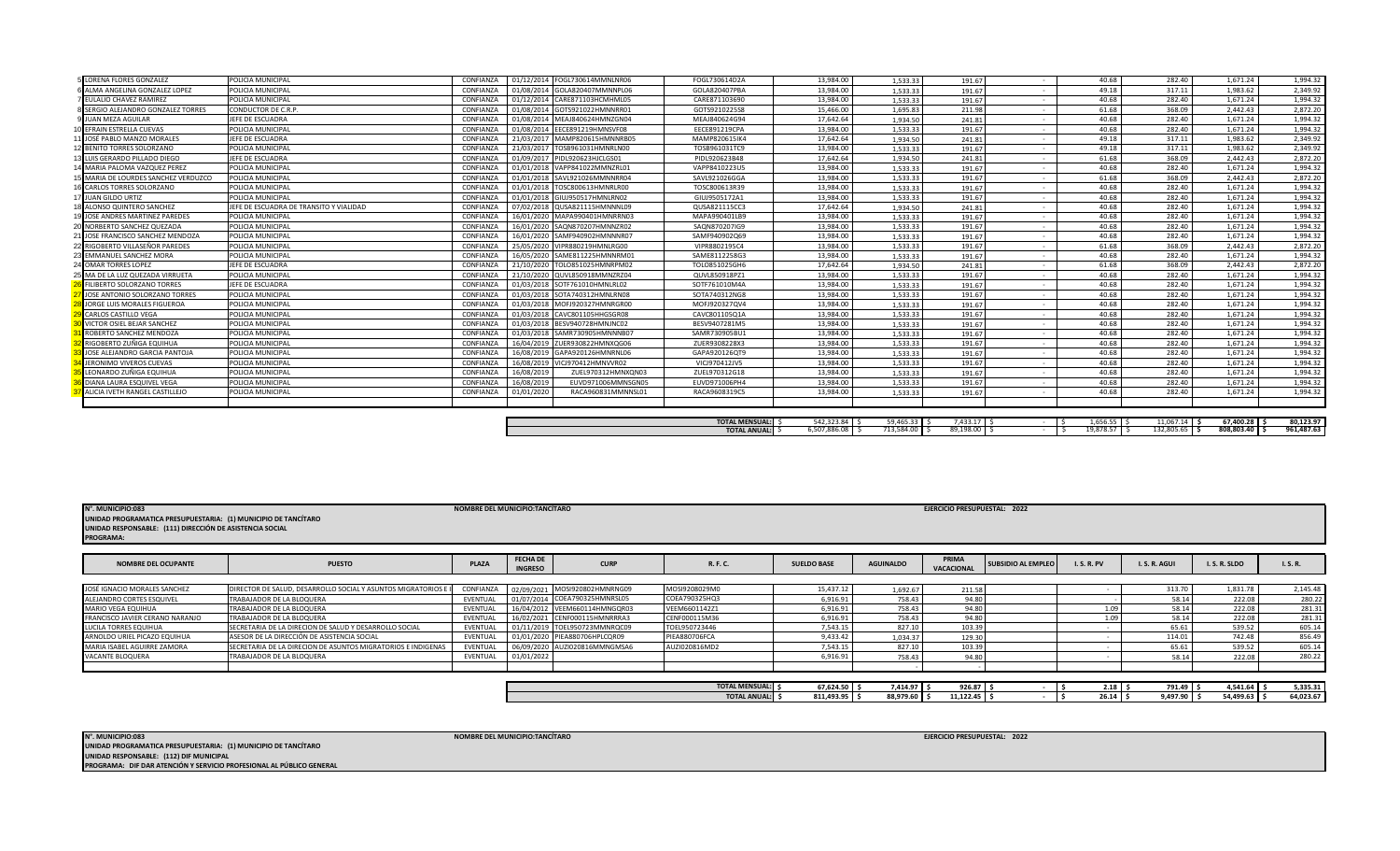## **UNIDAD RESPONSABLE: (112) DIF MUNICIPAL PROGRAMA: DIF DAR ATENCIÓN Y SERVICIO PROFESIONAL AL PÚBLICO GENERAL**

**UNIDAD PROGRAMATICA PRESUPUESTARIA: (1) MUNICIPIO DE TANCÍTARO N°. MUNICIPIO:083 EJERCICIO PRESUPUESTAL: 2022**

**NOMBRE DEL MUNICIPIO:TANCÍTARO** 

| <b>NOMBRE DEL OCUPANTE</b>      | <b>PUESTO</b>                                                | <b>PLAZA</b> | <b>FECHA DE</b><br><b>INGRESO</b> | <b>CURP</b>                   | R. F. C.              | <b>SUELDO BASE</b> | <b>AGUINALDO</b> | PRIMA<br><b>VACACIONAL</b> | <b>SUBSIDIO AL EMPLEO</b> | <b>I.S.R.PV</b> | I.S.R.AGUI | I.S.R.SLDO | I.S.R.    |
|---------------------------------|--------------------------------------------------------------|--------------|-----------------------------------|-------------------------------|-----------------------|--------------------|------------------|----------------------------|---------------------------|-----------------|------------|------------|-----------|
|                                 |                                                              |              |                                   |                               |                       |                    |                  |                            |                           |                 |            |            |           |
| JOSÉ IGNACIO MORALES SANCHEZ    | DIRECTOR DE SALUD. DESARROLLO SOCIAL Y ASUNTOS MIGRATORIOS E | CONFIANZA    | 02/09/2021                        | MOSI920802HMNRNG09            | MOSI9208029M0         | 15.437.12          | 1,692.67         | 211.58                     |                           |                 | 313.70     | 1,831.78   | 2,145.48  |
| ALEJANDRO CORTES ESQUIVEL       | TRABAJADOR DE LA BLOQUERA                                    | EVENTUAL     | 01/07/2014                        | COEA790325HMNRSL05            | COEA790325HQ3         | 6,916.91           | 758.43           | 94.80                      |                           |                 | 58.14      | 222.08     | 280.22    |
| <b>MARIO VEGA EQUIHUA</b>       | TRABAJADOR DE LA BLOQUERA                                    | EVENTUAL     | 16/04/2012                        | VEEM660114HMNGQR03            | VEEM6601142Z1         | 6.916.91           | 758.43           | 94.80                      |                           | 1.09            | 58.14      | 222.08     | 281.31    |
| FRANCISCO JAVIER CERANO NARANJO | TRABAJADOR DE LA BLOQUERA                                    | EVENTUAL     | 16/02/202                         | CENF000115HMNRRRA3            | CENF000115M36         | 6,916.91           | 758.43           | 94.80                      |                           | 1.09            | 58.14      | 222.08     | 281.31    |
| LUCILA TORRES EQUIHUA           | SECRETARIA DE LA DIRECION DE SALUD Y DESARROLLO SOCIAL       | EVENTUAL     |                                   | 01/11/2019 TOEL950723MMNRQC09 | TOEL950723446         | 7,543.15           | 827.10           | 103.39                     |                           |                 | 65.61      | 539.52     | 605.14    |
| ARNOLDO URIEL PICAZO EQUIHUA    | ASESOR DE LA DIRECCIÓN DE ASISTENCIA SOCIAL                  | EVENTUAL     |                                   | 01/01/2020 PIEA880706HPLCQR09 | <b>PIEA880706FCA</b>  | 9.433.42           | 1,034.37         | 129.30                     |                           |                 | 114.01     | 742.48     | 856.49    |
| MARIA ISABEL AGUIRRE ZAMORA     | SECRETARIA DE LA DIRECION DE ASUNTOS MIGRATORIOS E INDIGENAS | EVENTUAL     |                                   | 06/09/2020 AUZI020816MMNGMSA6 | AUZI020816MD2         | 7,543.15           | 827.10           | 103.39                     |                           |                 | 65.61      | 539.52     | 605.14    |
| VACANTE BLOQUERA                | TRABAJADOR DE LA BLOQUERA                                    | EVENTUAL     | 01/01/2022                        |                               |                       | 6,916.91           | 758.43           | 94.80                      |                           |                 | 58.14      | 222.08     | 280.22    |
|                                 |                                                              |              |                                   |                               |                       |                    |                  |                            |                           |                 |            |            |           |
|                                 |                                                              |              |                                   |                               |                       |                    |                  |                            |                           |                 |            |            |           |
|                                 |                                                              |              |                                   |                               | <b>TOTAL MENSUAL:</b> | 67.624.50          | $7.414.97$ \$    | 926.87                     |                           | 2.18            | 791.49     | 4.541.64   | 5,335.31  |
|                                 |                                                              |              |                                   |                               | <b>TOTAL ANUAL:</b>   | 811,493.95         | 88,979.60        | 11,122.45                  |                           | 26.14           | 9,497.90   | 54,499.63  | 64,023.67 |

| N°. MUNICIPIO:083                                              | <b>NOMBRE DEL MUNICIPIO:TANCÍTARO</b> | EJERCICIO PRESUPUESTAL: 2022 |  |
|----------------------------------------------------------------|---------------------------------------|------------------------------|--|
| UNIDAD PROGRAMATICA PRESUPUESTARIA: (1) MUNICIPIO DE TANCÍTARO |                                       |                              |  |
| UNIDAD RESPONSABLE: (111) DIRECCIÓN DE ASISTENCIA SOCIAL       |                                       |                              |  |
| <b>PROGRAMA:</b>                                               |                                       |                              |  |

| 01012020 | <b>INACAZOOOJIIVIIVIIVIJLOI</b> | ---------------       | 19, JUT. UU  | د د.د د د بد                         | <b>121.07</b>        | TU.UU     | 202.70     | 1,011.27   | <b>1, JJT.JL</b> |
|----------|---------------------------------|-----------------------|--------------|--------------------------------------|----------------------|-----------|------------|------------|------------------|
|          |                                 |                       |              |                                      |                      |           |            |            |                  |
|          |                                 |                       |              |                                      |                      |           |            |            |                  |
|          |                                 | <b>TOTAL MENSUAL:</b> | 542,323.84   | $\overline{\phantom{a}}$<br>55.00.35 | 7.433.47<br>/433.1 ، | 1,656.55  | 11,067.14  | 67,400.28  | 80.123.97        |
|          |                                 | <b>TOTAL ANUAL:</b>   | 6.507.886.08 | 713,584.00                           | 89.198.00            | 19.878.57 | 132,805.65 | 808,803.40 | 961.487.63       |

| <b>5 LORENA FLORES GONZALEZ</b>       | POLICIA MUNICIPAL                       | CONFIANZA        | 01/12/2014 FOGL730614MMNLNR06    | FOGL730614D2A | 13.984.00 | 1.533.33 | 191.67 | $\overline{\phantom{a}}$ | 40.68 | 282.40 | 1.671.24 | 1,994.32 |
|---------------------------------------|-----------------------------------------|------------------|----------------------------------|---------------|-----------|----------|--------|--------------------------|-------|--------|----------|----------|
| ALMA ANGELINA GONZALEZ LOPEZ          | POLICIA MUNICIPAL                       | CONFIANZA        | 01/08/2014 GOLA820407MMNNPL06    | GOLA820407PBA | 13.984.00 | 1,533.33 | 191.67 | $\sim$                   | 49.18 | 317.11 | 1.983.62 | 2,349.92 |
| EULALIO CHAVEZ RAMIREZ                | POLICIA MUNICIPAL                       | CONFIANZ/        | 01/12/2014<br>CARE871103HCMHML05 | CARE871103690 | 13.984.00 | 1.533.33 | 191.67 | $\sim$                   | 40.68 | 282.40 | 1.671.24 | 1,994.32 |
| SERGIO ALEJANDRO GONZALEZ TORRES      | CONDUCTOR DE C.R.P.                     | CONFIANZA        | 01/08/2014<br>GOTS921022HMNNRR01 | GOTS9210225S8 | 15.466.00 | 1.695.83 | 211.98 | $\sim$                   | 61.68 | 368.09 | 2.442.43 | 2.872.20 |
| JUAN MEZA AGUILAR                     | JEFE DE ESCUADRA                        | CONFIANZA        | 01/08/2014 MEAJ840624HMNZGN04    | MEAJ840624G94 | 17.642.64 | 1.934.50 | 241.81 | $\sim$                   | 40.68 | 282.40 | 1.671.24 | 1,994.32 |
| FFRAIN ESTRELLA CUEVAS                | POLICIA MUNICIPAL                       | CONFIANZ/        | 01/08/2014<br>EECE891219HMNSVF08 | EECE891219CPA | 13.984.00 | 1,533.33 | 191.67 | $\sim$                   | 40.68 | 282.40 | 1,671.24 | 1,994.32 |
| 1 JOSÉ PABLO MANZO MORALES            | JEFE DE ESCUADRA                        | CONFIANZ/        | 21/03/2017<br>MAMP820615HMNNRB05 | MAMP820615IK4 | 17.642.64 | 1.934.50 | 241.81 | $\sim$                   | 49.18 | 317.11 | 1.983.62 | 2,349.92 |
| 2 BENITO TORRES SOLORZANO             | POLICIA MUNICIPAL                       | <b>CONFIANZA</b> | 21/03/2017<br>TOSB961031HMNRLN00 | TOSB961031TC9 | 13.984.00 | 1.533.33 | 191.67 | $\sim$                   | 49.18 | 317.11 | 1,983.62 | 2,349.92 |
| 3 LUIS GERARDO PILLADO DIEGO          | JEFE DE ESCUADRA                        | CONFIANZA        | 01/09/2017 PIDL920623HJCLGS01    | PIDL920623B48 | 17.642.64 | 1.934.50 | 241.81 | $\sim$                   | 61.68 | 368.09 | 2.442.43 | 2,872.20 |
| 4 MARIA PALOMA VAZQUEZ PEREZ          | POLICIA MUNICIPAL                       | CONFIANZA        | 01/01/2018 VAPP841022MMNZRL01    | VAPP8410223U5 | 13.984.00 | 1.533.33 | 191.67 | $\sim$                   | 40.68 | 282.40 | 1.671.24 | 1,994.32 |
| 5 MARIA DE LOURDES SANCHEZ VERDUZCO   | POLICIA MUNICIPAL                       | CONFIANZ/        | 01/01/2018<br>SAVL921026MMNNRR04 | SAVL921026GGA | 13,984.00 | 1.533.33 | 191.67 | $\sim$                   | 61.68 | 368.09 | 2,442.43 | 2,872.20 |
| CARLOS TORRES SOLORZANO               | POLICIA MUNICIPAL                       | CONFIANZA        | 01/01/2018 TOSC800613HMNRLR00    | TOSC800613R39 | 13.984.00 | 1.533.33 | 191.67 | $\sim$                   | 40.68 | 282.40 | 1.671.24 | 1.994.32 |
| JUAN GILDO URTIZ                      | POLICIA MUNICIPAL                       | CONFIANZ/        | 01/01/2018<br>GIUJ950517HMNLRN02 | GIUJ9505172A1 | 13.984.00 | 1.533.33 | 191.67 | $\sim$                   | 40.68 | 282.40 | 1.671.24 | 1,994.32 |
| ALONSO QUINTERO SANCHEZ               | JEFE DE ESCUADRA DE TRANSITO Y VIALIDAD | CONFIANZ/        | 07/02/2018<br>QUSA821115HMNNNL09 | QUSA821115CC3 | 17.642.64 | 1.934.50 | 241.81 | $\sim$                   | 40.68 | 282.40 | 1.671.24 | 1,994.32 |
| 9 JOSE ANDRES MARTINEZ PAREDES        | POLICIA MUNICIPAL                       | CONFIANZA        | 16/01/2020 MAPA990401HMNRRN03    | MAPA990401LB9 | 13.984.00 | 1.533.33 | 191.67 | $\sim$                   | 40.68 | 282.40 | 1.671.24 | 1,994.32 |
| 0 NORBERTO SANCHEZ QUEZADA            | POLICIA MUNICIPAL                       | CONFIANZA        | 16/01/2020 SAQN870207HMNNZR02    | SAQN870207IG9 | 13.984.00 | 1.533.33 | 191.67 | $\sim$                   | 40.68 | 282.40 | 1.671.24 | 1,994.32 |
| <b>JOSE FRANCISCO SANCHEZ MENDOZA</b> | POLICIA MUNICIPAL                       | CONFIANZA        | 16/01/2020 SAMF940902HMNNNR07    | SAMF940902Q69 | 13.984.00 | 1.533.33 | 191.67 | $\sim$                   | 40.68 | 282.40 | 1.671.24 | 1,994.32 |
| 2 RIGOBERTO VILLASEÑOR PAREDES        | POLICIA MUNICIPAL                       | CONFIANZA        | 25/05/2020 VIPR880219HMNLRG00    | VIPR8802195C4 | 13.984.00 | 1.533.33 | 191.67 | $\sim$                   | 61.68 | 368.09 | 2.442.43 | 2.872.20 |
| <b>EMMANUEL SANCHEZ MORA</b>          | POLICIA MUNICIPAL                       | CONFIANZA        | 16/05/2020 SAME811225HMNNRM01    | SAME8112258G3 | 13.984.00 | 1.533.33 | 191.67 | $\sim$                   | 40.68 | 282.40 | 1,671.24 | 1,994.32 |
| OMAR TORRES LOPEZ                     | JEFE DE ESCUADRA                        | CONFIANZA        | 21/10/2020<br>TOLO851025HMNRPM02 | TOLO851025GH6 | 17.642.64 | 1.934.50 | 241.81 | $\sim$                   | 61.68 | 368.09 | 2.442.43 | 2,872.20 |
| MA DE LA LUZ QUEZADA VIRRUETA         | POLICIA MUNICIPAL                       | CONFIANZ/        | 21/10/2020<br>QUVL850918MMNZRZ04 | QUVL850918PZ1 | 13.984.00 | 1.533.33 | 191.67 | $\sim$                   | 40.68 | 282.40 | 1.671.24 | 1,994.32 |
| FILIBERTO SOLORZANO TORRES            | <b>IFFF DE ESCUADRA</b>                 | CONFIANZ/        | 01/03/2018 SOTF761010HMNLRL02    | SOTF761010M4A | 13.984.00 | 1.533.33 | 191.67 | $\sim$                   | 40.68 | 282.40 | 1.671.24 | 1,994.32 |
| JOSE ANTONIO SOLORZANO TORRES         | POLICIA MUNICIPAL                       | CONFIANZA        | 01/03/2018 SOTA740312HMNLRN08    | SOTA740312NG8 | 13.984.00 | 1.533.33 | 191.67 | $\sim$                   | 40.68 | 282.40 | 1,671.24 | 1,994.32 |
| JORGE LUIS MORALES FIGUEROA           | POLICIA MUNICIPAL                       | CONFIANZA        | 01/03/2018 MOFJ920327HMNRGR00    | MOFJ920327QV4 | 13.984.00 | 1.533.33 | 191.67 | $\sim$                   | 40.68 | 282.40 | 1,671.24 | 1,994.32 |
| <b>CARLOS CASTILLO VEGA</b>           | POLICIA MUNICIPAL                       | CONFIANZA        | 01/03/2018 CAVC801105HHGSGR08    | CAVC801105Q1A | 13.984.00 | 1.533.33 | 191.67 | $\sim$                   | 40.68 | 282.40 | 1.671.24 | 1.994.32 |
| VICTOR OSIEL BEJAR SANCHEZ            | POLICIA MUNICIPAL                       | CONFIANZA        | 01/03/2018 BESV940728HMNJNC02    | BESV9407281M5 | 13.984.00 | 1,533.33 | 191.67 |                          | 40.68 | 282.40 | 1.671.24 | 1,994.32 |
| ROBERTO SANCHEZ MENDOZA               | POLICIA MUNICIPAL                       | <b>CONFIANZA</b> | 01/03/2018 SAMR730905HMNNNB07    | SAMR730905BU1 | 13,984.00 | 1.533.33 | 191.67 | $\sim$                   | 40.68 | 282.40 | 1,671.24 | 1,994.32 |
| RIGOBERTO ZUÑIGA EQUIHUA              | POLICIA MUNICIPAL                       | CONFIANZA        | 16/04/2019 ZUER930822HMNXQG06    | ZUER9308228X3 | 13.984.00 | 1.533.33 | 191.67 | $\sim$                   | 40.68 | 282.40 | 1.671.24 | 1.994.32 |
| JOSE ALEJANDRO GARCIA PANTOJA         | POLICIA MUNICIPAL                       | CONFIANZA        | 16/08/2019 GAPA920126HMNRNL06    | GAPA920126QT9 | 13.984.00 | 1.533.33 | 191.67 | $\sim$                   | 40.68 | 282.40 | 1.671.24 | 1,994.32 |
| JERONIMO VIVEROS CUEVAS               | POLICIA MUNICIPAL                       | CONFIANZA        | 16/08/2019<br>VICJ970412HMNVVR02 | VICJ970412JV5 | 13.984.00 | 1.533.33 | 191.67 | $\sim$                   | 40.68 | 282.40 | 1.671.24 | 1,994.32 |
| LEONARDO ZUÑIGA EQUIHUA               | POLICIA MUNICIPAL                       | <b>CONFIANZA</b> | 16/08/2019<br>ZUEL970312HMNXQN03 | ZUEL970312G18 | 13.984.00 | 1.533.33 | 191.67 |                          | 40.68 | 282.40 | 1.671.24 | 1,994.32 |
| DIANA LAURA ESQUIVEL VEGA             | POLICIA MUNICIPAL                       | CONFIANZ/        | 16/08/2019<br>EUVD971006MMNSGN05 | EUVD971006PH4 | 13.984.00 | 1.533.33 | 191.67 | $\sim$                   | 40.68 | 282.40 | 1.671.24 | 1,994.32 |
| ALICIA IVETH RANGEL CASTILLEJO        | POLICIA MUNICIPAL                       | CONFIANZA        | 01/01/2020<br>RACA960831MMNNSL01 | RACA9608319C5 | 13.984.00 | 1.533.3  | 191.67 |                          | 40.68 | 282.40 | 1.671.24 | 1,994.32 |
|                                       |                                         |                  |                                  |               |           |          |        |                          |       |        |          |          |
|                                       |                                         |                  |                                  |               |           |          |        |                          |       |        |          |          |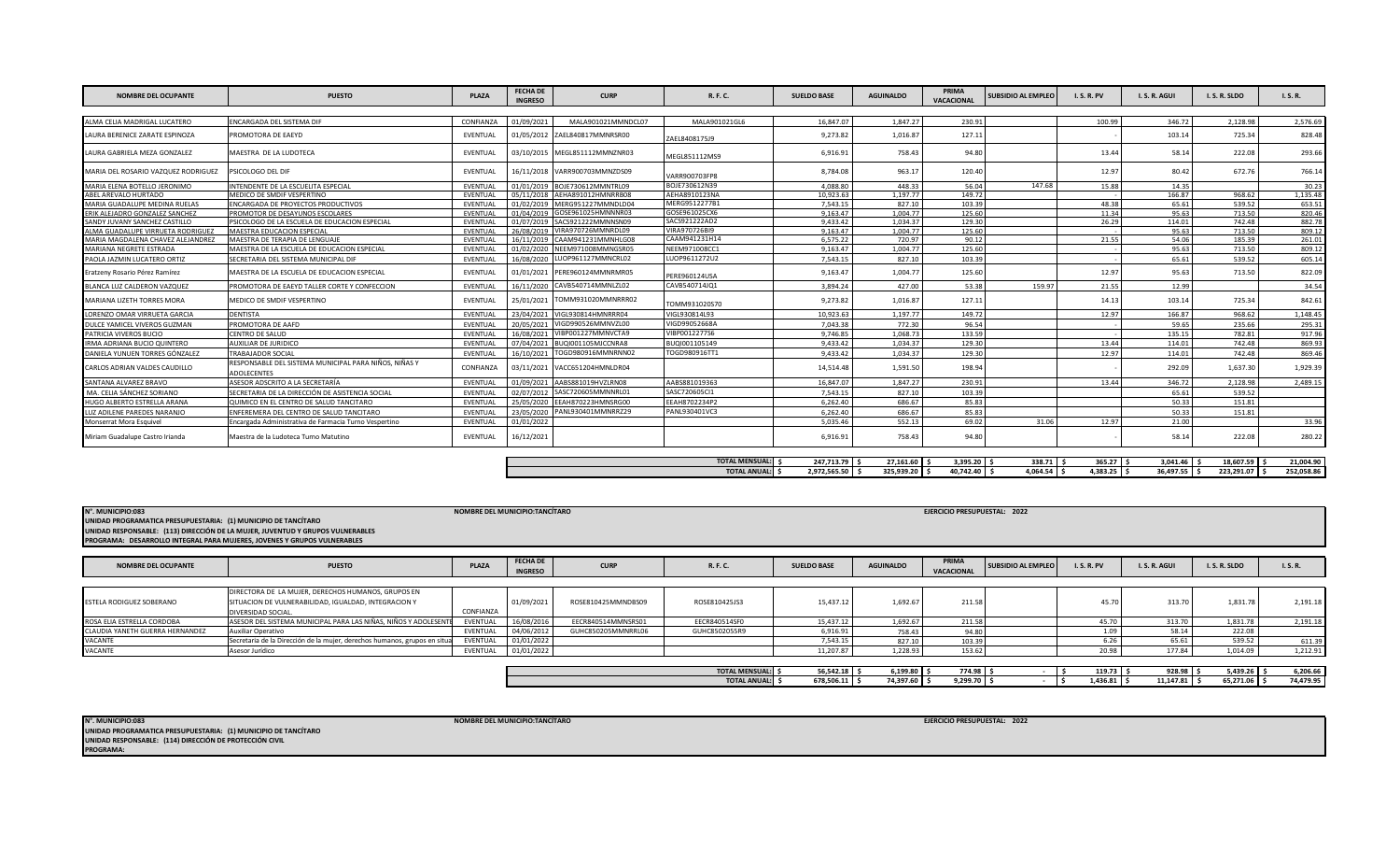| <b>NOMBRE DEL OCUPANTE</b>          | <b>PUESTO</b>                                                               | <b>PLAZA</b>    | <b>FECHA DE</b><br><b>INGRESO</b> | <b>CURP</b>                   | R. F. C.               | <b>SUELDO BASE</b> | <b>AGUINALDO</b> | PRIMA<br>VACACIONAL | <b>SUBSIDIO AL EMPLEO</b> | <b>I.S.R.PV</b> | I.S.R. AGUI   | I.S.R.SLDO    | I.S.R.     |
|-------------------------------------|-----------------------------------------------------------------------------|-----------------|-----------------------------------|-------------------------------|------------------------|--------------------|------------------|---------------------|---------------------------|-----------------|---------------|---------------|------------|
|                                     |                                                                             |                 |                                   |                               |                        |                    |                  |                     |                           |                 |               |               |            |
| AIMA CEIIA MADRIGAL LUCATERO        | ENCARGADA DEL SISTEMA DIE                                                   | CONFIANZA       | 01/09/2021                        | MAI A901021MMNDCL07           | MALA901021GL6          | 16.847.07          | 1.847.27         | 230.91              |                           | 100.99          | 346.72        | 2.128.98      | 2.576.69   |
| AURA BERENICE ZARATE ESPINOZA       | PROMOTORA DE EAEYD                                                          | EVENTUAL        |                                   | 01/05/2012 ZAEL840817MMNRSR00 | ZAEL8408175J9          | 9,273.82           | 1,016.87         | 127.11              |                           |                 | 103.14        | 725.34        | 828.48     |
| LAURA GABRIELA MEZA GONZALEZ        | MAESTRA DE LA LUDOTECA                                                      | EVENTUAL        |                                   | 03/10/2015 MEGL851112MMNZNR03 | MEGL851112MS9          | 6,916.91           | 758.43           | 94.80               |                           | 13.44           | 58.14         | 222.08        | 293.66     |
| MARIA DEL ROSARIO VAZQUEZ RODRIGUEZ | PSICOLOGO DEL DIF                                                           | EVENTUAL        |                                   | 16/11/2018 VARR900703MMNZDS09 | VARR900703FP8          | 8.784.08           | 963.17           | 120.40              |                           | 12.9            | 80.42         | 672.76        | 766.14     |
| MARIA ELENA BOTELLO JERONIMO        | INTENDENTE DE LA ESCUELITA ESPECIAL                                         | EVENTUAL        | 01/01/2019                        | BOJE730612MMNTRL09            | BOJE730612N39          | 4.088.80           | 448.33           | 56.04               | 147.68                    | 15.88           | 14.35         |               | 30.23      |
| ABEL AREVALO HURTADO                | MEDICO DE SMDIF VESPERTINO                                                  | EVENTUAL        | 05/11/2018                        | AEHA891012HMNRRB08            | AEHA8910123NA          | 10.923.63          | 1.197.77         | 149.72              |                           |                 | 166.87        | 968.62        | 1,135.48   |
| MARIA GUADALUPE MEDINA RUELAS       | <b>ENCARGADA DE PROYECTOS PRODUCTIVOS</b>                                   | EVENTUAL        |                                   | 01/02/2019 MERG951227MMNDLD04 | MERG9512277B1          | 7.543.15           | 827.10           | 103.39              |                           | 48.38           | 65.61         | 539.52        | 653.51     |
| ERIK ALEJADRO GONZALEZ SANCHEZ      | PROMOTOR DE DESAYUNOS ESCOLARES                                             | EVENTUAL        |                                   | 01/04/2019 GOSE961025HMNNNR03 | GOSE961025CX6          | 9.163.47           | 1.004.77         | 125.60              |                           | 11.34           | 95.63         | 713.50        | 820.46     |
| SANDY JUVANY SANCHEZ CASTILLO       | PSICOLOGO DE LA ESCUELA DE EDUCACION ESPECIAL                               | EVENTUAL        |                                   | 01/07/2019 SACS921222MMNNSN09 | SACS921222AD2          | 9.433.42           | 1.034.37         | 129.30              |                           | 26.29           | 114.01        | 742.48        | 882.78     |
| ALMA GUADALUPE VIRRUETA RODRIGUEZ   | MAESTRA EDUCACION ESPECIAL                                                  | EVENTUAL        | 26/08/2019                        | VIRA970726MMNRDL09            | VIRA970726BI9          | 9.163.47           | 1.004.77         | 125.60              |                           |                 | 95.63         | 713.50        | 809.12     |
| MARIA MAGDALENA CHAVEZ ALEJANDREZ   | MAESTRA DE TERAPIA DE LENGUAJE                                              | <b>FVFNTUAL</b> | 16/11/2019                        | CAAM941231MMNHLG08            | CAAM941231H14          | 6.575.22           | 720.97           | 90.12               |                           | 21.55           | 54.06         | 185.39        | 261.01     |
| MARIANA NEGRETE ESTRADA             | MAESTRA DE LA ESCUELA DE EDUCACION ESPECIAL                                 | EVENTUAL        | 01/02/2020                        | NEEM971008MMNGSR05            | NEEM971008CC1          | 9,163.47           | 1,004.77         | 125.60              |                           |                 | 95.63         | 713.50        | 809.12     |
| PAOLA JAZMIN LUCATERO ORTIZ         | SECRETARIA DEL SISTEMA MUNICIPAL DIF                                        | EVENTUAL        | 16/08/2020                        | UOP961127MMNCRL02             | LUOP9611272U2          | 7.543.15           | 827.10           | 103.39              |                           |                 | 65.61         | 539.52        | 605.14     |
| Eratzeny Rosario Pérez Ramírez      | MAESTRA DE LA ESCUELA DE EDUCACION ESPECIAL                                 | EVENTUAL        | 01/01/2021                        | PERE960124MMNRMR05            | PERE960124USA          | 9,163.47           | 1,004.77         | 125.60              |                           | 12.97           | 95.63         | 713.50        | 822.09     |
| BLANCA LUZ CALDERON VAZQUEZ         | PROMOTORA DE EAEYD TALLER CORTE Y CONFECCION                                | EVENTUAL        | 16/11/2020                        | CAVB540714MMNLZL02            | CAVB540714JQ1          | 3.894.24           | 427.00           | 53.38               | 159.97                    | 21.55           | 12.99         |               | 34.54      |
| MARIANA LIZETH TORRES MORA          | MEDICO DE SMDIF VESPERTINO                                                  | EVENTUAL        |                                   | 25/01/2021 TOMM931020MMNRRR02 | TOMM931020S70          | 9,273.82           | 1,016.87         | 127.11              |                           | 14.13           | 103.14        | 725.34        | 842.61     |
| LORENZO OMAR VIRRUETA GARCIA        | <b>DENTISTA</b>                                                             | EVENTUAL        | 23/04/2021                        | VIGL930814HMNRRR04            | VIGL930814L93          | 10.923.63          | 1.197.77         | 149.72              |                           | 12.97           | 166.87        | 968.62        | 1.148.45   |
| DULCE YAMICEL VIVEROS GUZMAN        | PROMOTORA DE AAFD                                                           | EVENTUAL        | 20/05/2021                        | VIGD990526MMNVZL00            | VIGD99052668A          | 7.043.38           | 772.30           | 96.54               |                           |                 | 59.65         | 235.66        | 295.31     |
| PATRICIA VIVEROS BUCIO              | CENTRO DE SALUD                                                             | EVENTUAL        | 16/08/2021                        | VIBP001227MMNVCTA9            | VIBP0012277S6          | 9.746.85           | 1.068.73         | 133.59              |                           |                 | 135.15        | 782.81        | 917.96     |
| IRMA ADRIANA BUCIO QUINTERO         | AUXILIAR DE JURIDICO                                                        | EVENTUAL        | 07/04/2021                        | BUQI001105MJCCNRA8            | 3UQI001105149          | 9.433.42           | 1.034.37         | 129.30              |                           | 13.44           | 114.01        | 742.48        | 869.93     |
| DANIELA YUNUEN TORRES GÓNZALEZ      | TRABAIADOR SOCIAL                                                           | EVENTUAL        | 16/10/2021                        | TOGD980916MMNRNN02            | TOGD980916TT1          | 9.433.42           | 1.034.37         | 129.30              |                           | 12.97           | 114.01        | 742.48        | 869.46     |
| CARLOS ADRIAN VALDES CAUDILLO       | RESPONSABLE DEL SISTEMA MUNICIPAL PARA NIÑOS, NIÑAS Y<br><b>ADOLECENTES</b> | CONFIANZA       |                                   | 03/11/2021 VACC651204HMNLDR04 |                        | 14,514.48          | 1,591.50         | 198.94              |                           |                 | 292.09        | 1,637.30      | 1,929.39   |
| SANTANA ALVAREZ BRAVO               | ASESOR ADSCRITO A LA SECRETARÍA                                             | EVENTUAL        |                                   | 01/09/2021 AABS881019HVZLRN08 | AABS881019363          | 16.847.07          | 1.847.27         | 230.91              |                           | 13.44           | 346.72        | 2,128.98      | 2,489.15   |
| MA. CELIA SÁNCHEZ SORIANO           | SECRETARIA DE LA DIRECCIÓN DE ASISTENCIA SOCIAL                             | EVENTUAL        |                                   | 02/07/2012 SASC720605MMNNRL01 | SASC720605CI1          | 7.543.15           | 827.10           | 103.39              |                           |                 | 65.61         | 539.52        |            |
| HUGO ALBERTO ESTRELLA ARANA         | QUIMICO EN EL CENTRO DE SALUD TANCITARO                                     | EVENTUAL        |                                   | 25/05/2020 EEAH870223HMNSRG00 | EEAH8702234P2          | 6.262.40           | 686.67           | 85.83               |                           |                 | 50.33         | 151.81        |            |
| LUZ ADILENE PAREDES NARANJO         | ENFEREMERA DEL CENTRO DE SALUD TANCITARO                                    | EVENTUAL        | 23/05/2020                        | PANL930401MMNRRZ29            | PANL930401VC3          | 6.262.40           | 686.67           | 85.83               |                           |                 | 50.33         | 151.81        |            |
| Monserrat Mora Esquivel             | Encargada Administrativa de Farmacia Turno Vespertino                       | EVENTUAL        | 01/01/2022                        |                               |                        | 5.035.46           | 552.13           | 69.02               | 31.06                     | 12.97           | 21.00         |               | 33.96      |
| Miriam Guadalupe Castro Irianda     | Maestra de la Ludoteca Turno Matutino                                       | EVENTUAL        | 16/12/2021                        |                               |                        | 6,916.91           | 758.43           | 94.80               |                           |                 | 58.14         | 222.08        | 280.22     |
|                                     |                                                                             |                 |                                   |                               |                        |                    |                  |                     |                           |                 |               |               |            |
|                                     |                                                                             |                 |                                   |                               | <b>TOTAL MENSUAL:</b>  | 247.713.79         | 27.161.60        | $3.395.20$ \$       | $338.71$ \$               | $365.27$ \$     | $3.041.46$ \$ | 18.607.59     | 21.004.90  |
|                                     |                                                                             |                 |                                   |                               | <b>TOTAL ANUAL:</b> \$ | 2,972,565.50 \$    | 325.939.20 S     | 40.742.40 S         | $4.064.54$ \$             | $4.383.25$ \$   | 36.497.55 \$  | 223,291.07 \$ | 252.058.86 |

| N°. MUNICIPIO:083<br>UNIDAD PROGRAMATICA PRESUPUESTARIA: (1) MUNICIPIO DE TANCÍTARO | UNIDAD RESPONSABLE: (113) DIRECCIÓN DE LA MUJER, JUVENTUD Y GRUPOS VULNERABLES<br>PROGRAMA: DESARROLLO INTEGRAL PARA MUJERES, JOVENES Y GRUPOS VULNERABLES |                                  | NOMBRE DEL MUNICIPIO:TANCÍTARO         |                    |                                              |                                   |                               | EJERCICIO PRESUPUESTAL: 2022 |                           |                              |                               |                              |                       |
|-------------------------------------------------------------------------------------|------------------------------------------------------------------------------------------------------------------------------------------------------------|----------------------------------|----------------------------------------|--------------------|----------------------------------------------|-----------------------------------|-------------------------------|------------------------------|---------------------------|------------------------------|-------------------------------|------------------------------|-----------------------|
| <b>NOMBRE DEL OCUPANTE</b>                                                          | <b>PUESTO</b>                                                                                                                                              | <b>PLAZA</b>                     | <b>FECHA DE</b><br><b>INGRESO</b>      | <b>CURP</b>        | R. F. C.                                     | <b>SUELDO BASE</b>                | <b>AGUINALDO</b>              | PRIMA<br>VACACIONAL          | <b>SUBSIDIO AL EMPLEO</b> | <b>I.S.R.PV</b>              | I.S.R. AGUI                   | I.S.R.SLDO                   | I. S. R.              |
| ESTELA RODIGUEZ SOBERANO                                                            | DIRECTORA DE LA MUJER, DERECHOS HUMANOS, GRUPOS EN<br>SITUACION DE VULNERABILIDAD, IGUALDAD, INTEGRACION Y<br>DIVERSIDAD SOCIAL.                           | CONFIANZA                        | 01/09/2021                             | ROSE810425MMNDBS09 | ROSE810425JS3                                | 15,437.12                         | 1,692.67                      | 211.58                       |                           | 45.70                        | 313.70                        | 1,831.78                     | 2,191.18              |
| ROSA ELIA ESTRELLA CORDOBA                                                          | ASESOR DEL SISTEMA MUNICIPAL PARA LAS NIÑAS, NIÑOS Y ADOLESENT                                                                                             | EVENTUAL                         | 16/08/2016                             | EECR840514MMNSRS01 | EECR840514SF0                                | 15,437.12                         | 1,692.67                      | 211.58                       |                           | 45.70                        | 313.70                        | 1,831.78                     | 2,191.18              |
| CLAUDIA YANETH GUERRA HERNANDEZ<br>VACANTE<br>VACANTE                               | <b>Auxiliar Operativo</b><br>Secretaria de la Dirección de la mujer, derechos humanos, grupos en situa<br>Asesor Jurídico                                  | EVENTUAL<br>EVENTUAL<br>EVENTUAL | 04/06/2012<br>01/01/2022<br>01/01/2022 | GUHC850205MMNRRL06 | GUHC8502055R9                                | 6,916.91<br>7,543.15<br>11,207.87 | 758.43<br>827.10<br>1,228.93  | 94.80<br>103.39<br>153.62    |                           | 6.26<br>20.98                | 58.14<br>65.61<br>177.84      | 222.08<br>539.52<br>1,014.09 | 611.39<br>1,212.91    |
|                                                                                     |                                                                                                                                                            |                                  |                                        |                    | <b>TOTAL MENSUAL:</b><br><b>TOTAL ANUAL:</b> | 56,542.18 \$<br>678,506.11 \$     | $6,199.80$ \$<br>74,397.60 \$ | 774.98<br>9,299.70           |                           | $119.73$ \$<br>$1,436.81$ \$ | $928.98$ \$<br>$11,147.81$ \$ | 5,439.26 \$<br>65,271.06 \$  | 6,206.66<br>74,479.95 |

**NOMBRE DEL MUNICIPIO:TANCÍTARO UNIDAD PROGRAMATICA PRESUPUESTARIA: (1) MUNICIPIO DE TANCÍTARO N°. MUNICIPIO:083 EJERCICIO PRESUPUESTAL: 2022 UNIDAD RESPONSABLE: (114) DIRECCIÓN DE PROTECCIÓN CIVIL PROGRAMA:**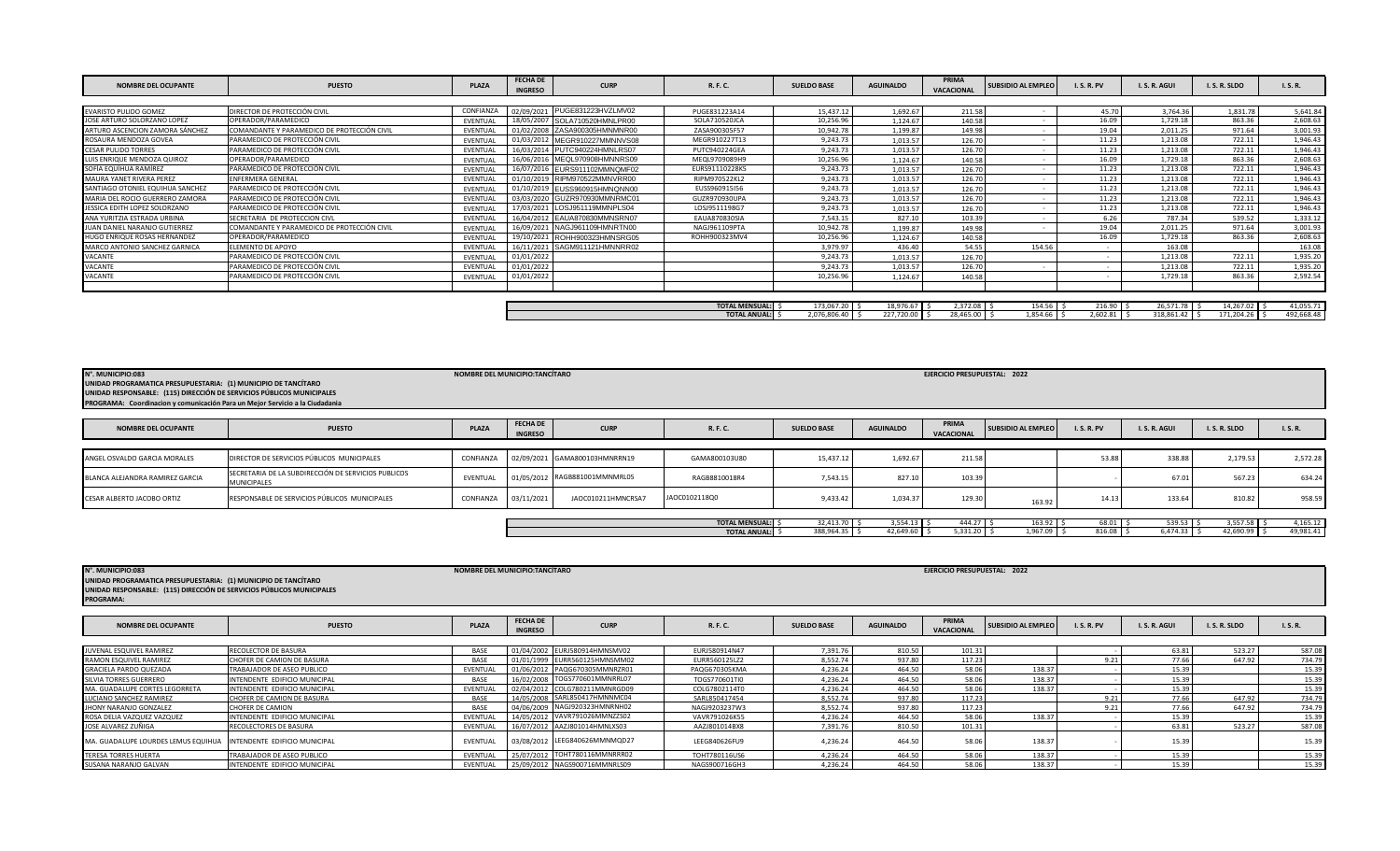| <b>NOMBRE DEL OCUPANTE</b>       | <b>PUESTO</b>                               | <b>PLAZA</b> | <b>FECHA DE</b><br><b>INGRESO</b> | <b>CURP</b>                   | R. F. C.              | <b>SUELDO BASE</b> | <b>AGUINALDO</b> | PRIMA<br><b>VACACIONAL</b> | <b>SUBSIDIO AL EMPLEO</b> | <b>I.S.R.PV</b> | I.S.R.AGUI    | I.S.R.SLDO    | I. S. R.   |
|----------------------------------|---------------------------------------------|--------------|-----------------------------------|-------------------------------|-----------------------|--------------------|------------------|----------------------------|---------------------------|-----------------|---------------|---------------|------------|
|                                  |                                             |              |                                   |                               |                       |                    |                  |                            |                           |                 |               |               |            |
| <b>EVARISTO PULIDO GOMEZ</b>     | DIRECTOR DE PROTECCIÓN CIVIL                | CONFIANZA    |                                   | 02/09/2021 PUGE831223HVZLMV02 | PUGE831223A14         | 15,437.12          | 1,692.67         | 211.58                     |                           | 45.70           | 3.764.36      | 1,831.78      | 5,641.84   |
| JOSE ARTURO SOLORZANO LOPEZ      | OPERADOR/PARAMEDICO                         | EVENTUAL     |                                   | 18/05/2007 SOLA710520HMNLPR00 | SOLA710520JCA         | 10,256.96          | 1.124.67         | 140.58                     |                           | 16.09           | 1,729.18      | 863.36        | 2,608.63   |
| ARTURO ASCENCION ZAMORA SÁNCHEZ  | COMANDANTE Y PARAMEDICO DE PROTECCIÓN CIVIL | EVENTUAL     |                                   | 01/02/2008 ZASA900305HMNMNR00 | ZASA900305F57         | 10,942.78          | 1,199.87         | 149.98                     |                           | 19.04           | 2,011.25      | 971.64        | 3,001.93   |
| ROSAURA MENDOZA GOVEA            | PARAMEDICO DE PROTECCIÓN CIVIL              | EVENTUAL     |                                   | 01/03/2012 MEGR910227MMNNVS08 | MEGR910227T13         | 9,243.73           | 1,013.57         | 126.70                     | $\overline{\phantom{a}}$  | 11.23           | 1,213.08      | 722.11        | 1,946.43   |
| <b>CESAR PULIDO TORRES</b>       | PARAMEDICO DE PROTECCIÓN CIVIL              | EVENTUAL     |                                   | 16/03/2014 PUTC940224HMNLRS07 | PUTC940224GEA         | 9,243.73           | 1,013.57         | 126.70                     |                           | 11.23           | 1,213.08      | 722.11        | 1,946.43   |
| LUIS ENRIQUE MENDOZA QUIROZ      | OPERADOR/PARAMEDICO                         | EVENTUAL     |                                   | 16/06/2016 MEQL970908HMNNRS09 | MEQL9709089H9         | 10,256.96          | 1,124.67         | 140.58                     |                           | 16.09           | 1,729.18      | 863.36        | 2,608.63   |
| SOFÍA EQUÍHUA RAMÍREZ            | PARAMEDICO DE PROTECCIÓN CIVIL              | EVENTUAL     |                                   | 16/07/2016 EURS911102MMNQMF02 | EURS91110228K5        | 9,243.73           | 1,013.57         | 126.70                     |                           | 11.23           | 1,213.08      | 722.11        | 1,946.43   |
| MAURA YANET RIVERA PEREZ         | <b>ENFERMERA GENERAL</b>                    | EVENTUAL     |                                   | 01/10/2019 RIPM970522MMNVRR00 | RIPM970522KL2         | 9,243.73           | 1,013.57         | 126.70                     |                           | 11.23           | 1,213.08      | 722.11        | 1,946.43   |
| SANTIAGO OTONIEL EQUIHUA SANCHEZ | PARAMEDICO DE PROTECCIÓN CIVIL              | EVENTUAL     |                                   | 01/10/2019 EUSS960915HMNQNN00 | EUSS960915I56         | 9,243.73           | 1,013.57         | 126.70                     |                           | 11.23           | 1,213.08      | 722.11        | 1,946.43   |
| MARIA DEL ROCIO GUERRERO ZAMORA  | PARAMEDICO DE PROTECCIÓN CIVIL              | EVENTUAL     |                                   | 03/03/2020 GUZR970930MMNRMC01 | GUZR970930UPA         | 9,243.73           | 1,013.57         | 126.70                     |                           | 11.23           | 1,213.08      | 722.11        | 1,946.43   |
| JESSICA EDITH LOPEZ SOLORZANO    | PARAMEDICO DE PROTECCIÓN CIVIL              | EVENTUAL     |                                   | 17/03/2021 LOSJ951119MMNPLS04 | LOSJ9511198G7         | 9,243.73           | 1,013.57         | 126.70                     |                           | 11.23           | 1,213.08      | 722.11        | 1,946.43   |
| ANA YURITZIA ESTRADA URBINA      | SECRETARIA DE PROTECCION CIVL               | EVENTUAL     |                                   | 16/04/2012 EAUA870830MMNSRN07 | <b>EAUA870830SIA</b>  | 7,543.15           | 827.10           | 103.39                     |                           | 6.26            | 787.34        | 539.52        | 1,333.12   |
| JUAN DANIEL NARANJO GUTIERREZ    | COMANDANTE Y PARAMEDICO DE PROTECCIÓN CIVIL | EVENTUAL     |                                   | 16/09/2021 NAGJ961109HMNRTN00 | NAGJ961109PTA         | 10,942.78          | 1,199.87         | 149.98                     |                           | 19.04           | 2,011.25      | 971.64        | 3,001.93   |
| HUGO ENRIQUE ROSAS HERNANDEZ     | OPERADOR/PARAMEDICO                         | EVENTUAL     |                                   | 19/10/2021 ROHH900323HMNSRG05 | ROHH900323MV4         | 10,256.96          | 1.124.67         | 140.58                     |                           | 16.09           | 1,729.18      | 863.36        | 2,608.63   |
| MARCO ANTONIO SANCHEZ GARNICA    | ELEMENTO DE APOYO                           | EVENTUAL     |                                   | 16/11/2021 SAGM911121HMNNRR02 |                       | 3,979.97           | 436.40           | 54.55                      | 154.56                    |                 | 163.08        |               | 163.08     |
| VACANTE                          | PARAMEDICO DE PROTECCIÓN CIVIL              | EVENTUAL     | 01/01/2022                        |                               |                       | 9,243.73           | 1,013.57         | 126.70                     |                           |                 | 1.213.08      | 722.11        | 1,935.20   |
| VACANTE                          | PARAMEDICO DE PROTECCIÓN CIVIL              | EVENTUAL     | 01/01/2022                        |                               |                       | 9,243.73           | 1,013.57         | 126.70                     |                           |                 | 1,213.08      | 722.11        | 1,935.20   |
| VACANTE                          | PARAMEDICO DE PROTECCIÓN CIVIL              | EVENTUAL     | 01/01/2022                        |                               |                       | 10,256.96          | 1,124.67         | 140.58                     |                           |                 | 1,729.18      | 863.36        | 2,592.54   |
|                                  |                                             |              |                                   |                               |                       |                    |                  |                            |                           |                 |               |               |            |
|                                  |                                             |              |                                   |                               |                       |                    |                  |                            |                           |                 |               |               |            |
|                                  |                                             |              |                                   |                               | <b>TOTAL MENSUAL:</b> | 173,067.20 \$      | 18,976.67        | 2.372.08                   | $154.56$ \$               | $216.90$ \$     | 26,571.78     | 14,267.02 \$  | 41,055.71  |
|                                  |                                             |              |                                   |                               | <b>TOTAL ANUAL:</b>   | 2,076,806.40 \$    | 227,720.00       | 28,465.00                  | 1,854.66 \$               | $2,602.81$ \$   | 318,861.42 \$ | 171,204.26 \$ | 492,668.48 |

| N°. MUNICIPIO:083<br>UNIDAD PROGRAMATICA PRESUPUESTARIA: (1) MUNICIPIO DE TANCÍTARO<br>UNIDAD RESPONSABLE: (115) DIRECCIÓN DE SERVICIOS PÚBLICOS MUNICIPALES<br>PROGRAMA: Coordinacion y comunicación Para un Mejor Servicio a la Ciudadania |                                                                           | NOMBRE DEL MUNICIPIO:TANCÍTARO |                                   |                               |                       |                    |                  | EJERCICIO PRESUPUESTAL: 2022 |                           |                 |            |            |           |
|----------------------------------------------------------------------------------------------------------------------------------------------------------------------------------------------------------------------------------------------|---------------------------------------------------------------------------|--------------------------------|-----------------------------------|-------------------------------|-----------------------|--------------------|------------------|------------------------------|---------------------------|-----------------|------------|------------|-----------|
| <b>NOMBRE DEL OCUPANTE</b>                                                                                                                                                                                                                   | <b>PUESTO</b>                                                             | PLAZA                          | <b>FECHA DE</b><br><b>INGRESO</b> | <b>CURP</b>                   | R. F. C.              | <b>SUELDO BASE</b> | <b>AGUINALDO</b> | PRIMA<br>VACACIONAL          | <b>SUBSIDIO AL EMPLEO</b> | <b>I.S.R.PV</b> | I.S.R.AGUI | I.S.R.SLDO | I.S.R.    |
|                                                                                                                                                                                                                                              |                                                                           |                                |                                   |                               |                       |                    |                  |                              |                           |                 |            |            |           |
| ANGEL OSVALDO GARCIA MORALES                                                                                                                                                                                                                 | DIRECTOR DE SERVICIOS PÚBLICOS MUNICIPALES                                | CONFIANZA                      |                                   | 02/09/2021 GAMA800103HMNRRN19 | GAMA800103U80         | 15,437.12          | 1,692.67         | 211.58                       |                           | 53.88           | 338.88     | 2,179.53   | 2,572.28  |
| BLANCA ALEJANDRA RAMIREZ GARCIA                                                                                                                                                                                                              | SECRETARIA DE LA SUBDIRECCIÓN DE SERVICIOS PUBLICOS<br><b>MUNICIPALES</b> | EVENTUAL                       |                                   | 01/05/2012 RAGB881001MMNMRL05 | RAGB8810018R4         | 7,543.15           | 827.10           | 103.39                       |                           |                 | 67.01      | 567.23     | 634.24    |
| CESAR ALBERTO JACOBO ORTIZ                                                                                                                                                                                                                   | RESPONSABLE DE SERVICIOS PÚBLICOS MUNICIPALES                             | CONFIANZA                      | 03/11/2021                        | JAOC010211HMNCRSA7            | JAOC0102118Q0         | 9,433.42           | 1,034.37         | 129.30                       | 163.92                    | 14.13           | 133.64     | 810.82     | 958.59    |
|                                                                                                                                                                                                                                              |                                                                           |                                |                                   |                               |                       |                    |                  |                              |                           |                 |            |            |           |
|                                                                                                                                                                                                                                              |                                                                           |                                |                                   |                               | <b>TOTAL MENSUAL:</b> | 32,413.70          | $3,554.13$ \$    | 444.27                       | $163.92$ \$               | 68.01           | 539.53     | 3,557.58   | 4,165.12  |
|                                                                                                                                                                                                                                              |                                                                           |                                |                                   |                               | <b>TOTAL ANUAL:</b>   | 388,964.35         | 42,649.60 \$     | 5,331.20                     | $1,967.09$ \$             | 816.08          | 6,474.33   | 42,690.99  | 49,981.41 |

| N°. MUNICIPIO:083<br>UNIDAD PROGRAMATICA PRESUPUESTARIA: (1) MUNICIPIO DE TANCÍTARO<br>UNIDAD RESPONSABLE: (115) DIRECCIÓN DE SERVICIOS PÚBLICOS MUNICIPALES<br><b>PROGRAMA:</b> |                               | NOMBRE DEL MUNICIPIO:TANCÍTARO |                                   |                               |               |                    |                  | EJERCICIO PRESUPUESTAL: 2022 |                    |                 |            |            |               |
|----------------------------------------------------------------------------------------------------------------------------------------------------------------------------------|-------------------------------|--------------------------------|-----------------------------------|-------------------------------|---------------|--------------------|------------------|------------------------------|--------------------|-----------------|------------|------------|---------------|
| <b>NOMBRE DEL OCUPANTE</b>                                                                                                                                                       | <b>PUESTO</b>                 | PLAZA                          | <b>FECHA DE</b><br><b>INGRESO</b> | <b>CURP</b>                   | R. F. C.      | <b>SUELDO BASE</b> | <b>AGUINALDO</b> | PRIMA<br><b>VACACIONAL</b>   | SUBSIDIO AL EMPLEO | <b>I.S.R.PV</b> | I.S.R.AGUI | I.S.R.SLDO | <b>I.S.R.</b> |
|                                                                                                                                                                                  |                               |                                |                                   |                               |               |                    |                  |                              |                    |                 |            |            |               |
| JUVENAL ESQUIVEL RAMIREZ                                                                                                                                                         | RECOLECTOR DE BASURA          | <b>BASE</b>                    |                                   | 01/04/2002 EURJ580914HMNSMV02 | EURJ580914N47 | 7.391.76           | 810.50           | 101.31                       |                    |                 | 63.81      | 523.27     | 587.08        |
| RAMON ESQUIVEL RAMIREZ                                                                                                                                                           | CHOFER DE CAMION DE BASURA    | <b>BASE</b>                    |                                   | 01/01/1999 EURR560125HMNSMM02 | EURR560125LZ2 | 8,552.74           | 937.80           | 117.23                       |                    | 9.21            | 77.66      | 647.92     | 734.79        |
| <b>GRACIELA PARDO QUEZADA</b>                                                                                                                                                    | TRABAJADOR DE ASEO PUBLICO    | EVENTUAL                       |                                   | 01/06/2012 PAQG670305MMNRZR01 | PAQG670305KMA | 4.236.24           | 464.50           | 58.06                        | 138.37             |                 | 15.39      |            | 15.39         |
| SILVIA TORRES GUERRERO                                                                                                                                                           | INTENDENTE EDIFICIO MUNICIPAL | <b>BASE</b>                    |                                   | 16/02/2008 TOGS770601MMNRRL07 | TOGS770601TI0 | 4,236.24           | 464.50           | 58.06                        | 138.37             |                 | 15.39      |            | 15.39         |
| MA. GUADALUPE CORTES LEGORRETA                                                                                                                                                   | INTENDENTE EDIFICIO MUNICIPAL | EVENTUAL                       |                                   | 02/04/2012 COLG780211MMNRGD09 | COLG7802114T0 | 4,236.24           | 464.50           | 58.06                        | 138.37             |                 | 15.39      |            | 15.39         |
| LUCIANO SANCHEZ RAMIREZ                                                                                                                                                          | CHOFER DE CAMION DE BASURA    | <b>BASE</b>                    |                                   | 14/05/2008 SARL850417HMNNMC04 | SARL850417454 | 8.552.74           | 937.80           | 117.23                       |                    | 9.21            | 77.66      | 647.92     | 734.79        |
| JHONY NARANJO GONZALEZ                                                                                                                                                           | <b>CHOFER DE CAMION</b>       | <b>BASE</b>                    | 04/06/2009                        | NAGJ920323HMNRNH02            | NAGJ9203237W3 | 8.552.74           | 937.80           | 117.23                       |                    | 9.21            | 77.66      | 647.92     | 734.79        |
| ROSA DELIA VAZQUEZ VAZQUEZ                                                                                                                                                       | INTENDENTE EDIFICIO MUNICIPAL | EVENTUAL                       | 14/05/2012                        | VAVR791026MMNZZS02            | VAVR791026K55 | 4,236.24           | 464.50           | 58.06                        | 138.37             |                 | 15.39      |            | 15.39         |
| JOSE ALVAREZ ZUÑIGA                                                                                                                                                              | RECOLECTORES DE BASURA        | EVENTUAL                       |                                   | 16/07/2012 AAZJ801014HMNLXS03 | AAZJ801014BX8 | 7,391.76           | 810.50           | 101.31                       |                    |                 | 63.81      | 523.27     | 587.08        |
| MA. GUADALUPE LOURDES LEMUS EQUIHU/                                                                                                                                              | INTENDENTE EDIFICIO MUNICIPAL | EVENTUAL                       | 03/08/2012                        | LEEG840626MMNMQD27            | LEEG840626FU9 | 4.236.24           | 464.50           | 58.06                        | 138.37             |                 | 15.39      |            | 15.39         |
| <b>TERESA TORRES HUERTA</b>                                                                                                                                                      | TRABAJADOR DE ASEO PUBLICO    | EVENTUAL                       | 25/07/2012                        | TOHT780116MMNRRR02            | TOHT780116US6 | 4,236.24           | 464.50           | 58.06                        | 138.37             |                 | 15.39      |            | 15.39         |
| SUSANA NARANJO GALVAN                                                                                                                                                            | INTENDENTE EDIFICIO MUNICIPAL | <b>EVENTUAL</b>                |                                   | 25/09/2012 NAGS900716MMNRLS09 | NAGS900716GH3 | 4,236.24           | 464.50           | 58.06                        | 138.37             |                 | 15.39      |            | 15.39         |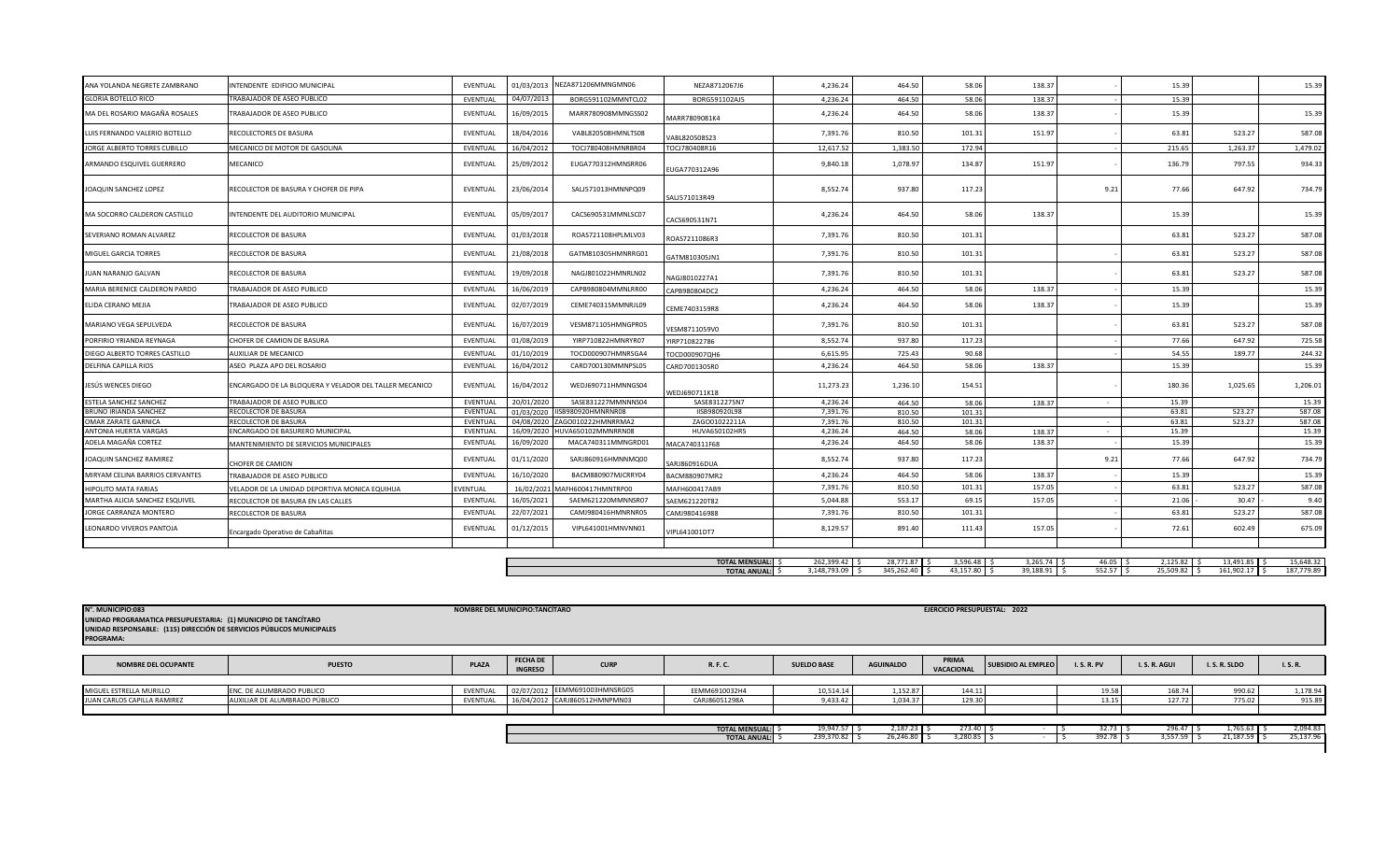| ANA YOLANDA NEGRETE ZAMBRANO                        | INTENDENTE EDIFICIO MUNICIPAL                           | EVENTUAL             | 01/03/2013               | NEZA871206MMNGMN06                       | NEZA8712067J6            | 4,236.24             | 464.50           | 58.06           | 138.37       |                     | 15.39          |               | 15.39           |
|-----------------------------------------------------|---------------------------------------------------------|----------------------|--------------------------|------------------------------------------|--------------------------|----------------------|------------------|-----------------|--------------|---------------------|----------------|---------------|-----------------|
| <b>GLORIA BOTELLO RICO</b>                          | TRABAJADOR DE ASEO PUBLICO                              | EVENTUAL             | 04/07/2013               | BORG591102MMNTCL02                       | BORG591102AJ5            | 4.236.24             | 464.50           | 58.06           | 138.37       |                     | 15.39          |               |                 |
| MA DEL ROSARIO MAGAÑA ROSALES                       | TRABAJADOR DE ASEO PUBLICO                              | EVENTUAL             | 16/09/2015               | MARR780908MMNGSS02                       | MARR7809081K4            | 4,236.24             | 464.50           | 58.06           | 138.37       |                     | 15.39          |               | 15.39           |
| LUIS FERNANDO VALERIO BOTELLO                       | RECOLECTORES DE BASURA                                  | EVENTUAL             | 18/04/2016               | VABL820508HMNLTS08                       | /ABL820508S23            | 7,391.76             | 810.50           | 101.31          | 151.97       |                     | 63.81          | 523.27        | 587.08          |
| JORGE ALBERTO TORRES CUBILLO                        | MECANICO DE MOTOR DE GASOLINA                           | EVENTUAL             | 16/04/2012               | TOCJ780408HMNRBR04                       | TOCJ780408R16            | 12,617.52            | 1,383.50         | 172.94          |              |                     | 215.65         | 1,263.37      | 1,479.02        |
| ARMANDO ESQUIVEL GUERRERO                           | MECANICO                                                | EVENTUAL             | 25/09/2012               | EUGA770312HMNSRR06                       | EUGA770312A96            | 9,840.18             | 1,078.97         | 134.87          | 151.97       |                     | 136.79         | 797.55        | 934.33          |
| <b>JOAQUIN SANCHEZ LOPEZ</b>                        | RECOLECTOR DE BASURA Y CHOFER DE PIPA                   | <b>EVENTUAL</b>      | 23/06/2014               | SALJ571013HMNNPQ09                       | SALJ571013R49            | 8,552.74             | 937.80           | 117.23          |              | 9.21                | 77.66          | 647.92        | 734.79          |
| MA SOCORRO CALDERON CASTILLO                        | INTENDENTE DEL AUDITORIO MUNICIPAL                      | EVENTUAL             | 05/09/2017               | CACS690531MMNLSC07                       | ACS690531N71             | 4,236.24             | 464.50           | 58.06           | 138.37       |                     | 15.39          |               | 15.39           |
| SEVERIANO ROMAN ALVAREZ                             | RECOLECTOR DE BASURA                                    | EVENTUAL             | 01/03/2018               | ROAS721108HPLMLV03                       | ROAS7211086R3            | 7,391.76             | 810.50           | 101.31          |              |                     | 63.81          | 523.27        | 587.08          |
| MIGUEL GARCIA TORRES                                | RECOLECTOR DE BASURA                                    | EVENTUAL             | 21/08/2018               | GATM810305HMNRRG01                       | GATM810305JN1            | 7,391.76             | 810.50           | 101.31          |              |                     | 63.81          | 523.27        | 587.08          |
| JUAN NARANJO GALVAN                                 | RECOLECTOR DE BASURA                                    | EVENTUAL             | 19/09/2018               | NAGJ801022HMNRLN02                       | VAGJ8010227A1            | 7,391.76             | 810.50           | 101.31          |              |                     | 63.81          | 523.27        | 587.08          |
| MARIA BERENICE CALDERON PARDO                       | TRABAJADOR DE ASEO PUBLICO                              | EVENTUAL             | 16/06/2019               | CAPB980804MMNLRR00                       | CAPB980804DC2            | 4,236.24             | 464.50           | 58.06           | 138.37       |                     | 15.39          |               | 15.39           |
| ELIDA CERANO MEJIA                                  | TRABAJADOR DE ASEO PUBLICO                              | EVENTUAL             | 02/07/2019               | CEME740315MMNRJL09                       | CEME7403159R8            | 4,236.24             | 464.50           | 58.06           | 138.37       |                     | 15.39          |               | 15.39           |
| MARIANO VEGA SEPULVEDA                              | RECOLECTOR DE BASURA                                    | EVENTUAL             | 16/07/2019               | VESM871105HMNGPR05                       | VESM8711059V0            | 7,391.76             | 810.50           | 101.31          |              |                     | 63.81          | 523.27        | 587.08          |
| PORFIRIO YRIANDA REYNAGA                            | CHOFER DE CAMION DE BASURA                              | EVENTUAL             | 01/08/2019               | YIRP710822HMNRYR07                       | YIRP710822786            | 8,552.74             | 937.80           | 117.23          |              |                     | 77.66          | 647.92        | 725.58          |
| DIEGO ALBERTO TORRES CASTILLO                       | AUXILIAR DE MECANICO                                    | EVENTUAL             | 01/10/2019               | TOCD000907HMNRSGA4                       | FOCD000907QH6            | 6,615.95             | 725.43           | 90.68           |              |                     | 54.55          | 189.77        | 244.32          |
| <b>DELFINA CAPILLA RIOS</b>                         | ASEO PLAZA APO DEL ROSARIO                              | EVENTUAL             | 16/04/2012               | CARD700130MMNPSL05                       | CARD7001305R0            | 4.236.24             | 464.50           | 58.06           | 138.37       |                     | 15.39          |               | 15.39           |
| JESÚS WENCES DIEGO                                  | ENCARGADO DE LA BLOQUERA Y VELADOR DEL TALLER MECANICO  | EVENTUAL             | 16/04/2012               | WEDJ690711HMNNGS04                       | WEDJ690711K18            | 11,273.23            | 1,236.10         | 154.51          |              |                     | 180.36         | 1,025.65      | 1,206.01        |
| ESTELA SANCHEZ SANCHEZ                              | TRABAJADOR DE ASEO PUBLICO                              | EVENTUAL             | 20/01/2020               | SASE831227MMNNNS04                       | SASE8312275N7            | 4.236.24             | 464.50           | 58.06           | 138.37       |                     | 15.39          |               | 15.39           |
| <b>BRUNO IRIANDA SANCHEZ</b>                        | RECOLECTOR DE BASURA                                    | EVENTUAL             | 01/03/2020               | IISB980920HMNRNR08                       | IISB980920L98            | 7,391.76             | 810.50           | 101.31          |              |                     | 63.81          | 523.27        | 587.08          |
| <b>OMAR ZARATE GARNICA</b><br>ANTONIA HUERTA VARGAS | RECOLECTOR DE BASURA<br>ENCARGADO DE BASURERO MUNICIPAL | EVENTUAL<br>EVENTUAL | 04/08/2020               | ZAGO010222HMNRRMA2<br>HUVA650102MMNRRN08 | ZAGO01022211A            | 7.391.76<br>4.236.24 | 810.50           | 101.31          |              | $\sim$              | 63.81<br>15.39 | 523.27        | 587.08<br>15.39 |
|                                                     |                                                         |                      | 16/09/2020               |                                          | HUVA650102HR5            |                      | 464.50           | 58.06           | 138.37       | $\sim$              | 15.39          |               |                 |
| ADELA MAGAÑA CORTEZ<br>JOAQUIN SANCHEZ RAMIREZ      | MANTENIMIENTO DE SERVICIOS MUNICIPALES                  | EVENTUAL<br>EVENTUAL | 16/09/2020<br>01/11/2020 | MACA740311MMNGRD01<br>SARJ860916HMNNMQ00 | MACA740311F68            | 4,236.24<br>8,552.74 | 464.50<br>937.80 | 58.06<br>117.23 | 138.37       | 9.21                | 77.66          | 647.92        | 15.39<br>734.79 |
|                                                     | <b>CHOFER DE CAMION</b>                                 |                      |                          |                                          | SARJ860916DUA            |                      |                  |                 |              |                     |                |               |                 |
| MIRYAM CELINA BARRIOS CERVANTES                     | TRABAJADOR DE ASEO PUBLICO                              | EVENTUAL             | 16/10/2020               | BACM880907MJCRRY04                       | BACM880907MR2            | 4,236.24             | 464.50           | 58.06           | 138.37       |                     | 15.39          |               | 15.39           |
| <b>HIPOLITO MATA FARIAS</b>                         | VELADOR DE LA UNIDAD DEPORTIVA MONICA EQUIHUA           | VENTUAL              |                          | 16/02/2021 MAFH600417HMNTRP00            | MAFH600417AB9            | 7,391.76             | 810.50           | 101.31          | 157.05       |                     | 63.81          | 523.27        | 587.08          |
| MARTHA ALICIA SANCHEZ ESQUIVEL                      | RECOLECTOR DE BASURA EN LAS CALLES                      | EVENTUAL             | 16/05/2021               | SAEM621220MMNNSR07                       | SAEM621220T82            | 5,044.88             | 553.17           | 69.15           | 157.05       |                     | 21.06          | 30.47         | 9.40            |
| JORGE CARRANZA MONTERO                              | RECOLECTOR DE BASURA                                    | <b>EVENTUAL</b>      | 22/07/2021               | CAMJ980416HMNRNR05                       | CAMJ980416988            | 7,391.76             | 810.50           | 101.31          |              |                     | 63.81          | 523.27        | 587.08          |
| LEONARDO VIVEROS PANTOJA                            | Encargado Operativo de Cabañitas                        | EVENTUAL             | 01/12/2015               | VIPL641001HMNVNN01                       | VIPL641001DT7            | 8,129.57             | 891.40           | 111.43          | 157.05       |                     | 72.61          | 602.49        | 675.09          |
|                                                     |                                                         |                      |                          |                                          |                          |                      |                  |                 |              |                     |                |               |                 |
|                                                     |                                                         |                      |                          |                                          | <b>TOTAL MENSUAL:</b> \$ | $262.399.42$ S       | 28.771.87 S      | $3.596.48$ S    | 3.265.74     | $46.05$ S           | 2.125.82       | 13.491.85     | 15.648.32       |
|                                                     |                                                         |                      |                          |                                          | <b>TOTAL ANUAL:</b> \$   | 3,148,793.09 \$      | 345,262.40 \$    | 43,157.80 \$    | 39,188.91 \$ | $552.57$ $\sqrt{5}$ | 25,509.82 \$   | 161,902.17 \$ | 187,779.89      |

| N°. MUNICIPIO:083<br>UNIDAD PROGRAMATICA PRESUPUESTARIA: (1) MUNICIPIO DE TANCÍTARO<br>UNIDAD RESPONSABLE: (115) DIRECCIÓN DE SERVICIOS PÚBLICOS MUNICIPALES<br><b>PROGRAMA:</b> |                               | <b>NOMBRE DEL MUNICIPIO:TANCÍTARO</b> |                                   |                               |                                              |                            |                          | EJERCICIO PRESUPUESTAL: 2022 |                           |                      |                              |                            |                       |
|----------------------------------------------------------------------------------------------------------------------------------------------------------------------------------|-------------------------------|---------------------------------------|-----------------------------------|-------------------------------|----------------------------------------------|----------------------------|--------------------------|------------------------------|---------------------------|----------------------|------------------------------|----------------------------|-----------------------|
| <b>NOMBRE DEL OCUPANTE</b>                                                                                                                                                       | <b>PUESTO</b>                 | <b>PLAZA</b>                          | <b>FECHA DE</b><br><b>INGRESO</b> | <b>CURP</b>                   | R. F. C.                                     | <b>SUELDO BASE</b>         | <b>AGUINALDO</b>         | PRIMA<br>VACACIONAL          | <b>SUBSIDIO AL EMPLEO</b> | <b>I.S.R.PV</b>      | I.S.R.AGUI                   | I.S.R.SLDO                 | I. S. R.              |
| MIGUEL ESTRELLA MURILLO                                                                                                                                                          | ENC. DE ALUMBRADO PUBLICO     | EVENTUAL                              |                                   | 02/07/2012 EEMM691003HMNSRG05 | EEMM6910032H4                                | 10,514.14                  | 1,152.87                 | 144.11                       |                           | 19.58                | 168.74                       | 990.62                     | 1,178.94              |
| JUAN CARLOS CAPILLA RAMIREZ                                                                                                                                                      | AUXILIAR DE ALUMBRADO PÚBLICO | EVENTUAL                              |                                   | 16/04/2012 CARJ860512HMNPMN03 | CARJ86051298A                                | 9,433.42                   | 1,034.37                 | 129.30                       |                           | 13.15                | 127.72                       | 775.02                     | 915.89                |
|                                                                                                                                                                                  |                               |                                       |                                   |                               | <b>TOTAL MENSUAL:</b><br><b>TOTAL ANUAL:</b> | 19,947.57<br>239,370.82 \$ | 2,187.23<br>26,246.80 \$ | 273.40<br>3,280.85           |                           | 32.73<br>$392.78$ \$ | $296.47$ \$<br>$3,557.59$ \$ | 1,765.63<br>$21,187.59$ \$ | 2,094.83<br>25,137.96 |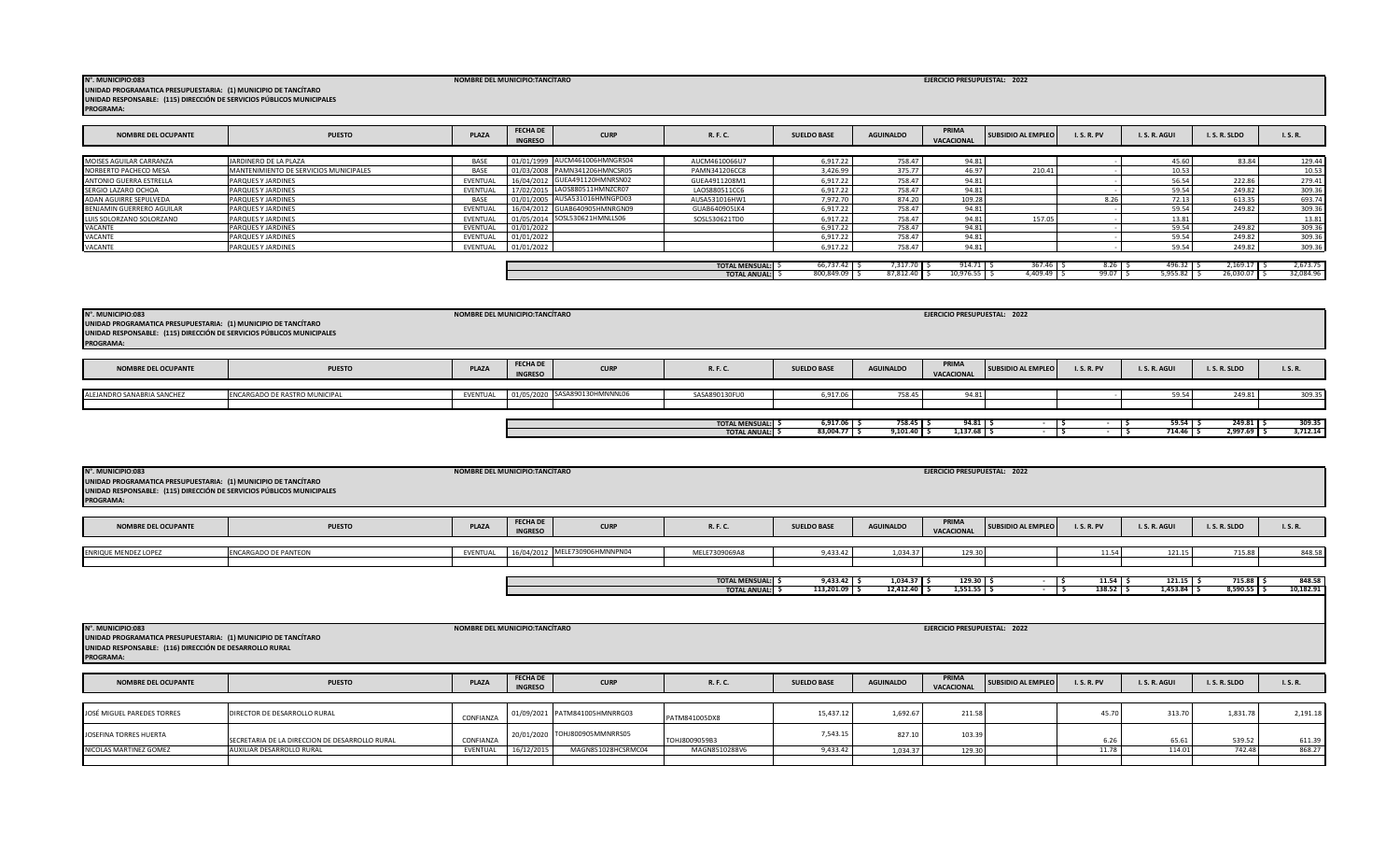| <b>NOMBRE DEL OCUPANTE</b>                                                                                                                    | <b>PUESTO</b>                                  | <b>PLAZA</b> | <b>FECHA DE</b><br><b>INGRESO</b> | <b>CURP</b>                   | R. F. C.                                 | <b>SUELDO BASE</b>             | <b>AGUINALDO</b>                | PRIMA<br><b>VACACIONAL</b>   | <b>SUBSIDIO AL EMPLEO</b> | <b>I.S.R.PV</b>      | I.S.R. AGUI                  | I.S.R.SLDO                   | I.S.R.              |
|-----------------------------------------------------------------------------------------------------------------------------------------------|------------------------------------------------|--------------|-----------------------------------|-------------------------------|------------------------------------------|--------------------------------|---------------------------------|------------------------------|---------------------------|----------------------|------------------------------|------------------------------|---------------------|
|                                                                                                                                               |                                                |              |                                   |                               |                                          |                                |                                 |                              |                           |                      |                              |                              |                     |
| <b>ENRIQUE MENDEZ LOPEZ</b>                                                                                                                   | <b>ENCARGADO DE PANTEON</b>                    | EVENTUAL     | 16/04/2012                        | MELE730906HMNNPN04            | MELE7309069A8                            | 9,433.42                       | 1,034.37                        | 129.30                       |                           | 11.54                | 121.15                       | 715.88                       | 848.58              |
|                                                                                                                                               |                                                |              |                                   |                               |                                          |                                |                                 |                              |                           |                      |                              |                              |                     |
|                                                                                                                                               |                                                |              |                                   |                               |                                          |                                |                                 |                              |                           |                      |                              |                              |                     |
|                                                                                                                                               |                                                |              |                                   |                               | TOTAL MENSUAL: \$<br><b>TOTAL ANUAL:</b> | $9,433.42$ \$<br>113,201.09 \$ | $1,034.37$ \$<br>$12,412.40$ \$ | $129.30$ \$<br>$1,551.55$ \$ | $\overline{\phantom{a}}$  | $11.54$ \$<br>138.52 | $121.15$ \$<br>$1,453.84$ \$ | $715.88$ \$<br>$8,590.55$ \$ | 848.58<br>10,182.91 |
|                                                                                                                                               |                                                |              |                                   |                               |                                          |                                |                                 |                              |                           |                      |                              |                              |                     |
|                                                                                                                                               |                                                |              |                                   |                               |                                          |                                |                                 |                              |                           |                      |                              |                              |                     |
|                                                                                                                                               |                                                |              |                                   |                               |                                          |                                |                                 |                              |                           |                      |                              |                              |                     |
| UNIDAD PROGRAMATICA PRESUPUESTARIA: (1) MUNICIPIO DE TANCÍTARO<br>UNIDAD RESPONSABLE: (116) DIRECCIÓN DE DESARROLLO RURAL<br><b>PROGRAMA:</b> |                                                |              |                                   |                               |                                          |                                |                                 |                              |                           |                      |                              |                              |                     |
| <b>NOMBRE DEL OCUPANTE</b>                                                                                                                    | <b>PUESTO</b>                                  | <b>PLAZA</b> | <b>FECHA DE</b><br><b>INGRESO</b> | <b>CURP</b>                   | R. F. C.                                 | <b>SUELDO BASE</b>             | <b>AGUINALDO</b>                | PRIMA<br>VACACIONAL          | <b>SUBSIDIO AL EMPLEO</b> | <b>I.S.R.PV</b>      | I.S.R.AGUI                   | I.S.R.SLDO                   | I.S.R.              |
|                                                                                                                                               |                                                |              |                                   |                               |                                          |                                |                                 |                              |                           |                      |                              |                              |                     |
| JOSÉ MIGUEL PAREDES TORRES                                                                                                                    | DIRECTOR DE DESARROLLO RURAL                   | CONFIANZA    |                                   | 01/09/2021 PATM841005HMNRRG03 | PATM841005DX8                            | 15,437.12                      | 1,692.67                        | 211.58                       |                           | 45.70                | 313.70                       | 1,831.78                     | 2,191.18            |
| JOSEFINA TORRES HUERTA                                                                                                                        | SECRETARIA DE LA DIRECCION DE DESARROLLO RURAL | CONFIANZA    |                                   | 20/01/2020 TOHJ800905MMNRRS05 | TOHJ8009059B3                            | 7,543.15                       | 827.1                           | 103.39                       |                           | 6.26                 | 65.61                        | 539.52                       | 611.39              |
| NICOLAS MARTINEZ GOMEZ                                                                                                                        | AUXILIAR DESARROLLO RURAL                      | EVENTUAL     | 16/12/2015                        | MAGN851028HCSRMC04            | MAGN8510288V6                            | 9,433.42                       | 1.034.37                        | 129.30                       |                           | 11.78                | 114.01                       | 742.48                       | 868.27              |

| UNIDAD PROGRAMATICA PRESUPUESTARIA: (1) MUNICIPIO DE TANCITARO<br>UNIDAD RESPONSABLE: (115) DIRECCIÓN DE SERVICIOS PÚBLICOS MUNICIPALES<br><b>PROGRAMA:</b> |                               |              |                                                  |                                             |                                 |                            |                          |                           |                 |                                 |                         |                    |
|-------------------------------------------------------------------------------------------------------------------------------------------------------------|-------------------------------|--------------|--------------------------------------------------|---------------------------------------------|---------------------------------|----------------------------|--------------------------|---------------------------|-----------------|---------------------------------|-------------------------|--------------------|
| <b>NOMBRE DEL OCUPANTE</b>                                                                                                                                  | <b>PUESTO</b>                 | <b>PLAZA</b> | <b>FECHA DE</b><br><b>CURP</b><br><b>INGRESO</b> | R. F. C.                                    | <b>SUELDO BASE</b>              | <b>AGUINALDO</b>           | PRIMA<br>VACACIONAL      | <b>SUBSIDIO AL EMPLEO</b> | <b>I.S.R.PV</b> | I.S.R.AGUI                      | I.S.R.SLDO              | I. S. R.           |
| ALEJANDRO SANABRIA SANCHEZ                                                                                                                                  | ENCARGADO DE RASTRO MUNICIPAL | EVENTUAL     | 01/05/2020 SASA890130HMNNNL06                    | SASA890130FU0                               | 6.917.06                        | 758.45                     | 94.81                    |                           |                 | 59.54                           | 249.81                  | 309.35             |
|                                                                                                                                                             |                               |              |                                                  | <b>TOTAL MENSUAL: \$</b><br>TOTAL ANUAL: \$ | $6,917.06$ \$<br>$83,004.77$ \$ | 758.45 \$<br>$9,101.40$ \$ | $94.81$ \ \$<br>1,137.68 |                           |                 | $59.54$ $\frac{1}{5}$<br>714.46 | $249.81$ \$<br>2,997.69 | 309.35<br>3,712.14 |

| <b>NOMBRE DEL OCUPANTE</b> | <b>PUESTO</b>                          | <b>PLAZA</b> | <b>FECHA DE</b><br><b>INGRESO</b> | <b>CURP</b>                   | R. F. C.              | <b>SUELDO BASE</b> | <b>AGUINALDO</b> | PRIMA<br>VACACIONAL | <b>SUBSIDIO AL EMPLEO</b> | <b>I.S.R.PV</b> | I.S.R.AGUI | I.S.R.SLDO | I. S. R.  |
|----------------------------|----------------------------------------|--------------|-----------------------------------|-------------------------------|-----------------------|--------------------|------------------|---------------------|---------------------------|-----------------|------------|------------|-----------|
|                            |                                        |              |                                   |                               |                       |                    |                  |                     |                           |                 |            |            |           |
| MOISES AGUILAR CARRANZA    | JARDINERO DE LA PLAZA                  | BASE         |                                   | 01/01/1999 AUCM461006HMNGRS04 | AUCM4610066U7         | 6.917.22           | 758.47           | 94.81               |                           |                 | 45.60      | 83.84      | 129.44    |
| NORBERTO PACHECO MESA      | MANTENIMIENTO DE SERVICIOS MUNICIPALES | <b>RASE</b>  |                                   | 01/03/2008 PAMN341206HMNCSR05 | PAMN341206CC8         | 3,426.99           | 375.77           | 46.97               | 210.41                    |                 | 10.53      |            | 10.53     |
| ANTONIO GUERRA ESTRELLA    | PARQUES Y JARDINES                     | EVENTUAL     |                                   | 16/04/2012 GUEA491120HMNRSN02 | GUEA4911208M1         | 6.917.22           | 758.47           | 94.81               |                           |                 | 56.54      | 222.86     | 279.41    |
| SERGIO LAZARO OCHOA        | PARQUES Y JARDINES                     | EVENTUAL     |                                   | 17/02/2015 LAOS880511HMNZCR07 | LAOS880511CC6         | 6.917.22           | 758.47           | 94.81               |                           |                 | 59.54      | 249.82     | 309.36    |
| ADAN AGUIRRE SEPULVEDA     | PARQUES Y JARDINES                     | <b>BASE</b>  |                                   | 01/01/2005 AUSA531016HMNGPD03 | AUSA531016HW1         | 7.972.70           | 874.20           | 109.28              |                           | 8.26            | 72.13      | 613.35     | 693.74    |
| BENJAMIN GUERRERO AGUILAR  | PARQUES Y JARDINES                     | EVENTUAL     | 16/04/2012                        | GUAB640905HMNRGN09            | GUAB640905LK4         | 6.917.2            | 758.47           | 94.81               |                           |                 | 59.54      | 249.82     | 309.36    |
| LUIS SOLORZANO SOLORZANO   | PARQUES Y JARDINES                     | EVENTUAL     |                                   | 01/05/2014 SOSL530621HMNLLS06 | SOSL530621TD0         | 6.917.2            | 758.47           | 94.81               | 157.05                    |                 | 13.81      |            | 13.81     |
| VACANTE                    | PARQUES Y JARDINES                     | EVENTUAL     | 01/01/2022                        |                               |                       | 6.917.22           | 758.47           | 94.81               |                           |                 | 59.54      | 249.82     | 309.36    |
| VACANTE                    | PARQUES Y JARDINES                     | EVENTUAL     | 01/01/2022                        |                               |                       | 6.917.22           | 758.47           | 94.81               |                           |                 | 59.54      | 249.82     | 309.36    |
| VACANTE                    | PARQUES Y JARDINES                     | EVENTUAL     | 01/01/2022                        |                               |                       | 6.917.2            | 758.47           | 94.81               |                           |                 | 59.54      | 249.82     | 309.36    |
|                            |                                        |              |                                   |                               |                       |                    |                  |                     |                           |                 |            |            |           |
|                            |                                        |              |                                   |                               | <b>TOTAL MENSUAL:</b> | 66,737.42          | 7,317.70 S       | 914.71              | 367.46                    | 8.26            | 496.32     | 2.169.17   | 2,673.75  |
|                            |                                        |              |                                   |                               | <b>TOTAL ANUAL:</b>   | 800,849.09 S       | 87,812.40 \$     | 10,976.5            | 4,409.49                  | 99.07           | 5,955.87   | 26,030.0   | 32,084.96 |

**NOMBRE DEL MUNICIPIO:TANCÍTARO N°. MUNICIPIO:083 EJERCICIO PRESUPUESTAL: 2022 UNIDAD PROGRAMATICA PRESUPUESTARIA: (1) MUNICIPIO DE TANCÍTARO UNIDAD RESPONSABLE: (115) DIRECCIÓN DE SERVICIOS PÚBLICOS MUNICIPALES PROGRAMA:** 

**UNIDAD PROGRAMATICA PRESUPUESTARIA: (1) MUNICIPIO DE TANCÍTARO UNIDAD RESPONSABLE: (115) DIRECCIÓN DE SERVICIOS PÚBLICOS MUNICIPALES**

**PROGRAMA:** 

**NOMBRE DEL MUNICIPIO:TANCÍTARO N°. MUNICIPIO:083 EJERCICIO PRESUPUESTAL: 2022**

**NOMBRE DEL MUNICIPIO:TANCÍTARO N°. MUNICIPIO:083 EJERCICIO PRESUPUESTAL: 2022**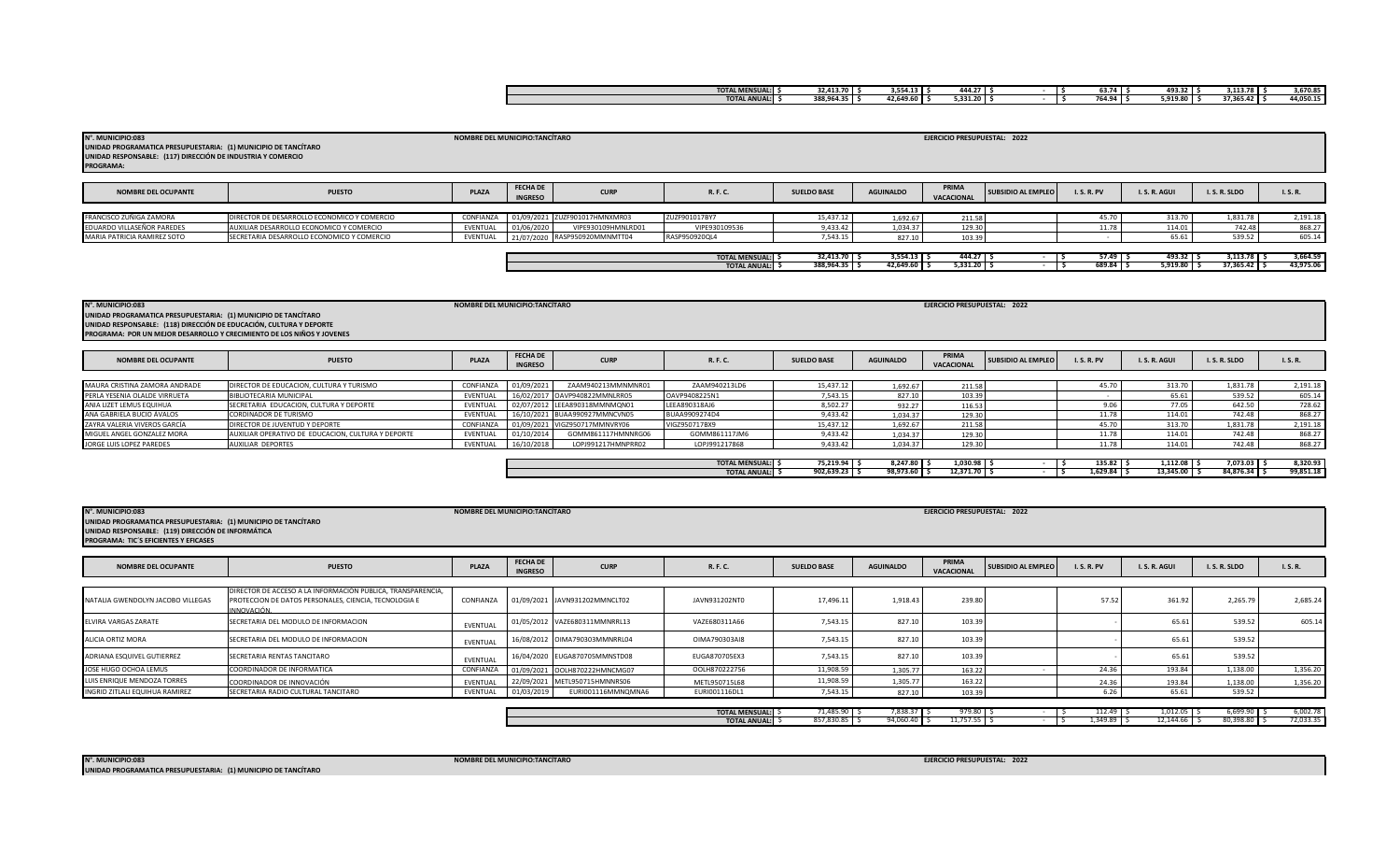| <b>TOTAL MENSUAL:</b> | 32.413.70  | 3.554.13  | 444.27     |  | $- - -$<br>63.74        | 493.32   | 3.113.78  | 3.670.85  |
|-----------------------|------------|-----------|------------|--|-------------------------|----------|-----------|-----------|
| TOTAL ANUAL:          | 388.964.35 | 42.649.60 | 5.331.20 I |  | <b>764 QA</b><br>704.94 | 5.919.80 | 37.365.42 | 44,050.15 |
|                       |            |           |            |  |                         |          |           |           |

| N°. MUNICIPIO:083<br>UNIDAD PROGRAMATICA PRESUPUESTARIA: (1) MUNICIPIO DE TANCÍTARO<br>UNIDAD RESPONSABLE: (117) DIRECCIÓN DE INDUSTRIA Y COMERCIO<br><b>PROGRAMA:</b> |                                             | NOMBRE DEL MUNICIPIO:TANCÍTARO |                                   |                               |                        |                    |                  | EJERCICIO PRESUPUESTAL: 2022 |                           |                 |               |                |           |
|------------------------------------------------------------------------------------------------------------------------------------------------------------------------|---------------------------------------------|--------------------------------|-----------------------------------|-------------------------------|------------------------|--------------------|------------------|------------------------------|---------------------------|-----------------|---------------|----------------|-----------|
| <b>NOMBRE DEL OCUPANTE</b>                                                                                                                                             | <b>PUESTO</b>                               | PLAZA                          | <b>FECHA DE</b><br><b>INGRESO</b> | <b>CURP</b>                   | R. F. C.               | <b>SUELDO BASE</b> | <b>AGUINALDO</b> | PRIMA<br>VACACIONAL          | <b>SUBSIDIO AL EMPLEO</b> | <b>I.S.R.PV</b> | I.S.R.AGUI    | I.S.R.SLDO     | I. S. R.  |
| FRANCISCO ZUÑIGA ZAMORA                                                                                                                                                | DIRECTOR DE DESARROLLO ECONOMICO Y COMERCIO | CONFIANZA                      | 01/09/2021                        | ZUZF901017HMNXMR03            | ZUZF901017BY7          | 15,437.12          | 1,692.67         | 211.58                       |                           | 45.70           | 313.70        | 1,831.78       | 2,191.18  |
| EDUARDO VILLASEÑOR PAREDES                                                                                                                                             | AUXILIAR DESARROLLO ECONOMICO Y COMERCIO    | EVENTUAL                       | 01/06/2020                        | VIPE930109HMNLRD01            | VIPE930109536          | 9,433.42           | 1,034.37         | 129.3                        |                           | 11.78           | 114.01        | 742.48         | 868.27    |
| MARIA PATRICIA RAMIREZ SOTO                                                                                                                                            | SECRETARIA DESARROLLO ECONOMICO Y COMERCIO  | EVENTUAL                       |                                   | 21/07/2020 RASP950920MMNMTT04 | RASP950920QL4          | 7,543.15           | 827.10           | 103.39                       |                           |                 | 65.61         | 539.52         | 605.14    |
|                                                                                                                                                                        |                                             |                                |                                   |                               |                        |                    |                  |                              |                           |                 |               |                |           |
|                                                                                                                                                                        |                                             |                                |                                   |                               | <b>TOTAL MENSUAL:</b>  | $32,413.70$ \$     | $3,554.13$ \$    | $444.27$ \$                  |                           | $57.49$ S       | $493.32$ \$   | $3,113.78$ \$  | 3,664.59  |
|                                                                                                                                                                        |                                             |                                |                                   |                               | <b>TOTAL ANUAL:</b> \$ | 388,964.35 \$      | 42,649.60 \$     | $5,331.20$ \$                |                           | $689.84$ \$     | $5,919.80$ \$ | $37,365.42$ \$ | 43,975.06 |

| N°. MUNICIPIO:083                                                      |                                          | NOMBRE DEL MUNICIPIO:TANCÍTARO |                                   |                    |               |                    |                  | EJERCICIO PRESUPUESTAL: 2022 |                           |                 |               |            |          |
|------------------------------------------------------------------------|------------------------------------------|--------------------------------|-----------------------------------|--------------------|---------------|--------------------|------------------|------------------------------|---------------------------|-----------------|---------------|------------|----------|
| UNIDAD PROGRAMATICA PRESUPUESTARIA: (1) MUNICIPIO DE TANCÍTARO         |                                          |                                |                                   |                    |               |                    |                  |                              |                           |                 |               |            |          |
| UNIDAD RESPONSABLE: (118) DIRECCIÓN DE EDUCACIÓN, CULTURA Y DEPORTE    |                                          |                                |                                   |                    |               |                    |                  |                              |                           |                 |               |            |          |
| PROGRAMA: POR UN MEJOR DESARROLLO Y CRECIMIENTO DE LOS NIÑOS Y JOVENES |                                          |                                |                                   |                    |               |                    |                  |                              |                           |                 |               |            |          |
|                                                                        |                                          |                                |                                   |                    |               |                    |                  |                              |                           |                 |               |            |          |
| <b>NOMBRE DEL OCUPANTE</b>                                             | <b>PUESTO</b>                            | <b>PLAZA</b>                   | <b>FECHA DE</b><br><b>INGRESO</b> | <b>CURP</b>        | R. F. C.      | <b>SUELDO BASE</b> | <b>AGUINALDO</b> | PRIMA<br>VACACIONAL          | <b>SUBSIDIO AL EMPLEO</b> | <b>I.S.R.PV</b> | I. S. R. AGUI | I.S.R.SLDO | I.S.R.   |
|                                                                        |                                          |                                |                                   |                    |               |                    |                  |                              |                           |                 |               |            |          |
| MAURA CRISTINA ZAMORA ANDRADE                                          | DIRECTOR DE EDUCACION, CULTURA Y TURISMO | CONFIANZA                      | 01/09/2021                        | ZAAM940213MMNMNR01 | ZAAM940213LD6 | 15,437.12          | 1.692.67         | 211.58                       |                           | 45.70           | 313.70        | 1,831.78   | 2,191.18 |
| PERLA YESENIA OLALDE VIRRUETA                                          | BIBLIOTECARIA MUNICIPAL                  | EVENTUAL                       |                                   |                    | OAVP9408225N1 | 7,543.15           | 827.10           | 103.39                       |                           |                 | 65.61         | 539.52     | 605.14   |

|                               |                                                    |           |            |                               | <b>TOTAL ANUAL:</b>      | 902,639.23    | 98,973.60   | 12,371.70     | $1,629.84$ \$ | $13,345.00$ \$ | 84,876.34 | 99,851.18 |
|-------------------------------|----------------------------------------------------|-----------|------------|-------------------------------|--------------------------|---------------|-------------|---------------|---------------|----------------|-----------|-----------|
|                               |                                                    |           |            |                               | <b>TOTAL MENSUAL:</b> \$ | $75,219.94$ > | 8,247.80 \$ | $1,030.98$ \$ | $135.82$ S    | $1,112.08$ \$  | 7,073.03  | 8.320.93  |
|                               |                                                    |           |            |                               |                          |               |             |               |               |                |           |           |
| JORGE LUIS LOPEZ PAREDES      | AUXILIAR DEPORTES                                  | EVENTUAL  | 16/10/2018 | LOPJ991217HMNPRR02            | LOPJ991217868            | 9,433.42      | 1,034.37    | 129.3         | 11.78         | 114.01         | 742.48    | 868.27    |
| MIGUEL ANGEL GONZALEZ MORA    | AUXILIAR OPERATIVO DE EDUCACION. CULTURA Y DEPORTE | EVENTUAL  | 01/10/201  | GOMM861117HMNNRG06            | GOMM861117JM6            | 9,433.42      | 1.034.37    | 129.30        | 11.78         | 114.01         | 742.48    | 868.27    |
| ZAYRA VALERIA VIVEROS GARCÍA  | DIRECTOR DE JUVENTUD Y DEPORTE                     | CONFIANZA |            | 01/09/2021 VIGZ950717MMNVRY06 | VIGZ950717BX9            | 15,437.12     | 1,692.67    | 211.58        | 45.70         |                | 1,831.78  | 2,191.18  |
| ANA GABRIELA BUCIO ÁVALOS     | <b>CORDINADOR DE TURISMO</b>                       | EVENTUAL  |            | 16/10/2021 BUAA990927MMNCVN05 | BUAA9909274D4            | 9.433.42      | 1.034.37    | 129.3         | 11.78         | 114.01         | 742.48    | 868.27    |
| ANIA LIZET LEMUS EQUIHUA      | SECRETARIA EDUCACION, CULTURA Y DEPORTE            | EVENTUAL  |            | 02/07/2012 LEEA890318MMNMQN01 | LEEA890318AJ6            | 8,502.27      | 932.27      | 116.53        | 9.Ub          | 77.05          | 642.5     | 728.62    |
| PERLA YESENIA OLALDE VIRRUETA | <b>BIBLIOTECARIA MUNICIPAL</b>                     | EVENTUAL  |            | 16/02/2017 OAVP940822MMNLRR05 | OAVP9408225N1            | 7,543.15      | 827.10      | 103.39        |               | 65.61          | 539.5     | 605.14    |

| N°. MUNICIPIO:083<br>UNIDAD PROGRAMATICA PRESUPUESTARIA: (1) MUNICIPIO DE TANCÍTARO<br>UNIDAD RESPONSABLE: (119) DIRECCIÓN DE INFORMÁTICA<br>PROGRAMA: TIC'S EFICIENTES Y EFICASES |                                                                                                                                     | NOMBRE DEL MUNICIPIO:TANCÍTARO |                                   |                               |               |                    |                  | EJERCICIO PRESUPUESTAL: 2022 |                           |                 |            |            |               |
|------------------------------------------------------------------------------------------------------------------------------------------------------------------------------------|-------------------------------------------------------------------------------------------------------------------------------------|--------------------------------|-----------------------------------|-------------------------------|---------------|--------------------|------------------|------------------------------|---------------------------|-----------------|------------|------------|---------------|
| <b>NOMBRE DEL OCUPANTE</b>                                                                                                                                                         | <b>PUESTO</b>                                                                                                                       | PLAZA                          | <b>FECHA DE</b><br><b>INGRESO</b> | <b>CURP</b>                   | R. F. C.      | <b>SUELDO BASE</b> | <b>AGUINALDO</b> | PRIMA<br>VACACIONAL          | <b>SUBSIDIO AL EMPLEO</b> | <b>I.S.R.PV</b> | I.S.R.AGUI | I.S.R.SLDO | <b>I.S.R.</b> |
| NATALIA GWENDOLYN JACOBO VILLEGAS                                                                                                                                                  | DIRECTOR DE ACCESO A LA INFORMACIÓN PUBLICA, TRANSPARENCIA,<br>PROTECCION DE DATOS PERSONALES, CIENCIA, TECNOLOGIA E<br>INNOVACIÓN. | CONFIANZA                      |                                   | 01/09/2021 JAVN931202MMNCLT02 | JAVN931202NT0 | 17,496.11          | 1,918.43         | 239.80                       |                           | 57.52           | 361.92     | 2,265.79   | 2,685.24      |

| NATALIA GWENDOLYN JACOBO VILLEGAS | PROTECCION DE DATOS PERSONALES, CIENCIA, TECNOLOGIA E<br>INNOVACIÓN. | CONFIANZA |            | 01/09/2021 JAVN931202MMNCLT02 | JAVN931202NT0 | 17,496.11 | 1.918.43 | 239.80 | 57.52 | 361.92 | 2,265.79 | 2,685.24 |
|-----------------------------------|----------------------------------------------------------------------|-----------|------------|-------------------------------|---------------|-----------|----------|--------|-------|--------|----------|----------|
| <b>ELVIRA VARGAS ZARATE</b>       | SECRETARIA DEL MODULO DE INFORMACION                                 | EVENTUAL  |            | 01/05/2012 VAZE680311MMNRRL13 | VAZE680311A66 | 7,543.15  | 827.10   | 103.39 |       | 65.61  | 539.52   | 605.14   |
| ALICIA ORTIZ MORA                 | SECRETARIA DEL MODULO DE INFORMACION                                 | EVENTUAL  |            | 16/08/2012 OIMA790303MMNRRL04 | OIMA790303AI8 | 7,543.15  | 827.10   | 103.39 |       | 65.61  | 539.52   |          |
| ADRIANA ESQUIVEL GUTIERREZ        | SECRETARIA RENTAS TANCITARO                                          | EVENTUAL  |            | 16/04/2020 EUGA870705MMNSTD08 | EUGA870705EX3 | 7.543.15  | 827.10   | 103.39 |       | 65.61  | 539.52   |          |
| JOSE HUGO OCHOA LEMUS             | COORDINADOR DE INFORMATICA                                           | CONFIANZA |            | 01/09/2021 OOLH870222HMNCMG07 | OOLH870222756 | 11,908.59 | 1.305.77 | 163.22 | 24.36 | 193.84 | 1.138.00 | 1,356.20 |
| LUIS ENRIQUE MENDOZA TORRES       | COORDINADOR DE INNOVACIÓN                                            | EVENTUAL  |            | 22/09/2021 METL950715HMNNRS06 | METL950715L68 | 11,908.59 | 1.305.77 | 163.22 | 24.36 | 193.84 | 1,138.00 | 1,356.20 |
| INGRID ZITLALI EQUIHUA RAMIREZ    | SECRETARIA RADIO CULTURAL TANCITARO                                  | EVENTUAL  | 01/03/2019 | EURI001116MMNQMNA6            | EURI001116DL1 | 7,543.15  | 827.10   | 103.39 |       | 65.61  | 539.52   |          |
|                                   |                                                                      |           |            |                               |               |           |          |        |       |        |          |          |

| <b>TOTAL MENSUAL:</b> | 71,485.90  | ,838.37   | $770$ s.<br>- 212.0 |  | .<br>412.4° | 1,012. | 6,699.9             | 002.78 |
|-----------------------|------------|-----------|---------------------|--|-------------|--------|---------------------|--------|
| <b>TOTAL ANUAL:</b>   | 857,830.85 | 94,060.40 | .<br>11./ <i>./</i> |  | .349.89     | 12.149 | 5.00000<br>، 398.80 |        |
|                       |            |           |                     |  |             |        |                     |        |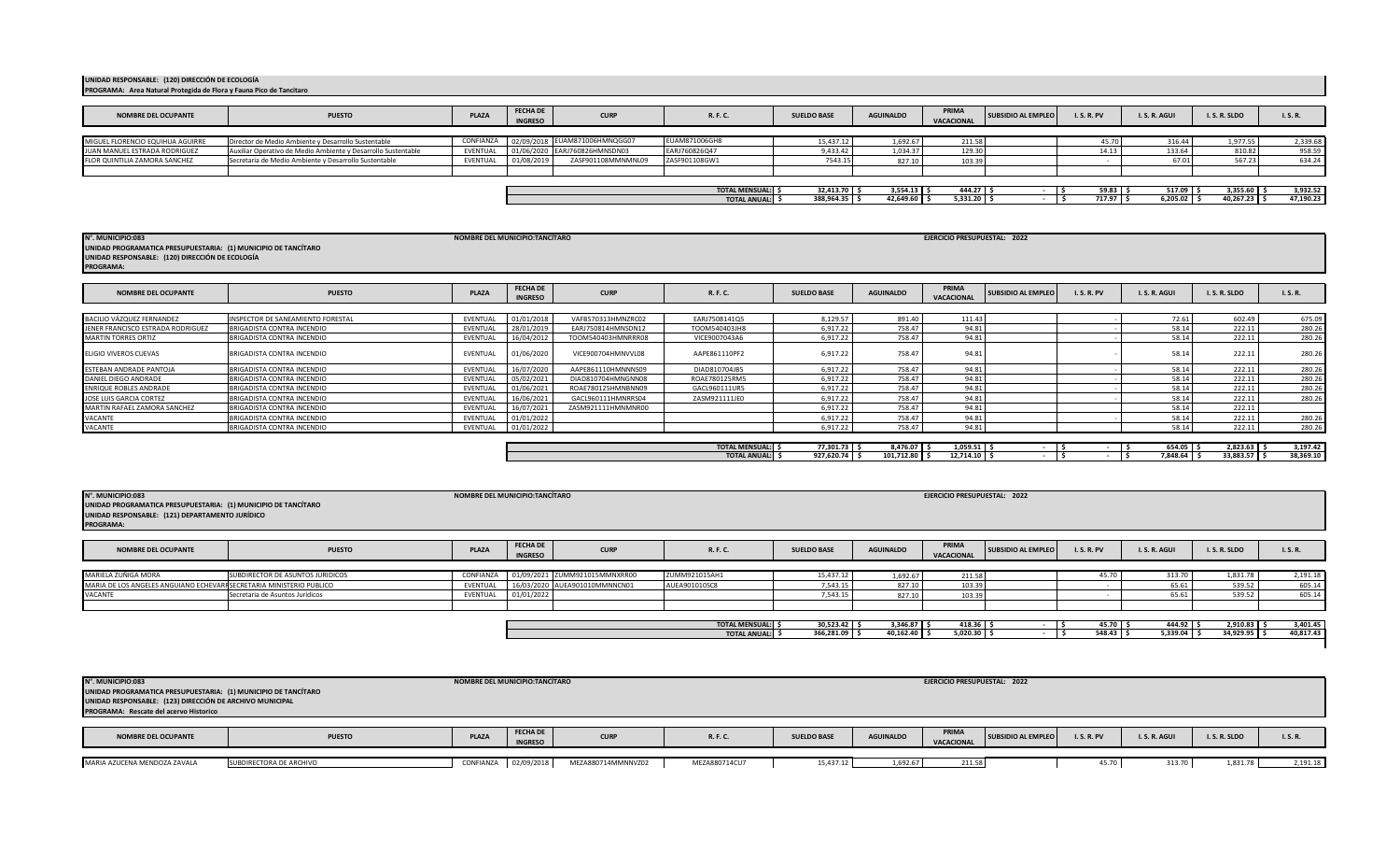| N°. MUNICIPIO:083<br>UNIDAD PROGRAMATICA PRESUPUESTARIA: (1) MUNICIPIO DE TANCÍTARO<br>UNIDAD RESPONSABLE: (123) DIRECCIÓN DE ARCHIVO MUNICIPAL<br>PROGRAMA: Rescate del acervo Historico |                         |              | NOMBRE DEL MUNICIPIO:TANCÍTARO    |                    |               |                    |                  | EJERCICIO PRESUPUESTAL: 2022 |                    |                 |            |            |          |
|-------------------------------------------------------------------------------------------------------------------------------------------------------------------------------------------|-------------------------|--------------|-----------------------------------|--------------------|---------------|--------------------|------------------|------------------------------|--------------------|-----------------|------------|------------|----------|
| <b>NOMBRE DEL OCUPANTE</b>                                                                                                                                                                | <b>PUESTO</b>           | <b>PLAZA</b> | <b>FECHA DE</b><br><b>INGRESO</b> | <b>CURP</b>        | R. F. C.      | <b>SUELDO BASE</b> | <b>AGUINALDO</b> | PRIMA<br>VACACIONAL          | SUBSIDIO AL EMPLEO | <b>I.S.R.PV</b> | I.S.R.AGUI | I.S.R.SLDO | I.S.R.   |
| MARIA AZUCENA MENDOZA ZAVALA                                                                                                                                                              | SUBDIRECTORA DE ARCHIVO |              | CONFIANZA 02/09/2018              | MEZA880714MMNNVZ02 | MEZA880714CU7 | 15,437.12          | 1.692.67         | 211.58                       |                    | 45.70           | 313.70     | 1,831.78   | 2,191.18 |

| <b>NOMBRE DEL OCUPANTE</b> | <b>PUESTO</b>                                                        | <b>PLAZA</b>     | <b>FECHA DE</b><br><b>CURP</b><br><b>INGRESO</b> | R. F. C.            | <b>SUELDO BASE</b> | <b>AGUINALDO</b> | PRIMA<br><b>VACACIONAL</b> | <b>SUBSIDIO AL EMPLEO</b> | <b>I.S.R.PV</b> | I.S.R.AGUI | I. S. R. SLDO  | I.S.R.    |
|----------------------------|----------------------------------------------------------------------|------------------|--------------------------------------------------|---------------------|--------------------|------------------|----------------------------|---------------------------|-----------------|------------|----------------|-----------|
| MARIELA ZUÑIGA MORA        | SUBDIRECTOR DE ASUNTOS JURIDICOS                                     | <b>CONFIANZA</b> | 01/09/2021 ZUMM921015MMNXRR00                    | ZUMM921015AH1       | 15,437.12          | 1,692.67         | 211.58                     |                           | 45.70           | 313.70     | 1,831.78       | 2,191.18  |
|                            | MARIA DE LOS ANGELES ANGUIANO ECHEVARI SECRETARIA MINISTERIO PUBLICO | EVENTUAL         | 16/03/2020 AUEA901010MMNNCN01                    | AUEA901010SC8       | 7,543.15           | 827.10           | 103.39                     |                           |                 | 65.61      | 539.52         | 605.14    |
| VACANTE                    | Secretaria de Asuntos Jurídicos                                      | EVENTUAL         | 01/01/2022                                       |                     | 7,543.15           | 827.10           | 103.39                     |                           |                 | 65.61      | 539.52         | 605.14    |
|                            |                                                                      |                  |                                                  | TOTAL MENSUAL: \$   | 30,523.42          | $3,346.87$ \$    | 418.36                     |                           | 45.70           | 444.92     | $2,910.83$ \$  | 3,401.45  |
|                            |                                                                      |                  |                                                  | <b>TOTAL ANUAL:</b> | 366,281.09         | $40,162.40$ \$   | 5,020.30                   |                           | 548.43          | 5,339.04   | $34,929.95$ \$ | 40,817.43 |

| N°. MUNICIPIO:083<br>NOMBRE DEL MUNICIPIO:TANCÍTARO<br>UNIDAD PROGRAMATICA PRESUPUESTARIA: (1) MUNICIPIO DE TANCÍTARO<br>UNIDAD RESPONSABLE: (121) DEPARTAMENTO JURÍDICO |                            |          |            |                    |                       |            |                 | EJERCICIO PRESUPUESTAL: 2022 |  |             |               |           |
|--------------------------------------------------------------------------------------------------------------------------------------------------------------------------|----------------------------|----------|------------|--------------------|-----------------------|------------|-----------------|------------------------------|--|-------------|---------------|-----------|
|                                                                                                                                                                          |                            |          |            |                    |                       |            |                 |                              |  |             |               |           |
|                                                                                                                                                                          |                            |          |            |                    | <b>TOTAL ANUAL:</b>   | 927,620.74 | $101,712.80$ \$ | $12,714.10$ :                |  | 7,848.64 \$ | 33,883.57 \$  | 38,369.10 |
|                                                                                                                                                                          |                            |          |            |                    | <b>TOTAL MENSUAL:</b> | 77,301.73  | $8,476.07$ \$   | $1,059.51$ \$                |  | $654.05$ \$ | $2,823.63$ \$ | 3,197.42  |
| VACANTE                                                                                                                                                                  | BRIGADISTA CONTRA INCENDIO | EVENTUAL | 01/01/2022 |                    |                       | 6,917.22   | 758.47          | 94.81                        |  | 58.14       | 222.11        | 280.26    |
| <b>VACANTE</b>                                                                                                                                                           | BRIGADISTA CONTRA INCENDIO | EVENTUAL | 01/01/2022 |                    |                       | 6,917.22   | 758.47          | 94.81                        |  | 58.14       | 222.11        | 280.26    |
| MARTIN RAFAEL ZAMORA SANCHEZ                                                                                                                                             | BRIGADISTA CONTRA INCENDIO | EVENTUAL | 16/07/2021 | ZASM921111HMNMNR00 |                       | 6,917.22   | 758.47          | 94.81                        |  | 58.14       | 222.11        |           |
| JOSE LUIS GARCIA CORTEZ                                                                                                                                                  | BRIGADISTA CONTRA INCENDIO | EVENTUAL | 16/06/2021 | GACL960111HMNRRS04 | ZASM921111JE0         | 6,917.22   | 758.47          | 94.81                        |  | 58.14       | 222.11        | 280.26    |
| ENRIQUE ROBLES ANDRADE                                                                                                                                                   | BRIGADISTA CONTRA INCENDIO | EVENTUAL | 01/06/2021 | ROAE780125HMNBNN09 | GACL960111UR5         | 6,917.22   | 758.47          | 94.81                        |  | 58.14       | 222.11        | 280.26    |
| DANIEL DIEGO ANDRADE                                                                                                                                                     | BRIGADISTA CONTRA INCENDIO | EVENTUAL | 05/02/2021 | DIAD810704HMNGNN08 | ROAE780125RM5         | 6,917.22   | 758.47          | 94.81                        |  | 58.14       | 222.11        | 280.26    |

| <b>NOMBRE DEL OCUPANTE</b>        | <b>PUESTO</b>                            | <b>PLAZA</b> | <b>FECHA DE</b><br><b>INGRESO</b> | <b>CURP</b>        | R. F. C.      | <b>SUELDO BASE</b> | <b>AGUINALDO</b> | PRIMA<br><b>VACACIONAL</b> | <b>SUBSIDIO AL EMPLEO</b> | <b>I.S.R.PV</b> | I.S.R.AGUI | I.S.R.SLDO | I.S.R. |
|-----------------------------------|------------------------------------------|--------------|-----------------------------------|--------------------|---------------|--------------------|------------------|----------------------------|---------------------------|-----------------|------------|------------|--------|
|                                   |                                          |              |                                   |                    |               |                    |                  |                            |                           |                 |            |            |        |
| BACILIO VÁZQUEZ FERNANDEZ         | <b>INSPECTOR DE SANEAMIENTO FORESTAL</b> | EVENTUAL     | 01/01/2018                        | VAFB570313HMNZRC02 | EARJ7508141Q5 | 8,129.57           | 891.40           | 111.43                     |                           |                 | 72.61      | 602.49     | 675.09 |
| JENER FRANCISCO ESTRADA RODRIGUEZ | BRIGADISTA CONTRA INCENDIO               | EVENTUAL     | 28/01/2019                        | EARJ750814HMNSDN12 | TOOM540403JH8 | 6.917.22           | 758.47           | 94.81                      |                           |                 | 58.14      | 222.11     | 280.26 |
| <b>MARTIN TORRES ORTIZ</b>        | BRIGADISTA CONTRA INCENDIO               | EVENTUAL     | 16/04/2012                        | TOOM540403HMNRRR08 | VICE9007043A6 | 6.917.22           | 758.47           | 94.81                      |                           |                 | 58.14      | 222.11     | 280.26 |
| ELIGIO VIVEROS CUEVAS             | BRIGADISTA CONTRA INCENDIO               | EVENTUAL     | 01/06/2020                        | VICE900704HMNVVL08 | AAPE861110PF2 | 6,917.22           | 758.47           | 94.81                      |                           |                 | 58.14      | 222.11     | 280.26 |
| ESTEBAN ANDRADE PANTOJA           | BRIGADISTA CONTRA INCENDIO               | EVENTUAL     | 16/07/2020                        | AAPE861110HMNNNS09 | DIAD810704JB5 | 6,917.22           | 758.47           | 94.81                      |                           |                 | 58.14      | 222.11     | 280.26 |
| DANIEL DIEGO ANDRADE              | BRIGADISTA CONTRA INCENDIO               | EVENTUAL     | 05/02/2021                        | DIAD810704HMNGNN08 | ROAE780125RM5 | 6.917.22           | 758.47           | 94.81                      |                           |                 | 58.14      | 222.11     | 280.26 |
| ENRIQUE ROBLES ANDRADE            | BRIGADISTA CONTRA INCENDIO               | EVENTUAL     | 01/06/2021                        | ROAE780125HMNBNN09 | GACL960111UR5 | 6.917.22           | 758.47           | 94.81                      |                           |                 | 58.14      | 222.11     | 280.26 |
| JOSE LUIS GARCIA CORTEZ           | BRIGADISTA CONTRA INCENDIO               | EVENTUAL     | 16/06/2021                        | GACL960111HMNRRS04 | ZASM921111JE0 | 6,917.22           | 758.47           | 94.81                      |                           |                 | 58.14      | 222.11     | 280.26 |
| MARTIN RAFAEL ZAMORA SANCHEZ      | BRIGADISTA CONTRA INCENDIO               | EVENTUAL     | 16/07/2021                        | ZASM921111HMNMNR00 |               | 6.917.22           | 758.47           | 94.81                      |                           |                 | 58.14      | 222.11     |        |
| VACANTE                           | BRIGADISTA CONTRA INCENDIO               | EVENTUAL     | 01/01/2022                        |                    |               | 6.917.22           | 758.47           | 94.81                      |                           |                 | 58.14      | 222.11     | 280.26 |
| VACANTE                           | BRIGADISTA CONTRA INCENDIO               | EVENTUAL     | 01/01/2022                        |                    |               | 6.917.22           | 758.47           | 94.81                      |                           |                 | 58.14      | 222.11     | 280.26 |

| .                                               |                                                                |
|-------------------------------------------------|----------------------------------------------------------------|
|                                                 | UNIDAD PROGRAMATICA PRESUPUESTARIA: (1) MUNICIPIO DE TANCÍTARO |
| UNIDAD RESPONSABLE: (120) DIRECCIÓN DE ECOLOGÍA |                                                                |
| <b>PROGRAMA:</b>                                |                                                                |

**P** 

| <b>NOMBRE DEL OCUPANTE</b>       | <b>PUESTO</b>                                                 | PLAZA    | <b>FECHA DE</b><br><b>INGRESO</b> | <b>CURP</b>                             | <b>R. F. C.</b>       | <b>SUELDO BASE</b> | <b>AGUINALDO</b> | PRIMA<br>VACACIONAL | <b>SUBSIDIO AL EMPLEO</b> | <b>I.S.R.PV</b> | I.S.R.AGUI | I.S.R.SLDO | <b>I.S.R.</b> |
|----------------------------------|---------------------------------------------------------------|----------|-----------------------------------|-----------------------------------------|-----------------------|--------------------|------------------|---------------------|---------------------------|-----------------|------------|------------|---------------|
|                                  |                                                               |          |                                   |                                         |                       |                    |                  |                     |                           |                 |            |            |               |
| MIGUEL FLORENCIO EQUIHUA AGUIRRE | Director de Medio Ambiente y Desarrollo Sustentable           |          |                                   | CONFIANZA 02/09/2018 EUAM871006HMNQGG07 | EUAM871006GH8         | 15.437.12          | 1,692.67         | 211.58              |                           |                 | 316.44     | 1,977.55   | 2,339.68      |
| JUAN MANUEL ESTRADA RODRIGUEZ    | Auxiliar Operativo de Medio Ambiente y Desarrollo Sustentable | EVENTUAL |                                   | 01/06/2020 EARJ760826HMNSDN03           | EARJ760826Q47         | 9,433.42           | 1.034.37         | 129.30              |                           | 14.13           | 133.64     | 810.82     | 958.59        |
| FLOR QUINTILIA ZAMORA SANCHEZ    | Secretaria de Medio Ambiente y Desarrollo Sustentable         | EVENTUAL | 01/08/2019                        | ZASF901108MMNMNL09                      | ZASF901108GW1         | 7543.15            | 827.10           | 103.39              |                           |                 |            | 567.23     | 634.24        |
|                                  |                                                               |          |                                   |                                         |                       |                    |                  |                     |                           |                 |            |            |               |
|                                  |                                                               |          |                                   |                                         |                       |                    |                  |                     |                           |                 |            |            |               |
|                                  |                                                               |          |                                   |                                         | <b>TOTAL MENSUAL:</b> | 32.413.70          | $3.554.13$ \$    | 444.27              |                           | 59.83           | 517.09     | 3,355.60   | 3,932.52      |
|                                  |                                                               |          |                                   |                                         | <b>TOTAL ANUAL:</b>   | 388,964.35         | 42.649.60        | 5,331.20            |                           | 717.97          | 6,205.02   | 40,267.23  | 47,190.23     |

**NOMBRE DEL MUNICIPIO:TANCÍTARO N°. MUNICIPIO:083 EJERCICIO PRESUPUESTAL: 2022**

**UNIDAD RESPONSABLE: (120) DIRECCIÓN DE ECOLOGÍA PROGRAMA: Area Natural Protegida de Flora y Fauna Pico de Tancitaro**